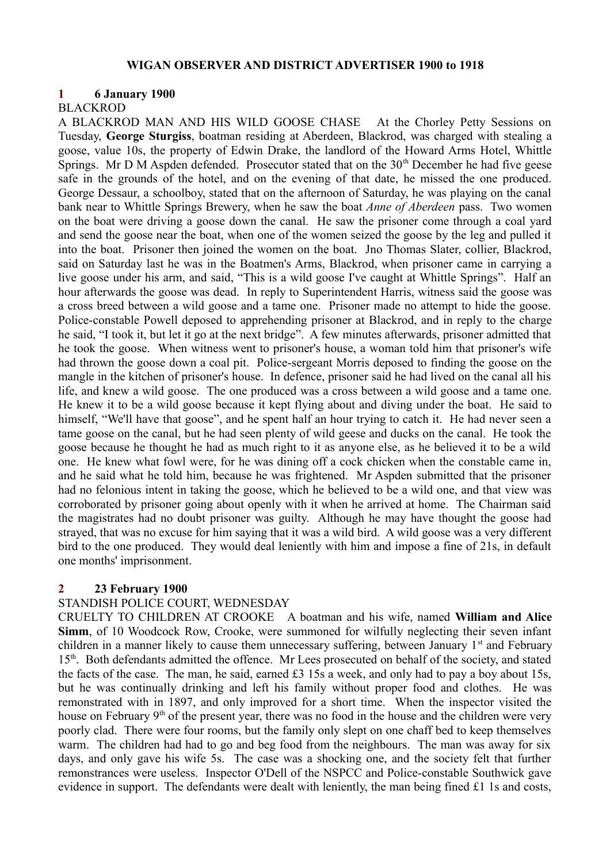#### **WIGAN OBSERVER AND DISTRICT ADVERTISER 1900 to 1918**

#### **1 6 January 1900**

#### BLACKROD

A BLACKROD MAN AND HIS WILD GOOSE CHASE At the Chorley Petty Sessions on Tuesday, **George Sturgiss**, boatman residing at Aberdeen, Blackrod, was charged with stealing a goose, value 10s, the property of Edwin Drake, the landlord of the Howard Arms Hotel, Whittle Springs. Mr D M Aspden defended. Prosecutor stated that on the  $30<sup>th</sup>$  December he had five geese safe in the grounds of the hotel, and on the evening of that date, he missed the one produced. George Dessaur, a schoolboy, stated that on the afternoon of Saturday, he was playing on the canal bank near to Whittle Springs Brewery, when he saw the boat *Anne of Aberdeen* pass. Two women on the boat were driving a goose down the canal. He saw the prisoner come through a coal yard and send the goose near the boat, when one of the women seized the goose by the leg and pulled it into the boat. Prisoner then joined the women on the boat. Jno Thomas Slater, collier, Blackrod, said on Saturday last he was in the Boatmen's Arms, Blackrod, when prisoner came in carrying a live goose under his arm, and said, "This is a wild goose I've caught at Whittle Springs". Half an hour afterwards the goose was dead. In reply to Superintendent Harris, witness said the goose was a cross breed between a wild goose and a tame one. Prisoner made no attempt to hide the goose. Police-constable Powell deposed to apprehending prisoner at Blackrod, and in reply to the charge he said, "I took it, but let it go at the next bridge". A few minutes afterwards, prisoner admitted that he took the goose. When witness went to prisoner's house, a woman told him that prisoner's wife had thrown the goose down a coal pit. Police-sergeant Morris deposed to finding the goose on the mangle in the kitchen of prisoner's house. In defence, prisoner said he had lived on the canal all his life, and knew a wild goose. The one produced was a cross between a wild goose and a tame one. He knew it to be a wild goose because it kept flying about and diving under the boat. He said to himself, "We'll have that goose", and he spent half an hour trying to catch it. He had never seen a tame goose on the canal, but he had seen plenty of wild geese and ducks on the canal. He took the goose because he thought he had as much right to it as anyone else, as he believed it to be a wild one. He knew what fowl were, for he was dining off a cock chicken when the constable came in, and he said what he told him, because he was frightened. Mr Aspden submitted that the prisoner had no felonious intent in taking the goose, which he believed to be a wild one, and that view was corroborated by prisoner going about openly with it when he arrived at home. The Chairman said the magistrates had no doubt prisoner was guilty. Although he may have thought the goose had strayed, that was no excuse for him saying that it was a wild bird. A wild goose was a very different bird to the one produced. They would deal leniently with him and impose a fine of 21s, in default one months' imprisonment.

## **2 23 February 1900**

#### STANDISH POLICE COURT, WEDNESDAY

CRUELTY TO CHILDREN AT CROOKE A boatman and his wife, named **William and Alice Simm**, of 10 Woodcock Row, Crooke, were summoned for wilfully neglecting their seven infant children in a manner likely to cause them unnecessary suffering, between January  $1<sup>st</sup>$  and February 15<sup>th</sup>. Both defendants admitted the offence. Mr Lees prosecuted on behalf of the society, and stated the facts of the case. The man, he said, earned £3 15s a week, and only had to pay a boy about 15s, but he was continually drinking and left his family without proper food and clothes. He was remonstrated with in 1897, and only improved for a short time. When the inspector visited the house on February  $9<sup>th</sup>$  of the present year, there was no food in the house and the children were very poorly clad. There were four rooms, but the family only slept on one chaff bed to keep themselves warm. The children had had to go and beg food from the neighbours. The man was away for six days, and only gave his wife 5s. The case was a shocking one, and the society felt that further remonstrances were useless. Inspector O'Dell of the NSPCC and Police-constable Southwick gave evidence in support. The defendants were dealt with leniently, the man being fined £1 1s and costs,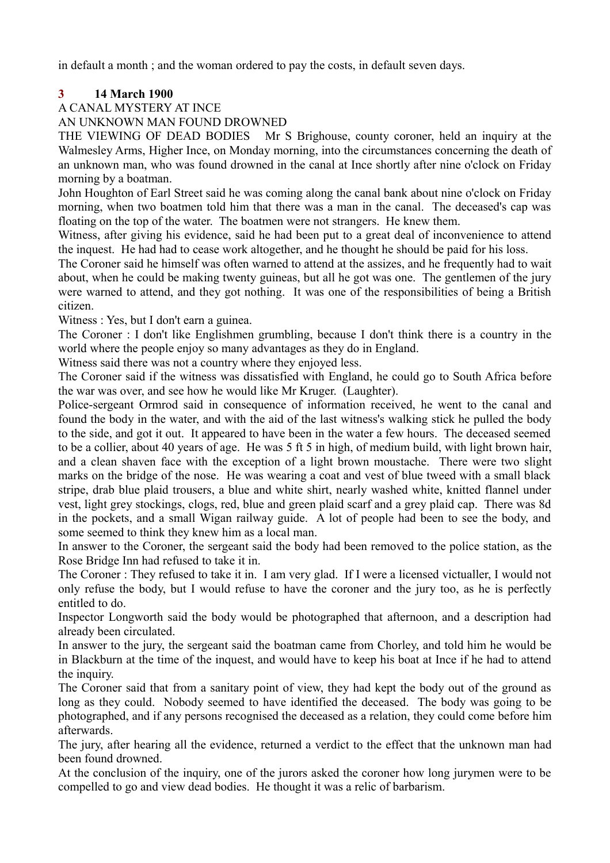in default a month ; and the woman ordered to pay the costs, in default seven days.

# **3 14 March 1900**

# A CANAL MYSTERY AT INCE

AN UNKNOWN MAN FOUND DROWNED

THE VIEWING OF DEAD BODIES Mr S Brighouse, county coroner, held an inquiry at the Walmesley Arms, Higher Ince, on Monday morning, into the circumstances concerning the death of an unknown man, who was found drowned in the canal at Ince shortly after nine o'clock on Friday morning by a boatman.

John Houghton of Earl Street said he was coming along the canal bank about nine o'clock on Friday morning, when two boatmen told him that there was a man in the canal. The deceased's cap was floating on the top of the water. The boatmen were not strangers. He knew them.

Witness, after giving his evidence, said he had been put to a great deal of inconvenience to attend the inquest. He had had to cease work altogether, and he thought he should be paid for his loss.

The Coroner said he himself was often warned to attend at the assizes, and he frequently had to wait about, when he could be making twenty guineas, but all he got was one. The gentlemen of the jury were warned to attend, and they got nothing. It was one of the responsibilities of being a British citizen.

Witness : Yes, but I don't earn a guinea.

The Coroner : I don't like Englishmen grumbling, because I don't think there is a country in the world where the people enjoy so many advantages as they do in England.

Witness said there was not a country where they enjoyed less.

The Coroner said if the witness was dissatisfied with England, he could go to South Africa before the war was over, and see how he would like Mr Kruger. (Laughter).

Police-sergeant Ormrod said in consequence of information received, he went to the canal and found the body in the water, and with the aid of the last witness's walking stick he pulled the body to the side, and got it out. It appeared to have been in the water a few hours. The deceased seemed to be a collier, about 40 years of age. He was 5 ft 5 in high, of medium build, with light brown hair, and a clean shaven face with the exception of a light brown moustache. There were two slight marks on the bridge of the nose. He was wearing a coat and vest of blue tweed with a small black stripe, drab blue plaid trousers, a blue and white shirt, nearly washed white, knitted flannel under vest, light grey stockings, clogs, red, blue and green plaid scarf and a grey plaid cap. There was 8d in the pockets, and a small Wigan railway guide. A lot of people had been to see the body, and some seemed to think they knew him as a local man.

In answer to the Coroner, the sergeant said the body had been removed to the police station, as the Rose Bridge Inn had refused to take it in.

The Coroner : They refused to take it in. I am very glad. If I were a licensed victualler, I would not only refuse the body, but I would refuse to have the coroner and the jury too, as he is perfectly entitled to do.

Inspector Longworth said the body would be photographed that afternoon, and a description had already been circulated.

In answer to the jury, the sergeant said the boatman came from Chorley, and told him he would be in Blackburn at the time of the inquest, and would have to keep his boat at Ince if he had to attend the inquiry.

The Coroner said that from a sanitary point of view, they had kept the body out of the ground as long as they could. Nobody seemed to have identified the deceased. The body was going to be photographed, and if any persons recognised the deceased as a relation, they could come before him afterwards.

The jury, after hearing all the evidence, returned a verdict to the effect that the unknown man had been found drowned.

At the conclusion of the inquiry, one of the jurors asked the coroner how long jurymen were to be compelled to go and view dead bodies. He thought it was a relic of barbarism.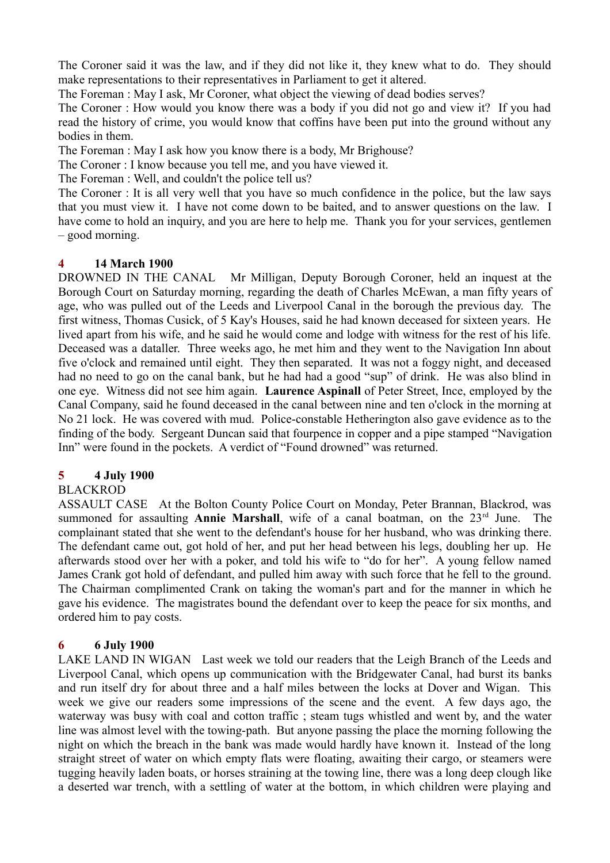The Coroner said it was the law, and if they did not like it, they knew what to do. They should make representations to their representatives in Parliament to get it altered.

The Foreman : May I ask, Mr Coroner, what object the viewing of dead bodies serves?

The Coroner : How would you know there was a body if you did not go and view it? If you had read the history of crime, you would know that coffins have been put into the ground without any bodies in them.

The Foreman : May I ask how you know there is a body, Mr Brighouse?

The Coroner : I know because you tell me, and you have viewed it.

The Foreman : Well, and couldn't the police tell us?

The Coroner : It is all very well that you have so much confidence in the police, but the law says that you must view it. I have not come down to be baited, and to answer questions on the law. I have come to hold an inquiry, and you are here to help me. Thank you for your services, gentlemen – good morning.

#### **4 14 March 1900**

DROWNED IN THE CANAL Mr Milligan, Deputy Borough Coroner, held an inquest at the Borough Court on Saturday morning, regarding the death of Charles McEwan, a man fifty years of age, who was pulled out of the Leeds and Liverpool Canal in the borough the previous day. The first witness, Thomas Cusick, of 5 Kay's Houses, said he had known deceased for sixteen years. He lived apart from his wife, and he said he would come and lodge with witness for the rest of his life. Deceased was a dataller. Three weeks ago, he met him and they went to the Navigation Inn about five o'clock and remained until eight. They then separated. It was not a foggy night, and deceased had no need to go on the canal bank, but he had had a good "sup" of drink. He was also blind in one eye. Witness did not see him again. **Laurence Aspinall** of Peter Street, Ince, employed by the Canal Company, said he found deceased in the canal between nine and ten o'clock in the morning at No 21 lock. He was covered with mud. Police-constable Hetherington also gave evidence as to the finding of the body. Sergeant Duncan said that fourpence in copper and a pipe stamped "Navigation Inn" were found in the pockets. A verdict of "Found drowned" was returned.

## **5 4 July 1900**

## BLACKROD

ASSAULT CASE At the Bolton County Police Court on Monday, Peter Brannan, Blackrod, was summoned for assaulting **Annie Marshall**, wife of a canal boatman, on the 23<sup>rd</sup> June. The complainant stated that she went to the defendant's house for her husband, who was drinking there. The defendant came out, got hold of her, and put her head between his legs, doubling her up. He afterwards stood over her with a poker, and told his wife to "do for her". A young fellow named James Crank got hold of defendant, and pulled him away with such force that he fell to the ground. The Chairman complimented Crank on taking the woman's part and for the manner in which he gave his evidence. The magistrates bound the defendant over to keep the peace for six months, and ordered him to pay costs.

## **6 6 July 1900**

LAKE LAND IN WIGAN Last week we told our readers that the Leigh Branch of the Leeds and Liverpool Canal, which opens up communication with the Bridgewater Canal, had burst its banks and run itself dry for about three and a half miles between the locks at Dover and Wigan. This week we give our readers some impressions of the scene and the event. A few days ago, the waterway was busy with coal and cotton traffic ; steam tugs whistled and went by, and the water line was almost level with the towing-path. But anyone passing the place the morning following the night on which the breach in the bank was made would hardly have known it. Instead of the long straight street of water on which empty flats were floating, awaiting their cargo, or steamers were tugging heavily laden boats, or horses straining at the towing line, there was a long deep clough like a deserted war trench, with a settling of water at the bottom, in which children were playing and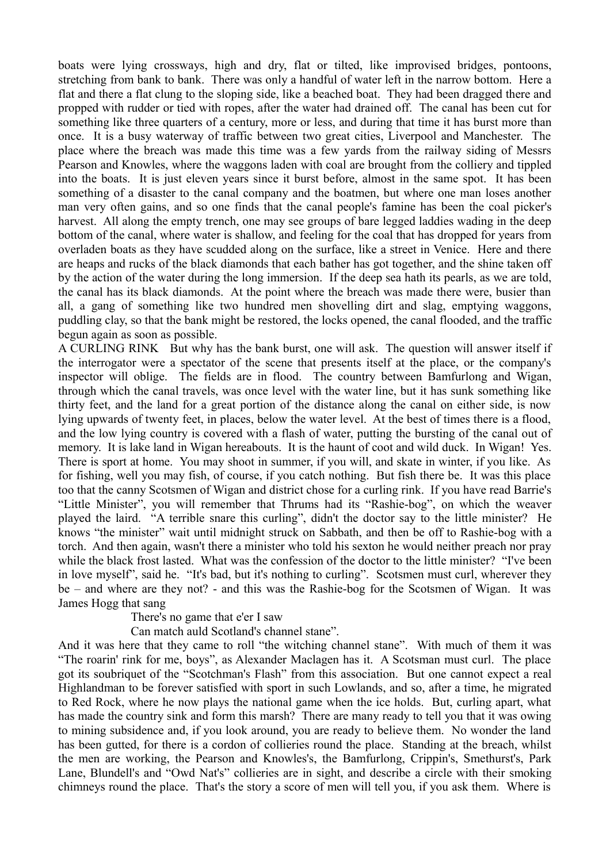boats were lying crossways, high and dry, flat or tilted, like improvised bridges, pontoons, stretching from bank to bank. There was only a handful of water left in the narrow bottom. Here a flat and there a flat clung to the sloping side, like a beached boat. They had been dragged there and propped with rudder or tied with ropes, after the water had drained off. The canal has been cut for something like three quarters of a century, more or less, and during that time it has burst more than once. It is a busy waterway of traffic between two great cities, Liverpool and Manchester. The place where the breach was made this time was a few yards from the railway siding of Messrs Pearson and Knowles, where the waggons laden with coal are brought from the colliery and tippled into the boats. It is just eleven years since it burst before, almost in the same spot. It has been something of a disaster to the canal company and the boatmen, but where one man loses another man very often gains, and so one finds that the canal people's famine has been the coal picker's harvest. All along the empty trench, one may see groups of bare legged laddies wading in the deep bottom of the canal, where water is shallow, and feeling for the coal that has dropped for years from overladen boats as they have scudded along on the surface, like a street in Venice. Here and there are heaps and rucks of the black diamonds that each bather has got together, and the shine taken off by the action of the water during the long immersion. If the deep sea hath its pearls, as we are told, the canal has its black diamonds. At the point where the breach was made there were, busier than all, a gang of something like two hundred men shovelling dirt and slag, emptying waggons, puddling clay, so that the bank might be restored, the locks opened, the canal flooded, and the traffic begun again as soon as possible.

A CURLING RINK But why has the bank burst, one will ask. The question will answer itself if the interrogator were a spectator of the scene that presents itself at the place, or the company's inspector will oblige. The fields are in flood. The country between Bamfurlong and Wigan, through which the canal travels, was once level with the water line, but it has sunk something like thirty feet, and the land for a great portion of the distance along the canal on either side, is now lying upwards of twenty feet, in places, below the water level. At the best of times there is a flood, and the low lying country is covered with a flash of water, putting the bursting of the canal out of memory. It is lake land in Wigan hereabouts. It is the haunt of coot and wild duck. In Wigan! Yes. There is sport at home. You may shoot in summer, if you will, and skate in winter, if you like. As for fishing, well you may fish, of course, if you catch nothing. But fish there be. It was this place too that the canny Scotsmen of Wigan and district chose for a curling rink. If you have read Barrie's "Little Minister", you will remember that Thrums had its "Rashie-bog", on which the weaver played the laird. "A terrible snare this curling", didn't the doctor say to the little minister? He knows "the minister" wait until midnight struck on Sabbath, and then be off to Rashie-bog with a torch. And then again, wasn't there a minister who told his sexton he would neither preach nor pray while the black frost lasted. What was the confession of the doctor to the little minister? "I've been in love myself", said he. "It's bad, but it's nothing to curling". Scotsmen must curl, wherever they be – and where are they not? - and this was the Rashie-bog for the Scotsmen of Wigan. It was James Hogg that sang

There's no game that e'er I saw

Can match auld Scotland's channel stane".

And it was here that they came to roll "the witching channel stane". With much of them it was "The roarin' rink for me, boys", as Alexander Maclagen has it. A Scotsman must curl. The place got its soubriquet of the "Scotchman's Flash" from this association. But one cannot expect a real Highlandman to be forever satisfied with sport in such Lowlands, and so, after a time, he migrated to Red Rock, where he now plays the national game when the ice holds. But, curling apart, what has made the country sink and form this marsh? There are many ready to tell you that it was owing to mining subsidence and, if you look around, you are ready to believe them. No wonder the land has been gutted, for there is a cordon of collieries round the place. Standing at the breach, whilst the men are working, the Pearson and Knowles's, the Bamfurlong, Crippin's, Smethurst's, Park Lane, Blundell's and "Owd Nat's" collieries are in sight, and describe a circle with their smoking chimneys round the place. That's the story a score of men will tell you, if you ask them. Where is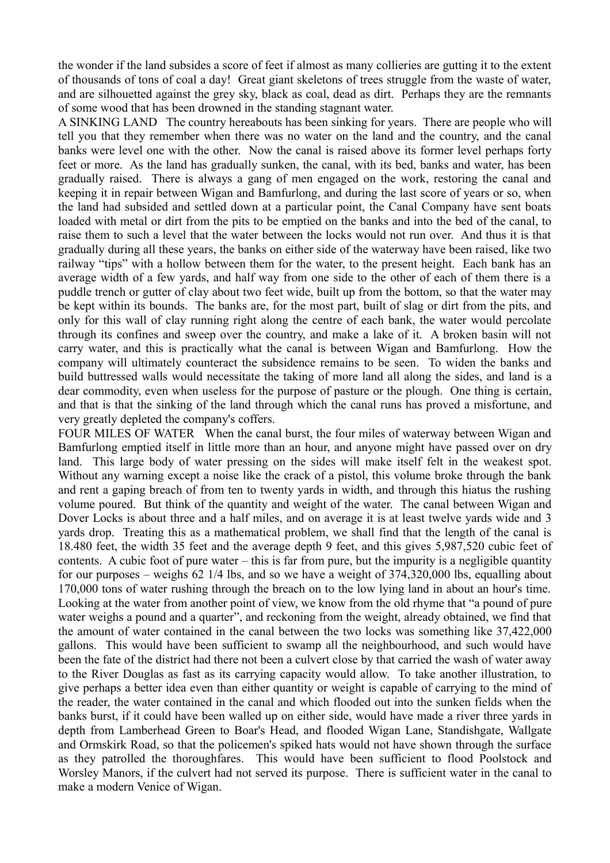the wonder if the land subsides a score of feet if almost as many collieries are gutting it to the extent of thousands of tons of coal a day! Great giant skeletons of trees struggle from the waste of water, and are silhouetted against the grey sky, black as coal, dead as dirt. Perhaps they are the remnants of some wood that has been drowned in the standing stagnant water.

A SINKING LAND The country hereabouts has been sinking for years. There are people who will tell you that they remember when there was no water on the land and the country, and the canal banks were level one with the other. Now the canal is raised above its former level perhaps forty feet or more. As the land has gradually sunken, the canal, with its bed, banks and water, has been gradually raised. There is always a gang of men engaged on the work, restoring the canal and keeping it in repair between Wigan and Bamfurlong, and during the last score of years or so, when the land had subsided and settled down at a particular point, the Canal Company have sent boats loaded with metal or dirt from the pits to be emptied on the banks and into the bed of the canal, to raise them to such a level that the water between the locks would not run over. And thus it is that gradually during all these years, the banks on either side of the waterway have been raised, like two railway "tips" with a hollow between them for the water, to the present height. Each bank has an average width of a few yards, and half way from one side to the other of each of them there is a puddle trench or gutter of clay about two feet wide, built up from the bottom, so that the water may be kept within its bounds. The banks are, for the most part, built of slag or dirt from the pits, and only for this wall of clay running right along the centre of each bank, the water would percolate through its confines and sweep over the country, and make a lake of it. A broken basin will not carry water, and this is practically what the canal is between Wigan and Bamfurlong. How the company will ultimately counteract the subsidence remains to be seen. To widen the banks and build buttressed walls would necessitate the taking of more land all along the sides, and land is a dear commodity, even when useless for the purpose of pasture or the plough. One thing is certain, and that is that the sinking of the land through which the canal runs has proved a misfortune, and very greatly depleted the company's coffers.

FOUR MILES OF WATER When the canal burst, the four miles of waterway between Wigan and Bamfurlong emptied itself in little more than an hour, and anyone might have passed over on dry land. This large body of water pressing on the sides will make itself felt in the weakest spot. Without any warning except a noise like the crack of a pistol, this volume broke through the bank and rent a gaping breach of from ten to twenty yards in width, and through this hiatus the rushing volume poured. But think of the quantity and weight of the water. The canal between Wigan and Dover Locks is about three and a half miles, and on average it is at least twelve yards wide and 3 yards drop. Treating this as a mathematical problem, we shall find that the length of the canal is 18.480 feet, the width 35 feet and the average depth 9 feet, and this gives 5,987,520 cubic feet of contents. A cubic foot of pure water – this is far from pure, but the impurity is a negligible quantity for our purposes – weighs 62 1/4 lbs, and so we have a weight of 374,320,000 lbs, equalling about 170,000 tons of water rushing through the breach on to the low lying land in about an hour's time. Looking at the water from another point of view, we know from the old rhyme that "a pound of pure water weighs a pound and a quarter", and reckoning from the weight, already obtained, we find that the amount of water contained in the canal between the two locks was something like 37,422,000 gallons. This would have been sufficient to swamp all the neighbourhood, and such would have been the fate of the district had there not been a culvert close by that carried the wash of water away to the River Douglas as fast as its carrying capacity would allow. To take another illustration, to give perhaps a better idea even than either quantity or weight is capable of carrying to the mind of the reader, the water contained in the canal and which flooded out into the sunken fields when the banks burst, if it could have been walled up on either side, would have made a river three yards in depth from Lamberhead Green to Boar's Head, and flooded Wigan Lane, Standishgate, Wallgate and Ormskirk Road, so that the policemen's spiked hats would not have shown through the surface as they patrolled the thoroughfares. This would have been sufficient to flood Poolstock and Worsley Manors, if the culvert had not served its purpose. There is sufficient water in the canal to make a modern Venice of Wigan.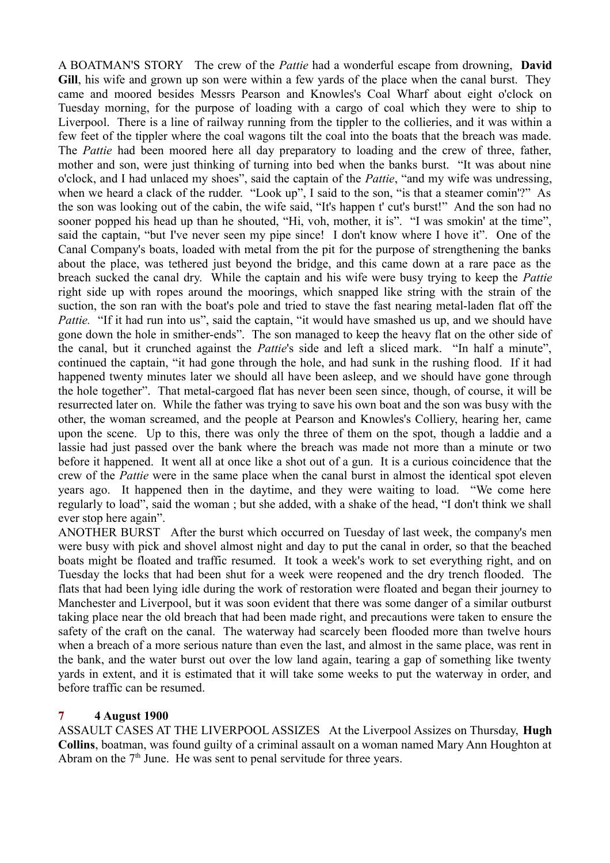A BOATMAN'S STORY The crew of the *Pattie* had a wonderful escape from drowning, **David Gill**, his wife and grown up son were within a few yards of the place when the canal burst. They came and moored besides Messrs Pearson and Knowles's Coal Wharf about eight o'clock on Tuesday morning, for the purpose of loading with a cargo of coal which they were to ship to Liverpool. There is a line of railway running from the tippler to the collieries, and it was within a few feet of the tippler where the coal wagons tilt the coal into the boats that the breach was made. The *Pattie* had been moored here all day preparatory to loading and the crew of three, father, mother and son, were just thinking of turning into bed when the banks burst. "It was about nine o'clock, and I had unlaced my shoes", said the captain of the *Pattie*, "and my wife was undressing, when we heard a clack of the rudder. "Look up", I said to the son, "is that a steamer comin'?" As the son was looking out of the cabin, the wife said, "It's happen t' cut's burst!" And the son had no sooner popped his head up than he shouted, "Hi, voh, mother, it is". "I was smokin' at the time", said the captain, "but I've never seen my pipe since! I don't know where I hove it". One of the Canal Company's boats, loaded with metal from the pit for the purpose of strengthening the banks about the place, was tethered just beyond the bridge, and this came down at a rare pace as the breach sucked the canal dry. While the captain and his wife were busy trying to keep the *Pattie* right side up with ropes around the moorings, which snapped like string with the strain of the suction, the son ran with the boat's pole and tried to stave the fast nearing metal-laden flat off the *Pattie.* "If it had run into us", said the captain, "it would have smashed us up, and we should have gone down the hole in smither-ends". The son managed to keep the heavy flat on the other side of the canal, but it crunched against the *Pattie*'s side and left a sliced mark. "In half a minute", continued the captain, "it had gone through the hole, and had sunk in the rushing flood. If it had happened twenty minutes later we should all have been asleep, and we should have gone through the hole together". That metal-cargoed flat has never been seen since, though, of course, it will be resurrected later on. While the father was trying to save his own boat and the son was busy with the other, the woman screamed, and the people at Pearson and Knowles's Colliery, hearing her, came upon the scene. Up to this, there was only the three of them on the spot, though a laddie and a lassie had just passed over the bank where the breach was made not more than a minute or two before it happened. It went all at once like a shot out of a gun. It is a curious coincidence that the crew of the *Pattie* were in the same place when the canal burst in almost the identical spot eleven years ago. It happened then in the daytime, and they were waiting to load. "We come here regularly to load", said the woman ; but she added, with a shake of the head, "I don't think we shall ever stop here again".

ANOTHER BURST After the burst which occurred on Tuesday of last week, the company's men were busy with pick and shovel almost night and day to put the canal in order, so that the beached boats might be floated and traffic resumed. It took a week's work to set everything right, and on Tuesday the locks that had been shut for a week were reopened and the dry trench flooded. The flats that had been lying idle during the work of restoration were floated and began their journey to Manchester and Liverpool, but it was soon evident that there was some danger of a similar outburst taking place near the old breach that had been made right, and precautions were taken to ensure the safety of the craft on the canal. The waterway had scarcely been flooded more than twelve hours when a breach of a more serious nature than even the last, and almost in the same place, was rent in the bank, and the water burst out over the low land again, tearing a gap of something like twenty yards in extent, and it is estimated that it will take some weeks to put the waterway in order, and before traffic can be resumed.

# **7 4 August 1900**

ASSAULT CASES AT THE LIVERPOOL ASSIZES At the Liverpool Assizes on Thursday, **Hugh Collins**, boatman, was found guilty of a criminal assault on a woman named Mary Ann Houghton at Abram on the  $7<sup>th</sup>$  June. He was sent to penal servitude for three years.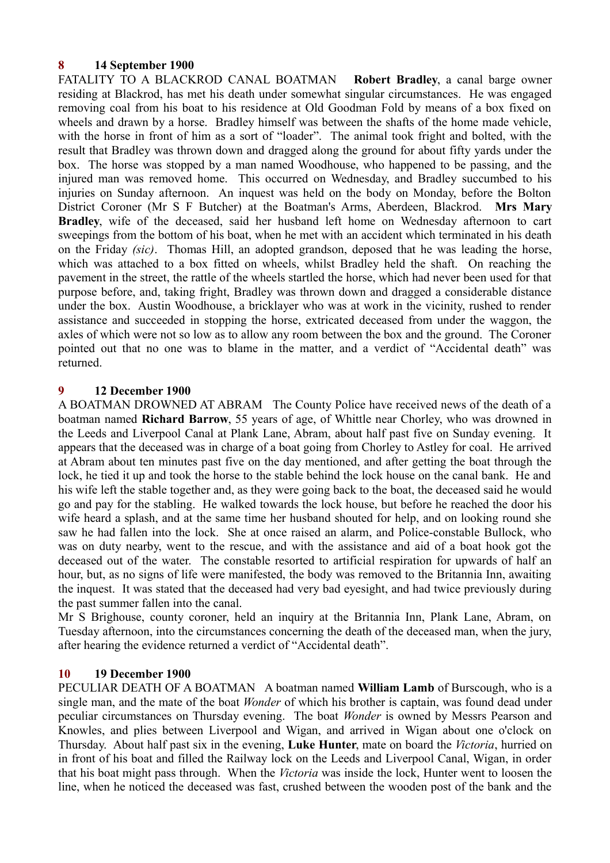## **8 14 September 1900**

FATALITY TO A BLACKROD CANAL BOATMAN **Robert Bradley**, a canal barge owner residing at Blackrod, has met his death under somewhat singular circumstances. He was engaged removing coal from his boat to his residence at Old Goodman Fold by means of a box fixed on wheels and drawn by a horse. Bradley himself was between the shafts of the home made vehicle, with the horse in front of him as a sort of "loader". The animal took fright and bolted, with the result that Bradley was thrown down and dragged along the ground for about fifty yards under the box. The horse was stopped by a man named Woodhouse, who happened to be passing, and the injured man was removed home. This occurred on Wednesday, and Bradley succumbed to his injuries on Sunday afternoon. An inquest was held on the body on Monday, before the Bolton District Coroner (Mr S F Butcher) at the Boatman's Arms, Aberdeen, Blackrod. **Mrs Mary Bradley**, wife of the deceased, said her husband left home on Wednesday afternoon to cart sweepings from the bottom of his boat, when he met with an accident which terminated in his death on the Friday *(sic)*. Thomas Hill, an adopted grandson, deposed that he was leading the horse, which was attached to a box fitted on wheels, whilst Bradley held the shaft. On reaching the pavement in the street, the rattle of the wheels startled the horse, which had never been used for that purpose before, and, taking fright, Bradley was thrown down and dragged a considerable distance under the box. Austin Woodhouse, a bricklayer who was at work in the vicinity, rushed to render assistance and succeeded in stopping the horse, extricated deceased from under the waggon, the axles of which were not so low as to allow any room between the box and the ground. The Coroner pointed out that no one was to blame in the matter, and a verdict of "Accidental death" was returned.

#### **9 12 December 1900**

A BOATMAN DROWNED AT ABRAM The County Police have received news of the death of a boatman named **Richard Barrow**, 55 years of age, of Whittle near Chorley, who was drowned in the Leeds and Liverpool Canal at Plank Lane, Abram, about half past five on Sunday evening. It appears that the deceased was in charge of a boat going from Chorley to Astley for coal. He arrived at Abram about ten minutes past five on the day mentioned, and after getting the boat through the lock, he tied it up and took the horse to the stable behind the lock house on the canal bank. He and his wife left the stable together and, as they were going back to the boat, the deceased said he would go and pay for the stabling. He walked towards the lock house, but before he reached the door his wife heard a splash, and at the same time her husband shouted for help, and on looking round she saw he had fallen into the lock. She at once raised an alarm, and Police-constable Bullock, who was on duty nearby, went to the rescue, and with the assistance and aid of a boat hook got the deceased out of the water. The constable resorted to artificial respiration for upwards of half an hour, but, as no signs of life were manifested, the body was removed to the Britannia Inn, awaiting the inquest. It was stated that the deceased had very bad eyesight, and had twice previously during the past summer fallen into the canal.

Mr S Brighouse, county coroner, held an inquiry at the Britannia Inn, Plank Lane, Abram, on Tuesday afternoon, into the circumstances concerning the death of the deceased man, when the jury, after hearing the evidence returned a verdict of "Accidental death".

#### **10 19 December 1900**

PECULIAR DEATH OF A BOATMAN A boatman named **William Lamb** of Burscough, who is a single man, and the mate of the boat *Wonder* of which his brother is captain, was found dead under peculiar circumstances on Thursday evening. The boat *Wonder* is owned by Messrs Pearson and Knowles, and plies between Liverpool and Wigan, and arrived in Wigan about one o'clock on Thursday. About half past six in the evening, **Luke Hunter**, mate on board the *Victoria*, hurried on in front of his boat and filled the Railway lock on the Leeds and Liverpool Canal, Wigan, in order that his boat might pass through. When the *Victoria* was inside the lock, Hunter went to loosen the line, when he noticed the deceased was fast, crushed between the wooden post of the bank and the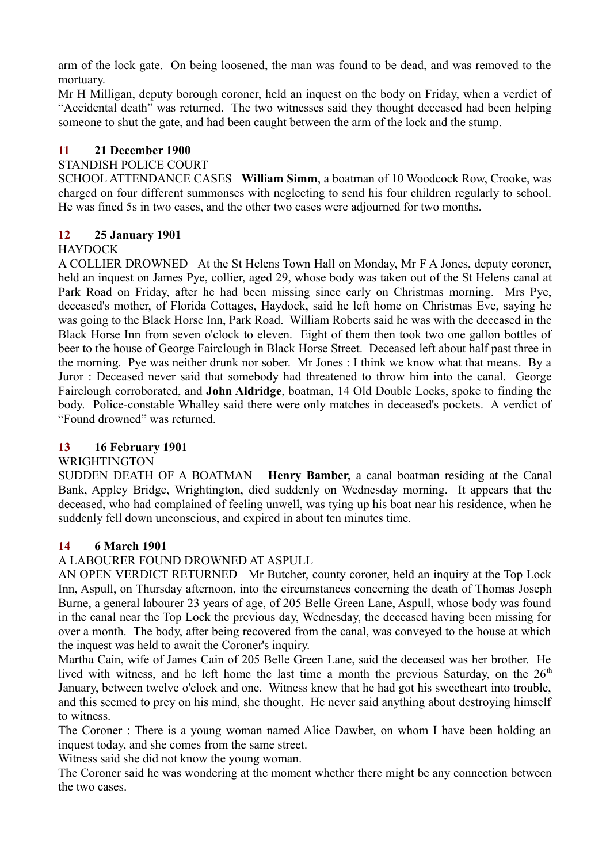arm of the lock gate. On being loosened, the man was found to be dead, and was removed to the mortuary.

Mr H Milligan, deputy borough coroner, held an inquest on the body on Friday, when a verdict of "Accidental death" was returned. The two witnesses said they thought deceased had been helping someone to shut the gate, and had been caught between the arm of the lock and the stump.

## **11 21 December 1900**

# STANDISH POLICE COURT

SCHOOL ATTENDANCE CASES **William Simm**, a boatman of 10 Woodcock Row, Crooke, was charged on four different summonses with neglecting to send his four children regularly to school. He was fined 5s in two cases, and the other two cases were adjourned for two months.

# **12 25 January 1901**

# **HAYDOCK**

A COLLIER DROWNED At the St Helens Town Hall on Monday, Mr F A Jones, deputy coroner, held an inquest on James Pye, collier, aged 29, whose body was taken out of the St Helens canal at Park Road on Friday, after he had been missing since early on Christmas morning. Mrs Pye, deceased's mother, of Florida Cottages, Haydock, said he left home on Christmas Eve, saying he was going to the Black Horse Inn, Park Road. William Roberts said he was with the deceased in the Black Horse Inn from seven o'clock to eleven. Eight of them then took two one gallon bottles of beer to the house of George Fairclough in Black Horse Street. Deceased left about half past three in the morning. Pye was neither drunk nor sober. Mr Jones : I think we know what that means. By a Juror : Deceased never said that somebody had threatened to throw him into the canal. George Fairclough corroborated, and **John Aldridge**, boatman, 14 Old Double Locks, spoke to finding the body. Police-constable Whalley said there were only matches in deceased's pockets. A verdict of "Found drowned" was returned.

## **13 16 February 1901**

## WRIGHTINGTON

SUDDEN DEATH OF A BOATMAN **Henry Bamber,** a canal boatman residing at the Canal Bank, Appley Bridge, Wrightington, died suddenly on Wednesday morning. It appears that the deceased, who had complained of feeling unwell, was tying up his boat near his residence, when he suddenly fell down unconscious, and expired in about ten minutes time.

# **14 6 March 1901**

# A LABOURER FOUND DROWNED AT ASPULL

AN OPEN VERDICT RETURNED Mr Butcher, county coroner, held an inquiry at the Top Lock Inn, Aspull, on Thursday afternoon, into the circumstances concerning the death of Thomas Joseph Burne, a general labourer 23 years of age, of 205 Belle Green Lane, Aspull, whose body was found in the canal near the Top Lock the previous day, Wednesday, the deceased having been missing for over a month. The body, after being recovered from the canal, was conveyed to the house at which the inquest was held to await the Coroner's inquiry.

Martha Cain, wife of James Cain of 205 Belle Green Lane, said the deceased was her brother. He lived with witness, and he left home the last time a month the previous Saturday, on the  $26<sup>th</sup>$ January, between twelve o'clock and one. Witness knew that he had got his sweetheart into trouble, and this seemed to prey on his mind, she thought. He never said anything about destroying himself to witness.

The Coroner : There is a young woman named Alice Dawber, on whom I have been holding an inquest today, and she comes from the same street.

Witness said she did not know the young woman.

The Coroner said he was wondering at the moment whether there might be any connection between the two cases.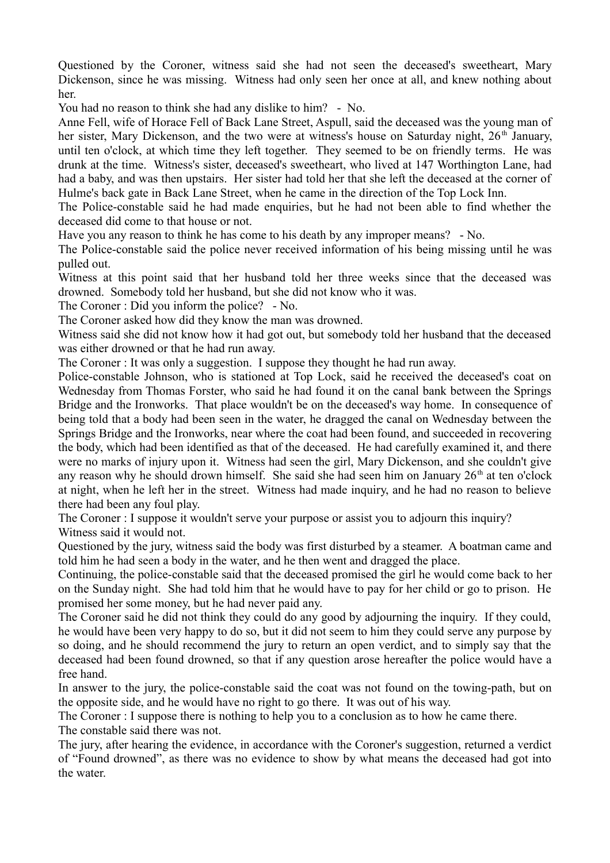Questioned by the Coroner, witness said she had not seen the deceased's sweetheart, Mary Dickenson, since he was missing. Witness had only seen her once at all, and knew nothing about her.

You had no reason to think she had any dislike to him? - No.

Anne Fell, wife of Horace Fell of Back Lane Street, Aspull, said the deceased was the young man of her sister, Mary Dickenson, and the two were at witness's house on Saturday night, 26<sup>th</sup> January, until ten o'clock, at which time they left together. They seemed to be on friendly terms. He was drunk at the time. Witness's sister, deceased's sweetheart, who lived at 147 Worthington Lane, had had a baby, and was then upstairs. Her sister had told her that she left the deceased at the corner of Hulme's back gate in Back Lane Street, when he came in the direction of the Top Lock Inn.

The Police-constable said he had made enquiries, but he had not been able to find whether the deceased did come to that house or not.

Have you any reason to think he has come to his death by any improper means? - No.

The Police-constable said the police never received information of his being missing until he was pulled out.

Witness at this point said that her husband told her three weeks since that the deceased was drowned. Somebody told her husband, but she did not know who it was.

The Coroner : Did you inform the police? - No.

The Coroner asked how did they know the man was drowned.

Witness said she did not know how it had got out, but somebody told her husband that the deceased was either drowned or that he had run away.

The Coroner : It was only a suggestion. I suppose they thought he had run away.

Police-constable Johnson, who is stationed at Top Lock, said he received the deceased's coat on Wednesday from Thomas Forster, who said he had found it on the canal bank between the Springs Bridge and the Ironworks. That place wouldn't be on the deceased's way home. In consequence of being told that a body had been seen in the water, he dragged the canal on Wednesday between the Springs Bridge and the Ironworks, near where the coat had been found, and succeeded in recovering the body, which had been identified as that of the deceased. He had carefully examined it, and there were no marks of injury upon it. Witness had seen the girl, Mary Dickenson, and she couldn't give any reason why he should drown himself. She said she had seen him on January  $26<sup>th</sup>$  at ten o'clock at night, when he left her in the street. Witness had made inquiry, and he had no reason to believe there had been any foul play.

The Coroner : I suppose it wouldn't serve your purpose or assist you to adjourn this inquiry? Witness said it would not.

Questioned by the jury, witness said the body was first disturbed by a steamer. A boatman came and told him he had seen a body in the water, and he then went and dragged the place.

Continuing, the police-constable said that the deceased promised the girl he would come back to her on the Sunday night. She had told him that he would have to pay for her child or go to prison. He promised her some money, but he had never paid any.

The Coroner said he did not think they could do any good by adjourning the inquiry. If they could, he would have been very happy to do so, but it did not seem to him they could serve any purpose by so doing, and he should recommend the jury to return an open verdict, and to simply say that the deceased had been found drowned, so that if any question arose hereafter the police would have a free hand.

In answer to the jury, the police-constable said the coat was not found on the towing-path, but on the opposite side, and he would have no right to go there. It was out of his way.

The Coroner : I suppose there is nothing to help you to a conclusion as to how he came there. The constable said there was not.

The jury, after hearing the evidence, in accordance with the Coroner's suggestion, returned a verdict of "Found drowned", as there was no evidence to show by what means the deceased had got into the water.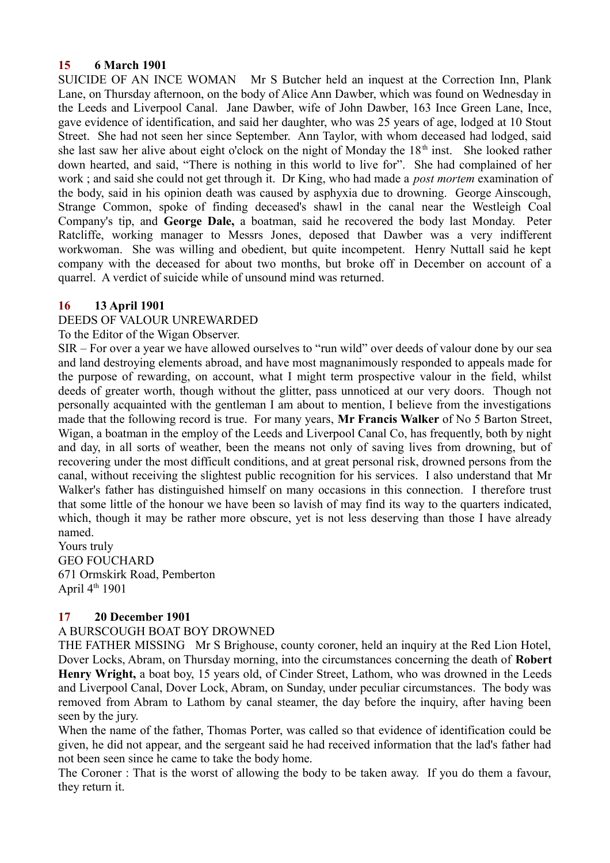#### **15 6 March 1901**

SUICIDE OF AN INCE WOMAN Mr S Butcher held an inquest at the Correction Inn, Plank Lane, on Thursday afternoon, on the body of Alice Ann Dawber, which was found on Wednesday in the Leeds and Liverpool Canal. Jane Dawber, wife of John Dawber, 163 Ince Green Lane, Ince, gave evidence of identification, and said her daughter, who was 25 years of age, lodged at 10 Stout Street. She had not seen her since September. Ann Taylor, with whom deceased had lodged, said she last saw her alive about eight o'clock on the night of Monday the  $18<sup>th</sup>$  inst. She looked rather down hearted, and said, "There is nothing in this world to live for". She had complained of her work ; and said she could not get through it. Dr King, who had made a *post mortem* examination of the body, said in his opinion death was caused by asphyxia due to drowning. George Ainscough, Strange Common, spoke of finding deceased's shawl in the canal near the Westleigh Coal Company's tip, and **George Dale,** a boatman, said he recovered the body last Monday. Peter Ratcliffe, working manager to Messrs Jones, deposed that Dawber was a very indifferent workwoman. She was willing and obedient, but quite incompetent. Henry Nuttall said he kept company with the deceased for about two months, but broke off in December on account of a quarrel. A verdict of suicide while of unsound mind was returned.

## **16 13 April 1901**

## DEEDS OF VALOUR UNREWARDED

To the Editor of the Wigan Observer.

SIR – For over a year we have allowed ourselves to "run wild" over deeds of valour done by our sea and land destroying elements abroad, and have most magnanimously responded to appeals made for the purpose of rewarding, on account, what I might term prospective valour in the field, whilst deeds of greater worth, though without the glitter, pass unnoticed at our very doors. Though not personally acquainted with the gentleman I am about to mention, I believe from the investigations made that the following record is true. For many years, **Mr Francis Walker** of No 5 Barton Street, Wigan, a boatman in the employ of the Leeds and Liverpool Canal Co, has frequently, both by night and day, in all sorts of weather, been the means not only of saving lives from drowning, but of recovering under the most difficult conditions, and at great personal risk, drowned persons from the canal, without receiving the slightest public recognition for his services. I also understand that Mr Walker's father has distinguished himself on many occasions in this connection. I therefore trust that some little of the honour we have been so lavish of may find its way to the quarters indicated, which, though it may be rather more obscure, yet is not less deserving than those I have already named.

Yours truly GEO FOUCHARD 671 Ormskirk Road, Pemberton April  $4<sup>th</sup> 1901$ 

## **17 20 December 1901**

## A BURSCOUGH BOAT BOY DROWNED

THE FATHER MISSING Mr S Brighouse, county coroner, held an inquiry at the Red Lion Hotel, Dover Locks, Abram, on Thursday morning, into the circumstances concerning the death of **Robert Henry Wright,** a boat boy, 15 years old, of Cinder Street, Lathom, who was drowned in the Leeds and Liverpool Canal, Dover Lock, Abram, on Sunday, under peculiar circumstances. The body was removed from Abram to Lathom by canal steamer, the day before the inquiry, after having been seen by the jury.

When the name of the father, Thomas Porter, was called so that evidence of identification could be given, he did not appear, and the sergeant said he had received information that the lad's father had not been seen since he came to take the body home.

The Coroner : That is the worst of allowing the body to be taken away. If you do them a favour, they return it.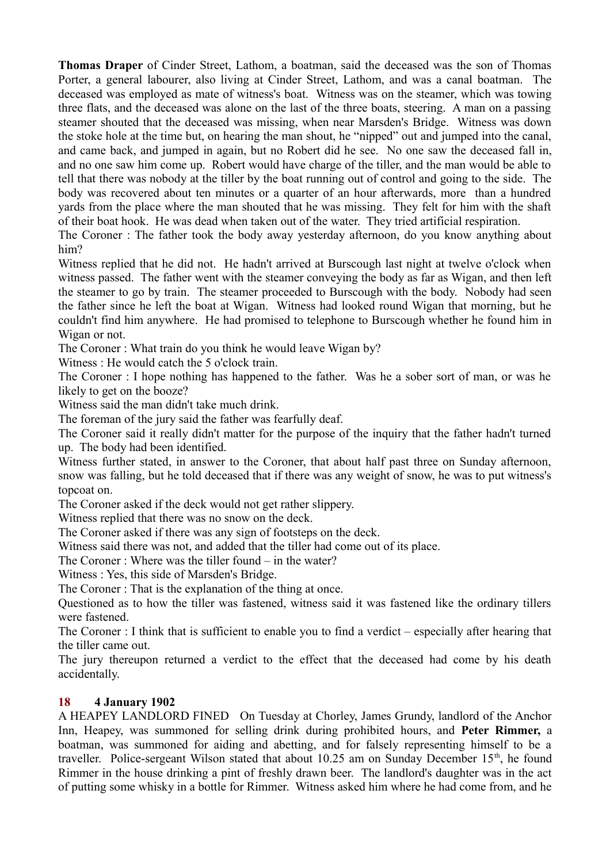**Thomas Draper** of Cinder Street, Lathom, a boatman, said the deceased was the son of Thomas Porter, a general labourer, also living at Cinder Street, Lathom, and was a canal boatman. The deceased was employed as mate of witness's boat. Witness was on the steamer, which was towing three flats, and the deceased was alone on the last of the three boats, steering. A man on a passing steamer shouted that the deceased was missing, when near Marsden's Bridge. Witness was down the stoke hole at the time but, on hearing the man shout, he "nipped" out and jumped into the canal, and came back, and jumped in again, but no Robert did he see. No one saw the deceased fall in, and no one saw him come up. Robert would have charge of the tiller, and the man would be able to tell that there was nobody at the tiller by the boat running out of control and going to the side. The body was recovered about ten minutes or a quarter of an hour afterwards, more than a hundred yards from the place where the man shouted that he was missing. They felt for him with the shaft of their boat hook. He was dead when taken out of the water. They tried artificial respiration.

The Coroner : The father took the body away yesterday afternoon, do you know anything about him?

Witness replied that he did not. He hadn't arrived at Burscough last night at twelve o'clock when witness passed. The father went with the steamer conveying the body as far as Wigan, and then left the steamer to go by train. The steamer proceeded to Burscough with the body. Nobody had seen the father since he left the boat at Wigan. Witness had looked round Wigan that morning, but he couldn't find him anywhere. He had promised to telephone to Burscough whether he found him in Wigan or not.

The Coroner : What train do you think he would leave Wigan by?

Witness : He would catch the 5 o'clock train.

The Coroner : I hope nothing has happened to the father. Was he a sober sort of man, or was he likely to get on the booze?

Witness said the man didn't take much drink.

The foreman of the jury said the father was fearfully deaf.

The Coroner said it really didn't matter for the purpose of the inquiry that the father hadn't turned up. The body had been identified.

Witness further stated, in answer to the Coroner, that about half past three on Sunday afternoon, snow was falling, but he told deceased that if there was any weight of snow, he was to put witness's topcoat on.

The Coroner asked if the deck would not get rather slippery.

Witness replied that there was no snow on the deck.

The Coroner asked if there was any sign of footsteps on the deck.

Witness said there was not, and added that the tiller had come out of its place.

The Coroner : Where was the tiller found – in the water?

Witness : Yes, this side of Marsden's Bridge.

The Coroner : That is the explanation of the thing at once.

Questioned as to how the tiller was fastened, witness said it was fastened like the ordinary tillers were fastened.

The Coroner : I think that is sufficient to enable you to find a verdict – especially after hearing that the tiller came out.

The jury thereupon returned a verdict to the effect that the deceased had come by his death accidentally.

# **18 4 January 1902**

A HEAPEY LANDLORD FINED On Tuesday at Chorley, James Grundy, landlord of the Anchor Inn, Heapey, was summoned for selling drink during prohibited hours, and **Peter Rimmer,** a boatman, was summoned for aiding and abetting, and for falsely representing himself to be a traveller. Police-sergeant Wilson stated that about 10.25 am on Sunday December  $15<sup>th</sup>$ , he found Rimmer in the house drinking a pint of freshly drawn beer. The landlord's daughter was in the act of putting some whisky in a bottle for Rimmer. Witness asked him where he had come from, and he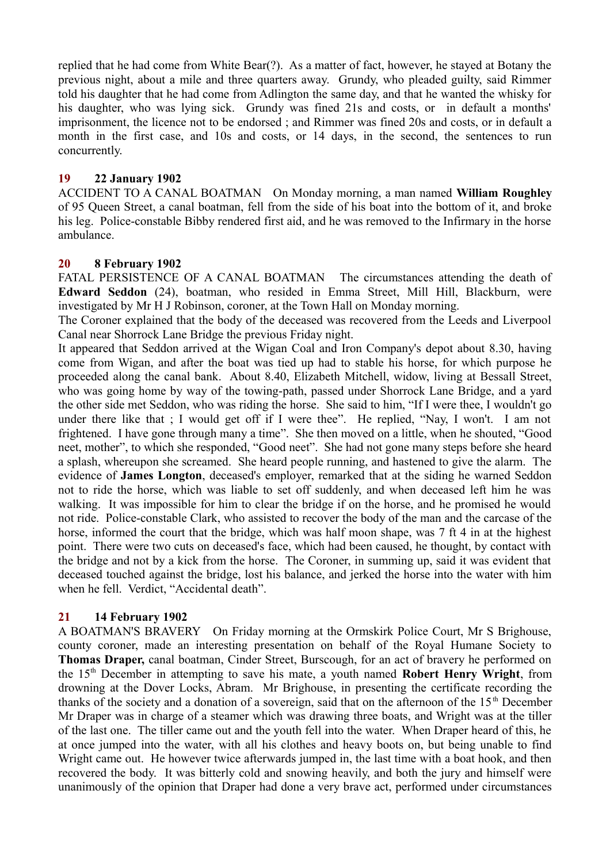replied that he had come from White Bear(?). As a matter of fact, however, he stayed at Botany the previous night, about a mile and three quarters away. Grundy, who pleaded guilty, said Rimmer told his daughter that he had come from Adlington the same day, and that he wanted the whisky for his daughter, who was lying sick. Grundy was fined 21s and costs, or in default a months' imprisonment, the licence not to be endorsed ; and Rimmer was fined 20s and costs, or in default a month in the first case, and 10s and costs, or 14 days, in the second, the sentences to run concurrently.

## **19 22 January 1902**

ACCIDENT TO A CANAL BOATMAN On Monday morning, a man named **William Roughley** of 95 Queen Street, a canal boatman, fell from the side of his boat into the bottom of it, and broke his leg. Police-constable Bibby rendered first aid, and he was removed to the Infirmary in the horse ambulance.

## **20 8 February 1902**

FATAL PERSISTENCE OF A CANAL BOATMAN The circumstances attending the death of **Edward Seddon** (24), boatman, who resided in Emma Street, Mill Hill, Blackburn, were investigated by Mr H J Robinson, coroner, at the Town Hall on Monday morning.

The Coroner explained that the body of the deceased was recovered from the Leeds and Liverpool Canal near Shorrock Lane Bridge the previous Friday night.

It appeared that Seddon arrived at the Wigan Coal and Iron Company's depot about 8.30, having come from Wigan, and after the boat was tied up had to stable his horse, for which purpose he proceeded along the canal bank. About 8.40, Elizabeth Mitchell, widow, living at Bessall Street, who was going home by way of the towing-path, passed under Shorrock Lane Bridge, and a yard the other side met Seddon, who was riding the horse. She said to him, "If I were thee, I wouldn't go under there like that ; I would get off if I were thee". He replied, "Nay, I won't. I am not frightened. I have gone through many a time". She then moved on a little, when he shouted, "Good neet, mother", to which she responded, "Good neet". She had not gone many steps before she heard a splash, whereupon she screamed. She heard people running, and hastened to give the alarm. The evidence of **James Longton**, deceased's employer, remarked that at the siding he warned Seddon not to ride the horse, which was liable to set off suddenly, and when deceased left him he was walking. It was impossible for him to clear the bridge if on the horse, and he promised he would not ride. Police-constable Clark, who assisted to recover the body of the man and the carcase of the horse, informed the court that the bridge, which was half moon shape, was 7 ft 4 in at the highest point. There were two cuts on deceased's face, which had been caused, he thought, by contact with the bridge and not by a kick from the horse. The Coroner, in summing up, said it was evident that deceased touched against the bridge, lost his balance, and jerked the horse into the water with him when he fell. Verdict, "Accidental death".

## **21 14 February 1902**

A BOATMAN'S BRAVERY On Friday morning at the Ormskirk Police Court, Mr S Brighouse, county coroner, made an interesting presentation on behalf of the Royal Humane Society to **Thomas Draper,** canal boatman, Cinder Street, Burscough, for an act of bravery he performed on the 15th December in attempting to save his mate, a youth named **Robert Henry Wright**, from drowning at the Dover Locks, Abram. Mr Brighouse, in presenting the certificate recording the thanks of the society and a donation of a sovereign, said that on the afternoon of the  $15<sup>th</sup>$  December Mr Draper was in charge of a steamer which was drawing three boats, and Wright was at the tiller of the last one. The tiller came out and the youth fell into the water. When Draper heard of this, he at once jumped into the water, with all his clothes and heavy boots on, but being unable to find Wright came out. He however twice afterwards jumped in, the last time with a boat hook, and then recovered the body. It was bitterly cold and snowing heavily, and both the jury and himself were unanimously of the opinion that Draper had done a very brave act, performed under circumstances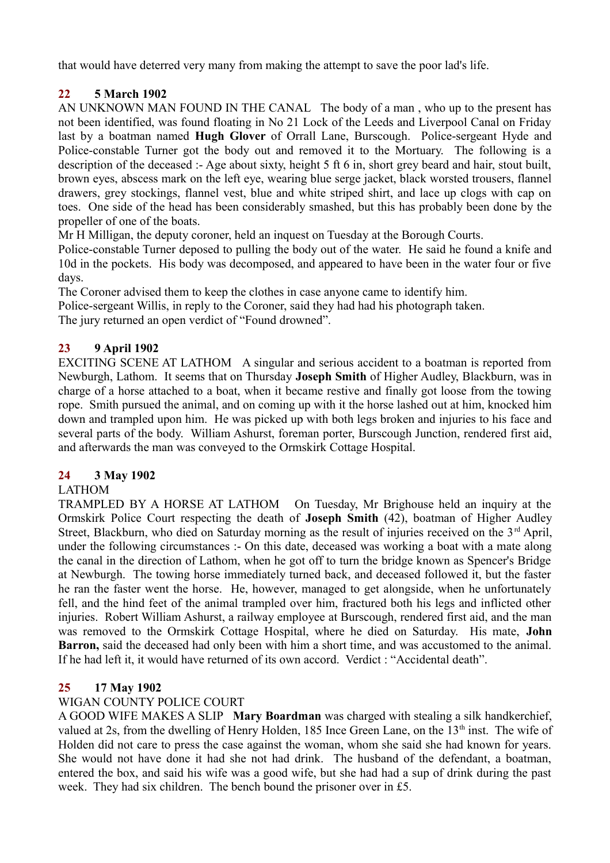that would have deterred very many from making the attempt to save the poor lad's life.

# **22 5 March 1902**

AN UNKNOWN MAN FOUND IN THE CANAL The body of a man , who up to the present has not been identified, was found floating in No 21 Lock of the Leeds and Liverpool Canal on Friday last by a boatman named **Hugh Glover** of Orrall Lane, Burscough. Police-sergeant Hyde and Police-constable Turner got the body out and removed it to the Mortuary. The following is a description of the deceased :- Age about sixty, height 5 ft 6 in, short grey beard and hair, stout built, brown eyes, abscess mark on the left eye, wearing blue serge jacket, black worsted trousers, flannel drawers, grey stockings, flannel vest, blue and white striped shirt, and lace up clogs with cap on toes. One side of the head has been considerably smashed, but this has probably been done by the propeller of one of the boats.

Mr H Milligan, the deputy coroner, held an inquest on Tuesday at the Borough Courts.

Police-constable Turner deposed to pulling the body out of the water. He said he found a knife and 10d in the pockets. His body was decomposed, and appeared to have been in the water four or five days.

The Coroner advised them to keep the clothes in case anyone came to identify him.

Police-sergeant Willis, in reply to the Coroner, said they had had his photograph taken.

The jury returned an open verdict of "Found drowned".

# **23 9 April 1902**

EXCITING SCENE AT LATHOM A singular and serious accident to a boatman is reported from Newburgh, Lathom. It seems that on Thursday **Joseph Smith** of Higher Audley, Blackburn, was in charge of a horse attached to a boat, when it became restive and finally got loose from the towing rope. Smith pursued the animal, and on coming up with it the horse lashed out at him, knocked him down and trampled upon him. He was picked up with both legs broken and injuries to his face and several parts of the body. William Ashurst, foreman porter, Burscough Junction, rendered first aid, and afterwards the man was conveyed to the Ormskirk Cottage Hospital.

# **24 3 May 1902**

# LATHOM

TRAMPLED BY A HORSE AT LATHOM On Tuesday, Mr Brighouse held an inquiry at the Ormskirk Police Court respecting the death of **Joseph Smith** (42), boatman of Higher Audley Street, Blackburn, who died on Saturday morning as the result of injuries received on the 3<sup>rd</sup> April. under the following circumstances :- On this date, deceased was working a boat with a mate along the canal in the direction of Lathom, when he got off to turn the bridge known as Spencer's Bridge at Newburgh. The towing horse immediately turned back, and deceased followed it, but the faster he ran the faster went the horse. He, however, managed to get alongside, when he unfortunately fell, and the hind feet of the animal trampled over him, fractured both his legs and inflicted other injuries. Robert William Ashurst, a railway employee at Burscough, rendered first aid, and the man was removed to the Ormskirk Cottage Hospital, where he died on Saturday. His mate, **John Barron,** said the deceased had only been with him a short time, and was accustomed to the animal. If he had left it, it would have returned of its own accord. Verdict : "Accidental death".

# **25 17 May 1902**

# WIGAN COUNTY POLICE COURT

A GOOD WIFE MAKES A SLIP **Mary Boardman** was charged with stealing a silk handkerchief, valued at 2s, from the dwelling of Henry Holden, 185 Ince Green Lane, on the 13<sup>th</sup> inst. The wife of Holden did not care to press the case against the woman, whom she said she had known for years. She would not have done it had she not had drink. The husband of the defendant, a boatman, entered the box, and said his wife was a good wife, but she had had a sup of drink during the past week. They had six children. The bench bound the prisoner over in £5.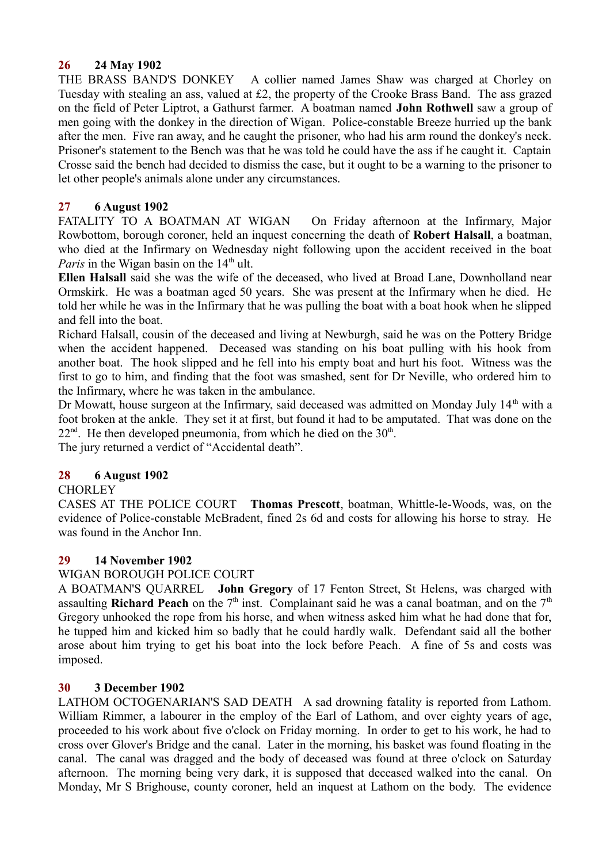## **26 24 May 1902**

THE BRASS BAND'S DONKEY A collier named James Shaw was charged at Chorley on Tuesday with stealing an ass, valued at £2, the property of the Crooke Brass Band. The ass grazed on the field of Peter Liptrot, a Gathurst farmer. A boatman named **John Rothwell** saw a group of men going with the donkey in the direction of Wigan. Police-constable Breeze hurried up the bank after the men. Five ran away, and he caught the prisoner, who had his arm round the donkey's neck. Prisoner's statement to the Bench was that he was told he could have the ass if he caught it. Captain Crosse said the bench had decided to dismiss the case, but it ought to be a warning to the prisoner to let other people's animals alone under any circumstances.

# **27 6 August 1902**

FATALITY TO A BOATMAN AT WIGAN On Friday afternoon at the Infirmary, Major Rowbottom, borough coroner, held an inquest concerning the death of **Robert Halsall**, a boatman, who died at the Infirmary on Wednesday night following upon the accident received in the boat *Paris* in the Wigan basin on the 14<sup>th</sup> ult.

**Ellen Halsall** said she was the wife of the deceased, who lived at Broad Lane, Downholland near Ormskirk. He was a boatman aged 50 years. She was present at the Infirmary when he died. He told her while he was in the Infirmary that he was pulling the boat with a boat hook when he slipped and fell into the boat.

Richard Halsall, cousin of the deceased and living at Newburgh, said he was on the Pottery Bridge when the accident happened. Deceased was standing on his boat pulling with his hook from another boat. The hook slipped and he fell into his empty boat and hurt his foot. Witness was the first to go to him, and finding that the foot was smashed, sent for Dr Neville, who ordered him to the Infirmary, where he was taken in the ambulance.

Dr Mowatt, house surgeon at the Infirmary, said deceased was admitted on Monday July 14<sup>th</sup> with a foot broken at the ankle. They set it at first, but found it had to be amputated. That was done on the  $22<sup>nd</sup>$ . He then developed pneumonia, from which he died on the  $30<sup>th</sup>$ .

The jury returned a verdict of "Accidental death".

## **28 6 August 1902**

## **CHORLEY**

CASES AT THE POLICE COURT **Thomas Prescott**, boatman, Whittle-le-Woods, was, on the evidence of Police-constable McBradent, fined 2s 6d and costs for allowing his horse to stray. He was found in the Anchor Inn.

## **29 14 November 1902**

## WIGAN BOROUGH POLICE COURT

A BOATMAN'S QUARREL **John Gregory** of 17 Fenton Street, St Helens, was charged with assaulting **Richard Peach** on the  $7<sup>th</sup>$  inst. Complainant said he was a canal boatman, and on the  $7<sup>th</sup>$ Gregory unhooked the rope from his horse, and when witness asked him what he had done that for, he tupped him and kicked him so badly that he could hardly walk. Defendant said all the bother arose about him trying to get his boat into the lock before Peach. A fine of 5s and costs was imposed.

## **30 3 December 1902**

LATHOM OCTOGENARIAN'S SAD DEATH A sad drowning fatality is reported from Lathom. William Rimmer, a labourer in the employ of the Earl of Lathom, and over eighty years of age, proceeded to his work about five o'clock on Friday morning. In order to get to his work, he had to cross over Glover's Bridge and the canal. Later in the morning, his basket was found floating in the canal. The canal was dragged and the body of deceased was found at three o'clock on Saturday afternoon. The morning being very dark, it is supposed that deceased walked into the canal. On Monday, Mr S Brighouse, county coroner, held an inquest at Lathom on the body. The evidence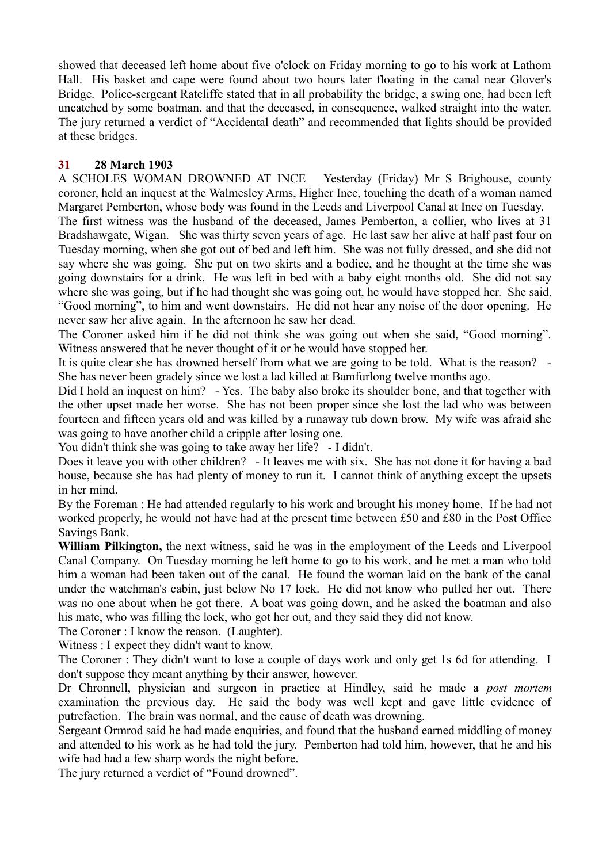showed that deceased left home about five o'clock on Friday morning to go to his work at Lathom Hall. His basket and cape were found about two hours later floating in the canal near Glover's Bridge. Police-sergeant Ratcliffe stated that in all probability the bridge, a swing one, had been left uncatched by some boatman, and that the deceased, in consequence, walked straight into the water. The jury returned a verdict of "Accidental death" and recommended that lights should be provided at these bridges.

# **31 28 March 1903**

A SCHOLES WOMAN DROWNED AT INCE Yesterday (Friday) Mr S Brighouse, county coroner, held an inquest at the Walmesley Arms, Higher Ince, touching the death of a woman named Margaret Pemberton, whose body was found in the Leeds and Liverpool Canal at Ince on Tuesday.

The first witness was the husband of the deceased, James Pemberton, a collier, who lives at 31 Bradshawgate, Wigan. She was thirty seven years of age. He last saw her alive at half past four on Tuesday morning, when she got out of bed and left him. She was not fully dressed, and she did not say where she was going. She put on two skirts and a bodice, and he thought at the time she was going downstairs for a drink. He was left in bed with a baby eight months old. She did not say where she was going, but if he had thought she was going out, he would have stopped her. She said, "Good morning", to him and went downstairs. He did not hear any noise of the door opening. He never saw her alive again. In the afternoon he saw her dead.

The Coroner asked him if he did not think she was going out when she said, "Good morning". Witness answered that he never thought of it or he would have stopped her.

It is quite clear she has drowned herself from what we are going to be told. What is the reason? - She has never been gradely since we lost a lad killed at Bamfurlong twelve months ago.

Did I hold an inquest on him? - Yes. The baby also broke its shoulder bone, and that together with the other upset made her worse. She has not been proper since she lost the lad who was between fourteen and fifteen years old and was killed by a runaway tub down brow. My wife was afraid she was going to have another child a cripple after losing one.

You didn't think she was going to take away her life? - I didn't.

Does it leave you with other children? - It leaves me with six. She has not done it for having a bad house, because she has had plenty of money to run it. I cannot think of anything except the upsets in her mind.

By the Foreman : He had attended regularly to his work and brought his money home. If he had not worked properly, he would not have had at the present time between £50 and £80 in the Post Office Savings Bank.

**William Pilkington,** the next witness, said he was in the employment of the Leeds and Liverpool Canal Company. On Tuesday morning he left home to go to his work, and he met a man who told him a woman had been taken out of the canal. He found the woman laid on the bank of the canal under the watchman's cabin, just below No 17 lock. He did not know who pulled her out. There was no one about when he got there. A boat was going down, and he asked the boatman and also his mate, who was filling the lock, who got her out, and they said they did not know.

The Coroner : I know the reason. (Laughter).

Witness : I expect they didn't want to know.

The Coroner : They didn't want to lose a couple of days work and only get 1s 6d for attending. I don't suppose they meant anything by their answer, however.

Dr Chronnell, physician and surgeon in practice at Hindley, said he made a *post mortem* examination the previous day. He said the body was well kept and gave little evidence of putrefaction. The brain was normal, and the cause of death was drowning.

Sergeant Ormrod said he had made enquiries, and found that the husband earned middling of money and attended to his work as he had told the jury. Pemberton had told him, however, that he and his wife had had a few sharp words the night before.

The jury returned a verdict of "Found drowned".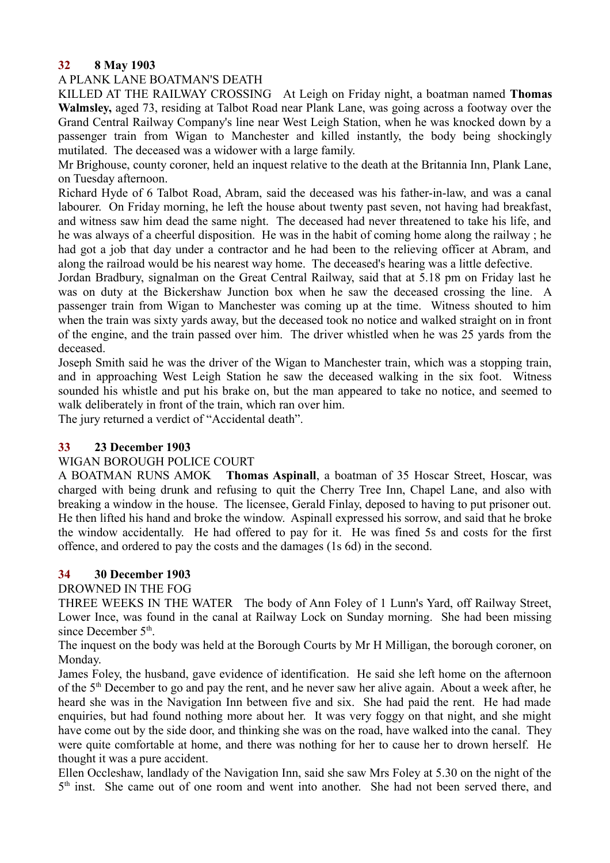## **32 8 May 1903**

#### A PLANK LANE BOATMAN'S DEATH

KILLED AT THE RAILWAY CROSSING At Leigh on Friday night, a boatman named **Thomas Walmsley,** aged 73, residing at Talbot Road near Plank Lane, was going across a footway over the Grand Central Railway Company's line near West Leigh Station, when he was knocked down by a passenger train from Wigan to Manchester and killed instantly, the body being shockingly mutilated. The deceased was a widower with a large family.

Mr Brighouse, county coroner, held an inquest relative to the death at the Britannia Inn, Plank Lane, on Tuesday afternoon.

Richard Hyde of 6 Talbot Road, Abram, said the deceased was his father-in-law, and was a canal labourer. On Friday morning, he left the house about twenty past seven, not having had breakfast, and witness saw him dead the same night. The deceased had never threatened to take his life, and he was always of a cheerful disposition. He was in the habit of coming home along the railway ; he had got a job that day under a contractor and he had been to the relieving officer at Abram, and along the railroad would be his nearest way home. The deceased's hearing was a little defective.

Jordan Bradbury, signalman on the Great Central Railway, said that at 5.18 pm on Friday last he was on duty at the Bickershaw Junction box when he saw the deceased crossing the line. A passenger train from Wigan to Manchester was coming up at the time. Witness shouted to him when the train was sixty yards away, but the deceased took no notice and walked straight on in front of the engine, and the train passed over him. The driver whistled when he was 25 yards from the deceased.

Joseph Smith said he was the driver of the Wigan to Manchester train, which was a stopping train, and in approaching West Leigh Station he saw the deceased walking in the six foot. Witness sounded his whistle and put his brake on, but the man appeared to take no notice, and seemed to walk deliberately in front of the train, which ran over him.

The jury returned a verdict of "Accidental death".

#### **33 23 December 1903**

## WIGAN BOROUGH POLICE COURT

A BOATMAN RUNS AMOK **Thomas Aspinall**, a boatman of 35 Hoscar Street, Hoscar, was charged with being drunk and refusing to quit the Cherry Tree Inn, Chapel Lane, and also with breaking a window in the house. The licensee, Gerald Finlay, deposed to having to put prisoner out. He then lifted his hand and broke the window. Aspinall expressed his sorrow, and said that he broke the window accidentally. He had offered to pay for it. He was fined 5s and costs for the first offence, and ordered to pay the costs and the damages (1s 6d) in the second.

## **34 30 December 1903**

## DROWNED IN THE FOG

THREE WEEKS IN THE WATER The body of Ann Foley of 1 Lunn's Yard, off Railway Street, Lower Ince, was found in the canal at Railway Lock on Sunday morning. She had been missing since December 5<sup>th</sup>.

The inquest on the body was held at the Borough Courts by Mr H Milligan, the borough coroner, on Monday.

James Foley, the husband, gave evidence of identification. He said she left home on the afternoon of the 5th December to go and pay the rent, and he never saw her alive again. About a week after, he heard she was in the Navigation Inn between five and six. She had paid the rent. He had made enquiries, but had found nothing more about her. It was very foggy on that night, and she might have come out by the side door, and thinking she was on the road, have walked into the canal. They were quite comfortable at home, and there was nothing for her to cause her to drown herself. He thought it was a pure accident.

Ellen Occleshaw, landlady of the Navigation Inn, said she saw Mrs Foley at 5.30 on the night of the 5<sup>th</sup> inst. She came out of one room and went into another. She had not been served there, and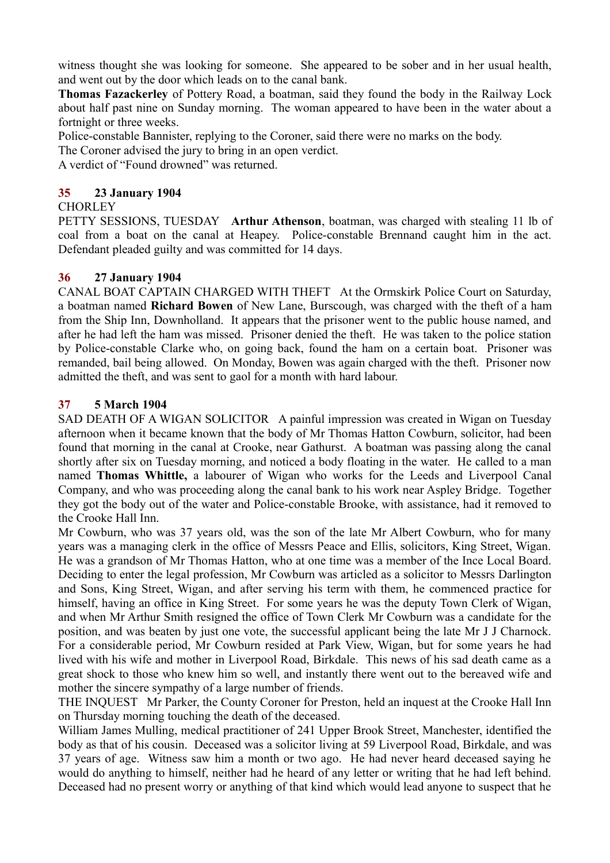witness thought she was looking for someone. She appeared to be sober and in her usual health, and went out by the door which leads on to the canal bank.

**Thomas Fazackerley** of Pottery Road, a boatman, said they found the body in the Railway Lock about half past nine on Sunday morning. The woman appeared to have been in the water about a fortnight or three weeks.

Police-constable Bannister, replying to the Coroner, said there were no marks on the body.

The Coroner advised the jury to bring in an open verdict.

A verdict of "Found drowned" was returned.

#### **35 23 January 1904**

#### **CHORLEY**

PETTY SESSIONS, TUESDAY **Arthur Athenson**, boatman, was charged with stealing 11 lb of coal from a boat on the canal at Heapey. Police-constable Brennand caught him in the act. Defendant pleaded guilty and was committed for 14 days.

#### **36 27 January 1904**

CANAL BOAT CAPTAIN CHARGED WITH THEFT At the Ormskirk Police Court on Saturday, a boatman named **Richard Bowen** of New Lane, Burscough, was charged with the theft of a ham from the Ship Inn, Downholland. It appears that the prisoner went to the public house named, and after he had left the ham was missed. Prisoner denied the theft. He was taken to the police station by Police-constable Clarke who, on going back, found the ham on a certain boat. Prisoner was remanded, bail being allowed. On Monday, Bowen was again charged with the theft. Prisoner now admitted the theft, and was sent to gaol for a month with hard labour.

#### **37 5 March 1904**

SAD DEATH OF A WIGAN SOLICITOR A painful impression was created in Wigan on Tuesday afternoon when it became known that the body of Mr Thomas Hatton Cowburn, solicitor, had been found that morning in the canal at Crooke, near Gathurst. A boatman was passing along the canal shortly after six on Tuesday morning, and noticed a body floating in the water. He called to a man named **Thomas Whittle,** a labourer of Wigan who works for the Leeds and Liverpool Canal Company, and who was proceeding along the canal bank to his work near Aspley Bridge. Together they got the body out of the water and Police-constable Brooke, with assistance, had it removed to the Crooke Hall Inn.

Mr Cowburn, who was 37 years old, was the son of the late Mr Albert Cowburn, who for many years was a managing clerk in the office of Messrs Peace and Ellis, solicitors, King Street, Wigan. He was a grandson of Mr Thomas Hatton, who at one time was a member of the Ince Local Board. Deciding to enter the legal profession, Mr Cowburn was articled as a solicitor to Messrs Darlington and Sons, King Street, Wigan, and after serving his term with them, he commenced practice for himself, having an office in King Street. For some years he was the deputy Town Clerk of Wigan, and when Mr Arthur Smith resigned the office of Town Clerk Mr Cowburn was a candidate for the position, and was beaten by just one vote, the successful applicant being the late Mr J J Charnock. For a considerable period, Mr Cowburn resided at Park View, Wigan, but for some years he had lived with his wife and mother in Liverpool Road, Birkdale. This news of his sad death came as a great shock to those who knew him so well, and instantly there went out to the bereaved wife and mother the sincere sympathy of a large number of friends.

THE INQUEST Mr Parker, the County Coroner for Preston, held an inquest at the Crooke Hall Inn on Thursday morning touching the death of the deceased.

William James Mulling, medical practitioner of 241 Upper Brook Street, Manchester, identified the body as that of his cousin. Deceased was a solicitor living at 59 Liverpool Road, Birkdale, and was 37 years of age. Witness saw him a month or two ago. He had never heard deceased saying he would do anything to himself, neither had he heard of any letter or writing that he had left behind. Deceased had no present worry or anything of that kind which would lead anyone to suspect that he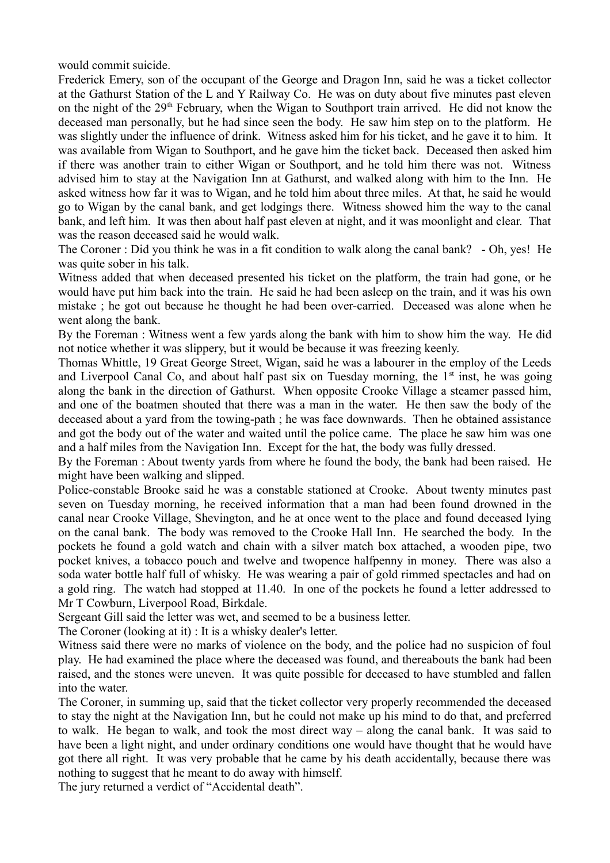would commit suicide.

Frederick Emery, son of the occupant of the George and Dragon Inn, said he was a ticket collector at the Gathurst Station of the L and Y Railway Co. He was on duty about five minutes past eleven on the night of the 29<sup>th</sup> February, when the Wigan to Southport train arrived. He did not know the deceased man personally, but he had since seen the body. He saw him step on to the platform. He was slightly under the influence of drink. Witness asked him for his ticket, and he gave it to him. It was available from Wigan to Southport, and he gave him the ticket back. Deceased then asked him if there was another train to either Wigan or Southport, and he told him there was not. Witness advised him to stay at the Navigation Inn at Gathurst, and walked along with him to the Inn. He asked witness how far it was to Wigan, and he told him about three miles. At that, he said he would go to Wigan by the canal bank, and get lodgings there. Witness showed him the way to the canal bank, and left him. It was then about half past eleven at night, and it was moonlight and clear. That was the reason deceased said he would walk.

The Coroner : Did you think he was in a fit condition to walk along the canal bank? - Oh, yes! He was quite sober in his talk.

Witness added that when deceased presented his ticket on the platform, the train had gone, or he would have put him back into the train. He said he had been asleep on the train, and it was his own mistake ; he got out because he thought he had been over-carried. Deceased was alone when he went along the bank.

By the Foreman : Witness went a few yards along the bank with him to show him the way. He did not notice whether it was slippery, but it would be because it was freezing keenly.

Thomas Whittle, 19 Great George Street, Wigan, said he was a labourer in the employ of the Leeds and Liverpool Canal Co, and about half past six on Tuesday morning, the  $1<sup>st</sup>$  inst, he was going along the bank in the direction of Gathurst. When opposite Crooke Village a steamer passed him, and one of the boatmen shouted that there was a man in the water. He then saw the body of the deceased about a yard from the towing-path ; he was face downwards. Then he obtained assistance and got the body out of the water and waited until the police came. The place he saw him was one and a half miles from the Navigation Inn. Except for the hat, the body was fully dressed.

By the Foreman : About twenty yards from where he found the body, the bank had been raised. He might have been walking and slipped.

Police-constable Brooke said he was a constable stationed at Crooke. About twenty minutes past seven on Tuesday morning, he received information that a man had been found drowned in the canal near Crooke Village, Shevington, and he at once went to the place and found deceased lying on the canal bank. The body was removed to the Crooke Hall Inn. He searched the body. In the pockets he found a gold watch and chain with a silver match box attached, a wooden pipe, two pocket knives, a tobacco pouch and twelve and twopence halfpenny in money. There was also a soda water bottle half full of whisky. He was wearing a pair of gold rimmed spectacles and had on a gold ring. The watch had stopped at 11.40. In one of the pockets he found a letter addressed to Mr T Cowburn, Liverpool Road, Birkdale.

Sergeant Gill said the letter was wet, and seemed to be a business letter.

The Coroner (looking at it) : It is a whisky dealer's letter.

Witness said there were no marks of violence on the body, and the police had no suspicion of foul play. He had examined the place where the deceased was found, and thereabouts the bank had been raised, and the stones were uneven. It was quite possible for deceased to have stumbled and fallen into the water.

The Coroner, in summing up, said that the ticket collector very properly recommended the deceased to stay the night at the Navigation Inn, but he could not make up his mind to do that, and preferred to walk. He began to walk, and took the most direct way – along the canal bank. It was said to have been a light night, and under ordinary conditions one would have thought that he would have got there all right. It was very probable that he came by his death accidentally, because there was nothing to suggest that he meant to do away with himself.

The jury returned a verdict of "Accidental death".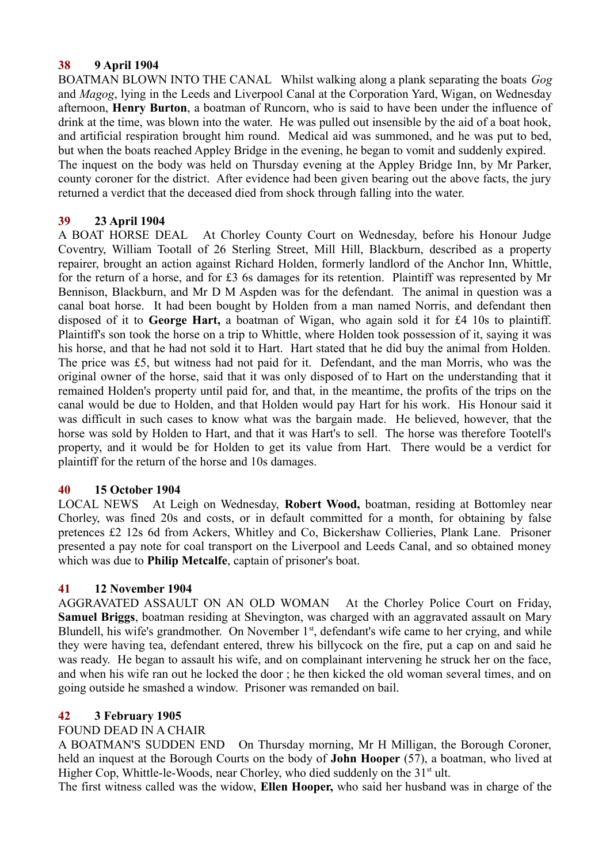#### **38 9 April 1904**

BOATMAN BLOWN INTO THE CANAL Whilst walking along a plank separating the boats *Gog* and *Magog*, lying in the Leeds and Liverpool Canal at the Corporation Yard, Wigan, on Wednesday afternoon, **Henry Burton**, a boatman of Runcorn, who is said to have been under the influence of drink at the time, was blown into the water. He was pulled out insensible by the aid of a boat hook, and artificial respiration brought him round. Medical aid was summoned, and he was put to bed, but when the boats reached Appley Bridge in the evening, he began to vomit and suddenly expired. The inquest on the body was held on Thursday evening at the Appley Bridge Inn, by Mr Parker, county coroner for the district. After evidence had been given bearing out the above facts, the jury returned a verdict that the deceased died from shock through falling into the water.

## **39 23 April 1904**

A BOAT HORSE DEAL At Chorley County Court on Wednesday, before his Honour Judge Coventry, William Tootall of 26 Sterling Street, Mill Hill, Blackburn, described as a property repairer, brought an action against Richard Holden, formerly landlord of the Anchor Inn, Whittle, for the return of a horse, and for £3 6s damages for its retention. Plaintiff was represented by Mr Bennison, Blackburn, and Mr D M Aspden was for the defendant. The animal in question was a canal boat horse. It had been bought by Holden from a man named Norris, and defendant then disposed of it to **George Hart,** a boatman of Wigan, who again sold it for £4 10s to plaintiff. Plaintiff's son took the horse on a trip to Whittle, where Holden took possession of it, saying it was his horse, and that he had not sold it to Hart. Hart stated that he did buy the animal from Holden. The price was £5, but witness had not paid for it. Defendant, and the man Morris, who was the original owner of the horse, said that it was only disposed of to Hart on the understanding that it remained Holden's property until paid for, and that, in the meantime, the profits of the trips on the canal would be due to Holden, and that Holden would pay Hart for his work. His Honour said it was difficult in such cases to know what was the bargain made. He believed, however, that the horse was sold by Holden to Hart, and that it was Hart's to sell. The horse was therefore Tootell's property, and it would be for Holden to get its value from Hart. There would be a verdict for plaintiff for the return of the horse and 10s damages.

#### **40 15 October 1904**

LOCAL NEWS At Leigh on Wednesday, **Robert Wood,** boatman, residing at Bottomley near Chorley, was fined 20s and costs, or in default committed for a month, for obtaining by false pretences £2 12s 6d from Ackers, Whitley and Co, Bickershaw Collieries, Plank Lane. Prisoner presented a pay note for coal transport on the Liverpool and Leeds Canal, and so obtained money which was due to **Philip Metcalfe**, captain of prisoner's boat.

## **41 12 November 1904**

AGGRAVATED ASSAULT ON AN OLD WOMAN At the Chorley Police Court on Friday, **Samuel Briggs**, boatman residing at Shevington, was charged with an aggravated assault on Mary Blundell, his wife's grandmother. On November  $1<sup>st</sup>$ , defendant's wife came to her crying, and while they were having tea, defendant entered, threw his billycock on the fire, put a cap on and said he was ready. He began to assault his wife, and on complainant intervening he struck her on the face, and when his wife ran out he locked the door ; he then kicked the old woman several times, and on going outside he smashed a window. Prisoner was remanded on bail.

## **42 3 February 1905**

#### FOUND DEAD IN A CHAIR

A BOATMAN'S SUDDEN END On Thursday morning, Mr H Milligan, the Borough Coroner, held an inquest at the Borough Courts on the body of **John Hooper** (57), a boatman, who lived at Higher Cop, Whittle-le-Woods, near Chorley, who died suddenly on the  $31<sup>st</sup>$  ult.

The first witness called was the widow, **Ellen Hooper,** who said her husband was in charge of the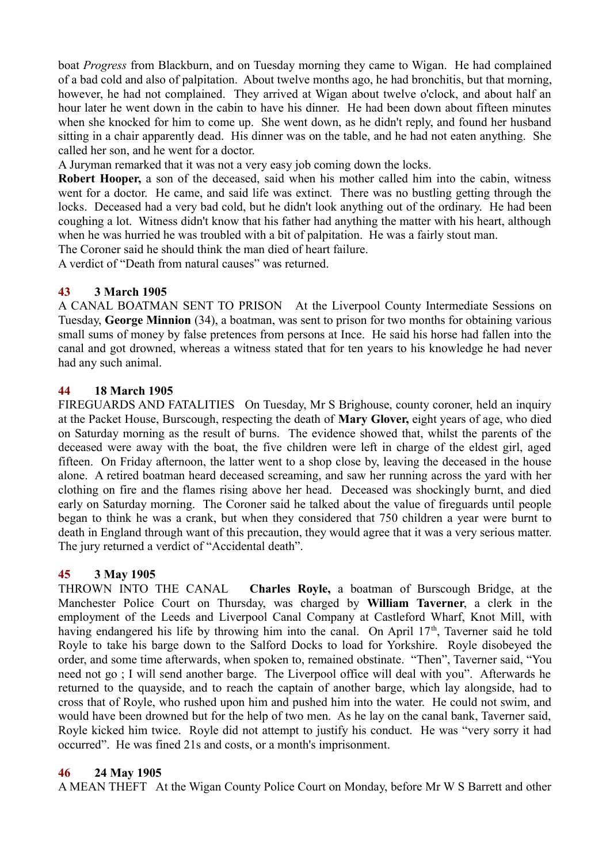boat *Progress* from Blackburn, and on Tuesday morning they came to Wigan. He had complained of a bad cold and also of palpitation. About twelve months ago, he had bronchitis, but that morning, however, he had not complained. They arrived at Wigan about twelve o'clock, and about half an hour later he went down in the cabin to have his dinner. He had been down about fifteen minutes when she knocked for him to come up. She went down, as he didn't reply, and found her husband sitting in a chair apparently dead. His dinner was on the table, and he had not eaten anything. She called her son, and he went for a doctor.

A Juryman remarked that it was not a very easy job coming down the locks.

**Robert Hooper,** a son of the deceased, said when his mother called him into the cabin, witness went for a doctor. He came, and said life was extinct. There was no bustling getting through the locks. Deceased had a very bad cold, but he didn't look anything out of the ordinary. He had been coughing a lot. Witness didn't know that his father had anything the matter with his heart, although when he was hurried he was troubled with a bit of palpitation. He was a fairly stout man.

The Coroner said he should think the man died of heart failure.

A verdict of "Death from natural causes" was returned.

#### **43 3 March 1905**

A CANAL BOATMAN SENT TO PRISON At the Liverpool County Intermediate Sessions on Tuesday, **George Minnion** (34), a boatman, was sent to prison for two months for obtaining various small sums of money by false pretences from persons at Ince. He said his horse had fallen into the canal and got drowned, whereas a witness stated that for ten years to his knowledge he had never had any such animal.

#### **44 18 March 1905**

FIREGUARDS AND FATALITIES On Tuesday, Mr S Brighouse, county coroner, held an inquiry at the Packet House, Burscough, respecting the death of **Mary Glover,** eight years of age, who died on Saturday morning as the result of burns. The evidence showed that, whilst the parents of the deceased were away with the boat, the five children were left in charge of the eldest girl, aged fifteen. On Friday afternoon, the latter went to a shop close by, leaving the deceased in the house alone. A retired boatman heard deceased screaming, and saw her running across the yard with her clothing on fire and the flames rising above her head. Deceased was shockingly burnt, and died early on Saturday morning. The Coroner said he talked about the value of fireguards until people began to think he was a crank, but when they considered that 750 children a year were burnt to death in England through want of this precaution, they would agree that it was a very serious matter. The jury returned a verdict of "Accidental death".

## **45 3 May 1905**

THROWN INTO THE CANAL **Charles Royle,** a boatman of Burscough Bridge, at the Manchester Police Court on Thursday, was charged by **William Taverner**, a clerk in the employment of the Leeds and Liverpool Canal Company at Castleford Wharf, Knot Mill, with having endangered his life by throwing him into the canal. On April  $17<sup>th</sup>$ , Taverner said he told Royle to take his barge down to the Salford Docks to load for Yorkshire. Royle disobeyed the order, and some time afterwards, when spoken to, remained obstinate. "Then", Taverner said, "You need not go ; I will send another barge. The Liverpool office will deal with you". Afterwards he returned to the quayside, and to reach the captain of another barge, which lay alongside, had to cross that of Royle, who rushed upon him and pushed him into the water. He could not swim, and would have been drowned but for the help of two men. As he lay on the canal bank, Taverner said, Royle kicked him twice. Royle did not attempt to justify his conduct. He was "very sorry it had occurred". He was fined 21s and costs, or a month's imprisonment.

#### **46 24 May 1905**

A MEAN THEFT At the Wigan County Police Court on Monday, before Mr W S Barrett and other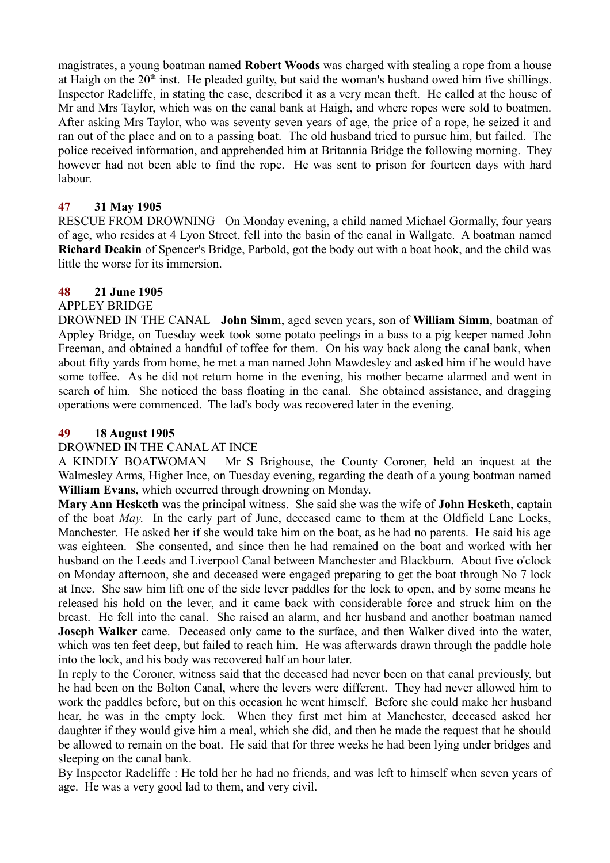magistrates, a young boatman named **Robert Woods** was charged with stealing a rope from a house at Haigh on the  $20<sup>th</sup>$  inst. He pleaded guilty, but said the woman's husband owed him five shillings. Inspector Radcliffe, in stating the case, described it as a very mean theft. He called at the house of Mr and Mrs Taylor, which was on the canal bank at Haigh, and where ropes were sold to boatmen. After asking Mrs Taylor, who was seventy seven years of age, the price of a rope, he seized it and ran out of the place and on to a passing boat. The old husband tried to pursue him, but failed. The police received information, and apprehended him at Britannia Bridge the following morning. They however had not been able to find the rope. He was sent to prison for fourteen days with hard labour.

#### **47 31 May 1905**

RESCUE FROM DROWNING On Monday evening, a child named Michael Gormally, four years of age, who resides at 4 Lyon Street, fell into the basin of the canal in Wallgate. A boatman named **Richard Deakin** of Spencer's Bridge, Parbold, got the body out with a boat hook, and the child was little the worse for its immersion.

## **48 21 June 1905**

#### APPLEY BRIDGE

DROWNED IN THE CANAL **John Simm**, aged seven years, son of **William Simm**, boatman of Appley Bridge, on Tuesday week took some potato peelings in a bass to a pig keeper named John Freeman, and obtained a handful of toffee for them. On his way back along the canal bank, when about fifty yards from home, he met a man named John Mawdesley and asked him if he would have some toffee. As he did not return home in the evening, his mother became alarmed and went in search of him. She noticed the bass floating in the canal. She obtained assistance, and dragging operations were commenced. The lad's body was recovered later in the evening.

#### **49 18 August 1905**

#### DROWNED IN THE CANAL AT INCE

A KINDLY BOATWOMAN Mr S Brighouse, the County Coroner, held an inquest at the Walmesley Arms, Higher Ince, on Tuesday evening, regarding the death of a young boatman named **William Evans**, which occurred through drowning on Monday.

**Mary Ann Hesketh** was the principal witness. She said she was the wife of **John Hesketh**, captain of the boat *May*. In the early part of June, deceased came to them at the Oldfield Lane Locks, Manchester. He asked her if she would take him on the boat, as he had no parents. He said his age was eighteen. She consented, and since then he had remained on the boat and worked with her husband on the Leeds and Liverpool Canal between Manchester and Blackburn. About five o'clock on Monday afternoon, she and deceased were engaged preparing to get the boat through No 7 lock at Ince. She saw him lift one of the side lever paddles for the lock to open, and by some means he released his hold on the lever, and it came back with considerable force and struck him on the breast. He fell into the canal. She raised an alarm, and her husband and another boatman named **Joseph Walker** came. Deceased only came to the surface, and then Walker dived into the water, which was ten feet deep, but failed to reach him. He was afterwards drawn through the paddle hole into the lock, and his body was recovered half an hour later.

In reply to the Coroner, witness said that the deceased had never been on that canal previously, but he had been on the Bolton Canal, where the levers were different. They had never allowed him to work the paddles before, but on this occasion he went himself. Before she could make her husband hear, he was in the empty lock. When they first met him at Manchester, deceased asked her daughter if they would give him a meal, which she did, and then he made the request that he should be allowed to remain on the boat. He said that for three weeks he had been lying under bridges and sleeping on the canal bank.

By Inspector Radcliffe : He told her he had no friends, and was left to himself when seven years of age. He was a very good lad to them, and very civil.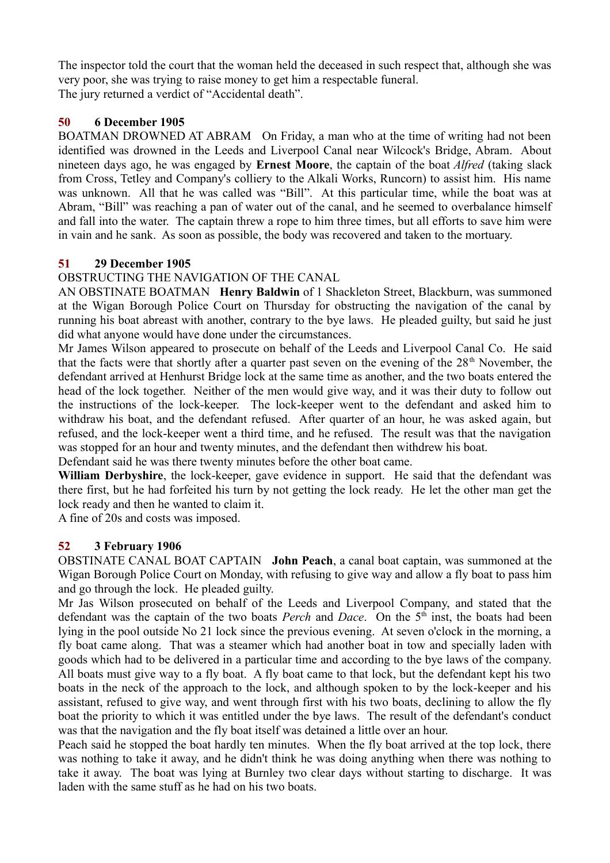The inspector told the court that the woman held the deceased in such respect that, although she was very poor, she was trying to raise money to get him a respectable funeral. The jury returned a verdict of "Accidental death".

# **50 6 December 1905**

BOATMAN DROWNED AT ABRAM On Friday, a man who at the time of writing had not been identified was drowned in the Leeds and Liverpool Canal near Wilcock's Bridge, Abram. About nineteen days ago, he was engaged by **Ernest Moore**, the captain of the boat *Alfred* (taking slack from Cross, Tetley and Company's colliery to the Alkali Works, Runcorn) to assist him. His name was unknown. All that he was called was "Bill". At this particular time, while the boat was at Abram, "Bill" was reaching a pan of water out of the canal, and he seemed to overbalance himself and fall into the water. The captain threw a rope to him three times, but all efforts to save him were in vain and he sank. As soon as possible, the body was recovered and taken to the mortuary.

# **51 29 December 1905**

# OBSTRUCTING THE NAVIGATION OF THE CANAL

AN OBSTINATE BOATMAN **Henry Baldwin** of 1 Shackleton Street, Blackburn, was summoned at the Wigan Borough Police Court on Thursday for obstructing the navigation of the canal by running his boat abreast with another, contrary to the bye laws. He pleaded guilty, but said he just did what anyone would have done under the circumstances.

Mr James Wilson appeared to prosecute on behalf of the Leeds and Liverpool Canal Co. He said that the facts were that shortly after a quarter past seven on the evening of the  $28<sup>th</sup>$  November, the defendant arrived at Henhurst Bridge lock at the same time as another, and the two boats entered the head of the lock together. Neither of the men would give way, and it was their duty to follow out the instructions of the lock-keeper. The lock-keeper went to the defendant and asked him to withdraw his boat, and the defendant refused. After quarter of an hour, he was asked again, but refused, and the lock-keeper went a third time, and he refused. The result was that the navigation was stopped for an hour and twenty minutes, and the defendant then withdrew his boat.

Defendant said he was there twenty minutes before the other boat came.

**William Derbyshire**, the lock-keeper, gave evidence in support. He said that the defendant was there first, but he had forfeited his turn by not getting the lock ready. He let the other man get the lock ready and then he wanted to claim it.

A fine of 20s and costs was imposed.

## **52 3 February 1906**

OBSTINATE CANAL BOAT CAPTAIN **John Peach**, a canal boat captain, was summoned at the Wigan Borough Police Court on Monday, with refusing to give way and allow a fly boat to pass him and go through the lock. He pleaded guilty.

Mr Jas Wilson prosecuted on behalf of the Leeds and Liverpool Company, and stated that the defendant was the captain of the two boats *Perch* and *Dace*. On the 5<sup>th</sup> inst, the boats had been lying in the pool outside No 21 lock since the previous evening. At seven o'clock in the morning, a fly boat came along. That was a steamer which had another boat in tow and specially laden with goods which had to be delivered in a particular time and according to the bye laws of the company. All boats must give way to a fly boat. A fly boat came to that lock, but the defendant kept his two boats in the neck of the approach to the lock, and although spoken to by the lock-keeper and his assistant, refused to give way, and went through first with his two boats, declining to allow the fly boat the priority to which it was entitled under the bye laws. The result of the defendant's conduct was that the navigation and the fly boat itself was detained a little over an hour.

Peach said he stopped the boat hardly ten minutes. When the fly boat arrived at the top lock, there was nothing to take it away, and he didn't think he was doing anything when there was nothing to take it away. The boat was lying at Burnley two clear days without starting to discharge. It was laden with the same stuff as he had on his two boats.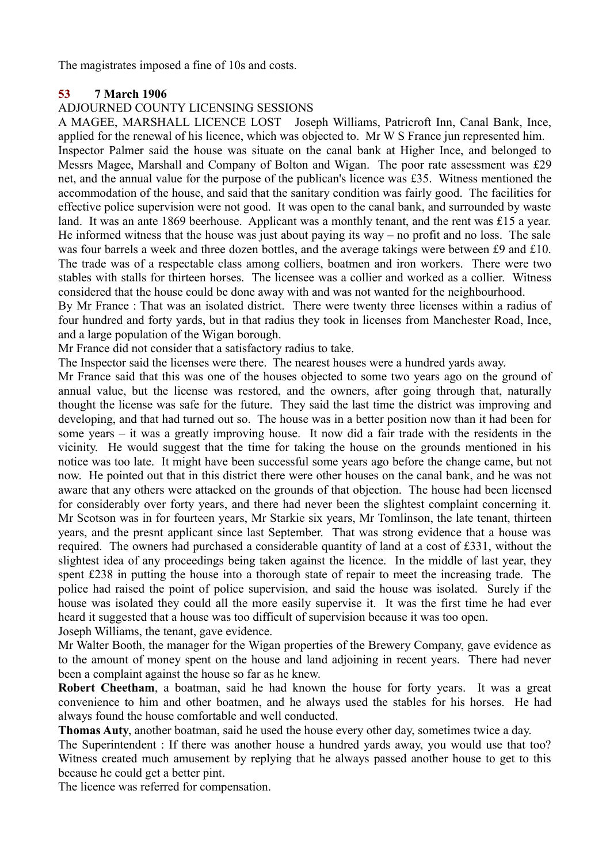The magistrates imposed a fine of 10s and costs.

#### **53 7 March 1906**

#### ADJOURNED COUNTY LICENSING SESSIONS

A MAGEE, MARSHALL LICENCE LOST Joseph Williams, Patricroft Inn, Canal Bank, Ince, applied for the renewal of his licence, which was objected to. Mr W S France jun represented him. Inspector Palmer said the house was situate on the canal bank at Higher Ince, and belonged to Messrs Magee, Marshall and Company of Bolton and Wigan. The poor rate assessment was £29 net, and the annual value for the purpose of the publican's licence was £35. Witness mentioned the accommodation of the house, and said that the sanitary condition was fairly good. The facilities for effective police supervision were not good. It was open to the canal bank, and surrounded by waste land. It was an ante 1869 beerhouse. Applicant was a monthly tenant, and the rent was £15 a year. He informed witness that the house was just about paying its way – no profit and no loss. The sale was four barrels a week and three dozen bottles, and the average takings were between £9 and £10. The trade was of a respectable class among colliers, boatmen and iron workers. There were two stables with stalls for thirteen horses. The licensee was a collier and worked as a collier. Witness considered that the house could be done away with and was not wanted for the neighbourhood.

By Mr France : That was an isolated district. There were twenty three licenses within a radius of four hundred and forty yards, but in that radius they took in licenses from Manchester Road, Ince, and a large population of the Wigan borough.

Mr France did not consider that a satisfactory radius to take.

The Inspector said the licenses were there. The nearest houses were a hundred yards away.

Mr France said that this was one of the houses objected to some two years ago on the ground of annual value, but the license was restored, and the owners, after going through that, naturally thought the license was safe for the future. They said the last time the district was improving and developing, and that had turned out so. The house was in a better position now than it had been for some years – it was a greatly improving house. It now did a fair trade with the residents in the vicinity. He would suggest that the time for taking the house on the grounds mentioned in his notice was too late. It might have been successful some years ago before the change came, but not now. He pointed out that in this district there were other houses on the canal bank, and he was not aware that any others were attacked on the grounds of that objection. The house had been licensed for considerably over forty years, and there had never been the slightest complaint concerning it. Mr Scotson was in for fourteen years, Mr Starkie six years, Mr Tomlinson, the late tenant, thirteen years, and the presnt applicant since last September. That was strong evidence that a house was required. The owners had purchased a considerable quantity of land at a cost of £331, without the slightest idea of any proceedings being taken against the licence. In the middle of last year, they spent £238 in putting the house into a thorough state of repair to meet the increasing trade. The police had raised the point of police supervision, and said the house was isolated. Surely if the house was isolated they could all the more easily supervise it. It was the first time he had ever heard it suggested that a house was too difficult of supervision because it was too open. Joseph Williams, the tenant, gave evidence.

Mr Walter Booth, the manager for the Wigan properties of the Brewery Company, gave evidence as to the amount of money spent on the house and land adjoining in recent years. There had never been a complaint against the house so far as he knew.

**Robert Cheetham**, a boatman, said he had known the house for forty years. It was a great convenience to him and other boatmen, and he always used the stables for his horses. He had always found the house comfortable and well conducted.

**Thomas Auty**, another boatman, said he used the house every other day, sometimes twice a day.

The Superintendent : If there was another house a hundred yards away, you would use that too? Witness created much amusement by replying that he always passed another house to get to this because he could get a better pint.

The licence was referred for compensation.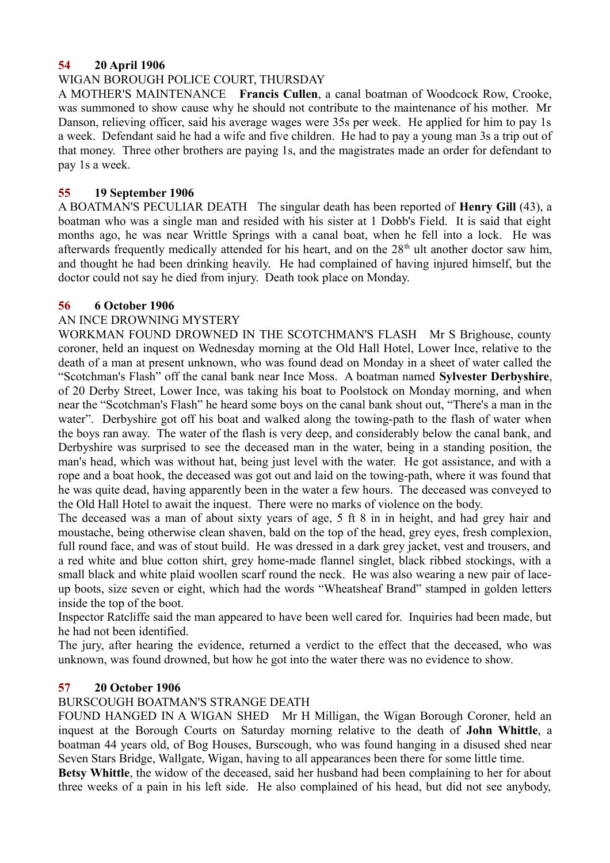## **54 20 April 1906**

## WIGAN BOROUGH POLICE COURT, THURSDAY

A MOTHER'S MAINTENANCE **Francis Cullen**, a canal boatman of Woodcock Row, Crooke, was summoned to show cause why he should not contribute to the maintenance of his mother. Mr Danson, relieving officer, said his average wages were 35s per week. He applied for him to pay 1s a week. Defendant said he had a wife and five children. He had to pay a young man 3s a trip out of that money. Three other brothers are paying 1s, and the magistrates made an order for defendant to pay 1s a week.

# **55 19 September 1906**

A BOATMAN'S PECULIAR DEATH The singular death has been reported of **Henry Gill** (43), a boatman who was a single man and resided with his sister at 1 Dobb's Field. It is said that eight months ago, he was near Writtle Springs with a canal boat, when he fell into a lock. He was afterwards frequently medically attended for his heart, and on the  $28<sup>th</sup>$  ult another doctor saw him, and thought he had been drinking heavily. He had complained of having injured himself, but the doctor could not say he died from injury. Death took place on Monday.

## **56 6 October 1906**

# AN INCE DROWNING MYSTERY

WORKMAN FOUND DROWNED IN THE SCOTCHMAN'S FLASH Mr S Brighouse, county coroner, held an inquest on Wednesday morning at the Old Hall Hotel, Lower Ince, relative to the death of a man at present unknown, who was found dead on Monday in a sheet of water called the "Scotchman's Flash" off the canal bank near Ince Moss. A boatman named **Sylvester Derbyshire**, of 20 Derby Street, Lower Ince, was taking his boat to Poolstock on Monday morning, and when near the "Scotchman's Flash" he heard some boys on the canal bank shout out, "There's a man in the water". Derbyshire got off his boat and walked along the towing-path to the flash of water when the boys ran away. The water of the flash is very deep, and considerably below the canal bank, and Derbyshire was surprised to see the deceased man in the water, being in a standing position, the man's head, which was without hat, being just level with the water. He got assistance, and with a rope and a boat hook, the deceased was got out and laid on the towing-path, where it was found that he was quite dead, having apparently been in the water a few hours. The deceased was conveyed to the Old Hall Hotel to await the inquest. There were no marks of violence on the body.

The deceased was a man of about sixty years of age, 5 ft 8 in in height, and had grey hair and moustache, being otherwise clean shaven, bald on the top of the head, grey eyes, fresh complexion, full round face, and was of stout build. He was dressed in a dark grey jacket, vest and trousers, and a red white and blue cotton shirt, grey home-made flannel singlet, black ribbed stockings, with a small black and white plaid woollen scarf round the neck. He was also wearing a new pair of laceup boots, size seven or eight, which had the words "Wheatsheaf Brand" stamped in golden letters inside the top of the boot.

Inspector Ratcliffe said the man appeared to have been well cared for. Inquiries had been made, but he had not been identified.

The jury, after hearing the evidence, returned a verdict to the effect that the deceased, who was unknown, was found drowned, but how he got into the water there was no evidence to show.

## **57 20 October 1906**

## BURSCOUGH BOATMAN'S STRANGE DEATH

FOUND HANGED IN A WIGAN SHED Mr H Milligan, the Wigan Borough Coroner, held an inquest at the Borough Courts on Saturday morning relative to the death of **John Whittle**, a boatman 44 years old, of Bog Houses, Burscough, who was found hanging in a disused shed near Seven Stars Bridge, Wallgate, Wigan, having to all appearances been there for some little time.

**Betsy Whittle**, the widow of the deceased, said her husband had been complaining to her for about three weeks of a pain in his left side. He also complained of his head, but did not see anybody,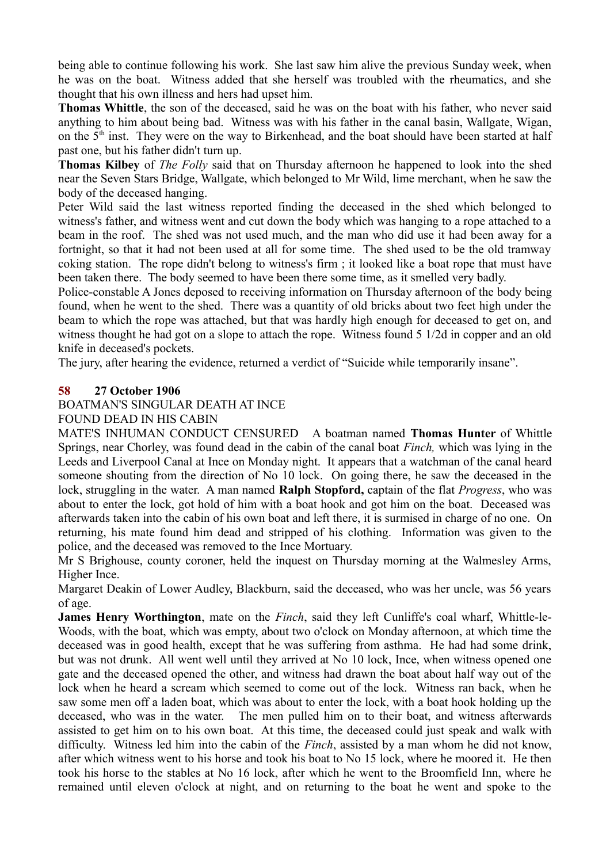being able to continue following his work. She last saw him alive the previous Sunday week, when he was on the boat. Witness added that she herself was troubled with the rheumatics, and she thought that his own illness and hers had upset him.

**Thomas Whittle**, the son of the deceased, said he was on the boat with his father, who never said anything to him about being bad. Witness was with his father in the canal basin, Wallgate, Wigan, on the 5<sup>th</sup> inst. They were on the way to Birkenhead, and the boat should have been started at half past one, but his father didn't turn up.

**Thomas Kilbey** of *The Folly* said that on Thursday afternoon he happened to look into the shed near the Seven Stars Bridge, Wallgate, which belonged to Mr Wild, lime merchant, when he saw the body of the deceased hanging.

Peter Wild said the last witness reported finding the deceased in the shed which belonged to witness's father, and witness went and cut down the body which was hanging to a rope attached to a beam in the roof. The shed was not used much, and the man who did use it had been away for a fortnight, so that it had not been used at all for some time. The shed used to be the old tramway coking station. The rope didn't belong to witness's firm ; it looked like a boat rope that must have been taken there. The body seemed to have been there some time, as it smelled very badly.

Police-constable A Jones deposed to receiving information on Thursday afternoon of the body being found, when he went to the shed. There was a quantity of old bricks about two feet high under the beam to which the rope was attached, but that was hardly high enough for deceased to get on, and witness thought he had got on a slope to attach the rope. Witness found 5 1/2d in copper and an old knife in deceased's pockets.

The jury, after hearing the evidence, returned a verdict of "Suicide while temporarily insane".

# **58 27 October 1906**

BOATMAN'S SINGULAR DEATH AT INCE

## FOUND DEAD IN HIS CABIN

MATE'S INHUMAN CONDUCT CENSURED A boatman named **Thomas Hunter** of Whittle Springs, near Chorley, was found dead in the cabin of the canal boat *Finch,* which was lying in the Leeds and Liverpool Canal at Ince on Monday night. It appears that a watchman of the canal heard someone shouting from the direction of No 10 lock. On going there, he saw the deceased in the lock, struggling in the water. A man named **Ralph Stopford,** captain of the flat *Progress*, who was about to enter the lock, got hold of him with a boat hook and got him on the boat. Deceased was afterwards taken into the cabin of his own boat and left there, it is surmised in charge of no one. On returning, his mate found him dead and stripped of his clothing. Information was given to the police, and the deceased was removed to the Ince Mortuary.

Mr S Brighouse, county coroner, held the inquest on Thursday morning at the Walmesley Arms, Higher Ince.

Margaret Deakin of Lower Audley, Blackburn, said the deceased, who was her uncle, was 56 years of age.

**James Henry Worthington**, mate on the *Finch*, said they left Cunliffe's coal wharf, Whittle-le-Woods, with the boat, which was empty, about two o'clock on Monday afternoon, at which time the deceased was in good health, except that he was suffering from asthma. He had had some drink, but was not drunk. All went well until they arrived at No 10 lock, Ince, when witness opened one gate and the deceased opened the other, and witness had drawn the boat about half way out of the lock when he heard a scream which seemed to come out of the lock. Witness ran back, when he saw some men off a laden boat, which was about to enter the lock, with a boat hook holding up the deceased, who was in the water. The men pulled him on to their boat, and witness afterwards assisted to get him on to his own boat. At this time, the deceased could just speak and walk with difficulty. Witness led him into the cabin of the *Finch*, assisted by a man whom he did not know, after which witness went to his horse and took his boat to No 15 lock, where he moored it. He then took his horse to the stables at No 16 lock, after which he went to the Broomfield Inn, where he remained until eleven o'clock at night, and on returning to the boat he went and spoke to the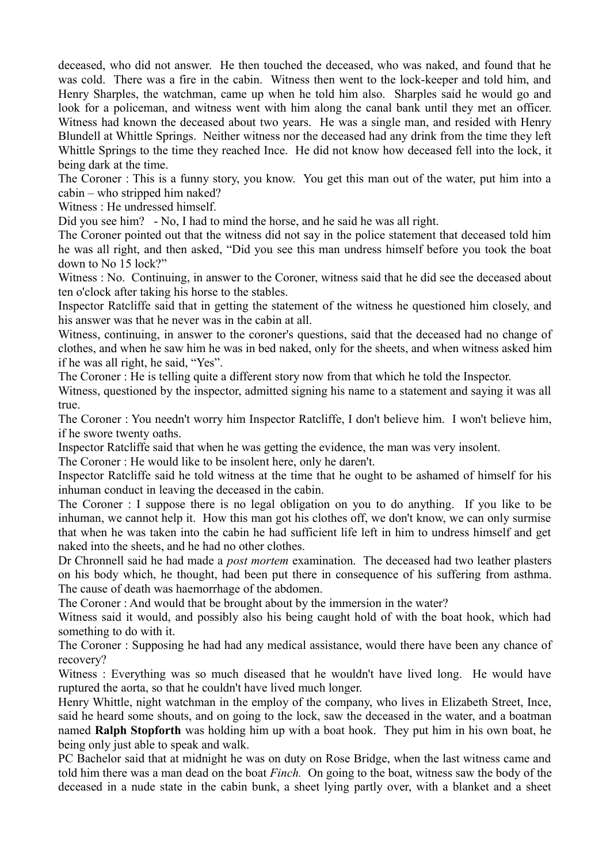deceased, who did not answer. He then touched the deceased, who was naked, and found that he was cold. There was a fire in the cabin. Witness then went to the lock-keeper and told him, and Henry Sharples, the watchman, came up when he told him also. Sharples said he would go and look for a policeman, and witness went with him along the canal bank until they met an officer. Witness had known the deceased about two years. He was a single man, and resided with Henry Blundell at Whittle Springs. Neither witness nor the deceased had any drink from the time they left Whittle Springs to the time they reached Ince. He did not know how deceased fell into the lock, it being dark at the time.

The Coroner : This is a funny story, you know. You get this man out of the water, put him into a cabin – who stripped him naked?

Witness : He undressed himself.

Did you see him? - No, I had to mind the horse, and he said he was all right.

The Coroner pointed out that the witness did not say in the police statement that deceased told him he was all right, and then asked, "Did you see this man undress himself before you took the boat down to No 15 lock?"

Witness : No. Continuing, in answer to the Coroner, witness said that he did see the deceased about ten o'clock after taking his horse to the stables.

Inspector Ratcliffe said that in getting the statement of the witness he questioned him closely, and his answer was that he never was in the cabin at all.

Witness, continuing, in answer to the coroner's questions, said that the deceased had no change of clothes, and when he saw him he was in bed naked, only for the sheets, and when witness asked him if he was all right, he said, "Yes".

The Coroner : He is telling quite a different story now from that which he told the Inspector.

Witness, questioned by the inspector, admitted signing his name to a statement and saying it was all true.

The Coroner : You needn't worry him Inspector Ratcliffe, I don't believe him. I won't believe him, if he swore twenty oaths.

Inspector Ratcliffe said that when he was getting the evidence, the man was very insolent.

The Coroner : He would like to be insolent here, only he daren't.

Inspector Ratcliffe said he told witness at the time that he ought to be ashamed of himself for his inhuman conduct in leaving the deceased in the cabin.

The Coroner : I suppose there is no legal obligation on you to do anything. If you like to be inhuman, we cannot help it. How this man got his clothes off, we don't know, we can only surmise that when he was taken into the cabin he had sufficient life left in him to undress himself and get naked into the sheets, and he had no other clothes.

Dr Chronnell said he had made a *post mortem* examination. The deceased had two leather plasters on his body which, he thought, had been put there in consequence of his suffering from asthma. The cause of death was haemorrhage of the abdomen.

The Coroner : And would that be brought about by the immersion in the water?

Witness said it would, and possibly also his being caught hold of with the boat hook, which had something to do with it.

The Coroner : Supposing he had had any medical assistance, would there have been any chance of recovery?

Witness : Everything was so much diseased that he wouldn't have lived long. He would have ruptured the aorta, so that he couldn't have lived much longer.

Henry Whittle, night watchman in the employ of the company, who lives in Elizabeth Street, Ince, said he heard some shouts, and on going to the lock, saw the deceased in the water, and a boatman named **Ralph Stopforth** was holding him up with a boat hook. They put him in his own boat, he being only just able to speak and walk.

PC Bachelor said that at midnight he was on duty on Rose Bridge, when the last witness came and told him there was a man dead on the boat *Finch.* On going to the boat, witness saw the body of the deceased in a nude state in the cabin bunk, a sheet lying partly over, with a blanket and a sheet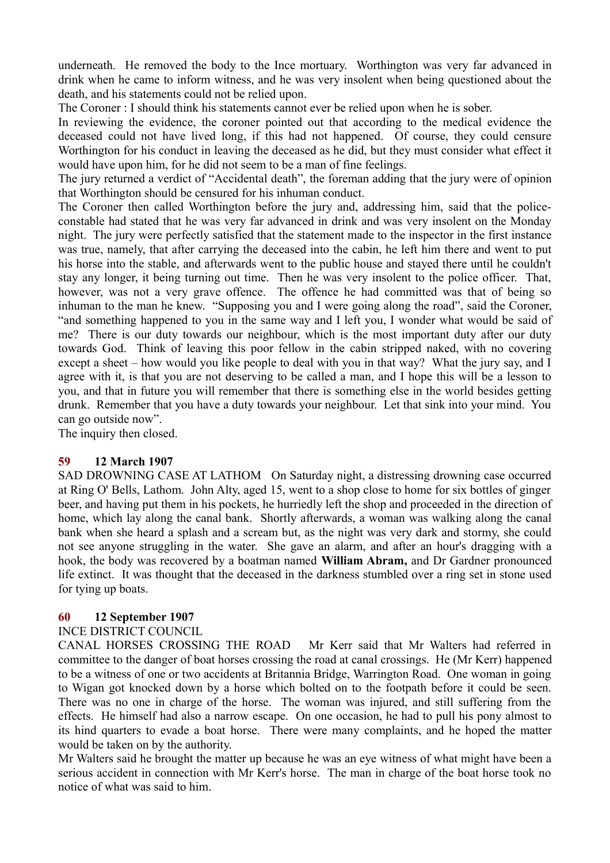underneath. He removed the body to the Ince mortuary. Worthington was very far advanced in drink when he came to inform witness, and he was very insolent when being questioned about the death, and his statements could not be relied upon.

The Coroner : I should think his statements cannot ever be relied upon when he is sober.

In reviewing the evidence, the coroner pointed out that according to the medical evidence the deceased could not have lived long, if this had not happened. Of course, they could censure Worthington for his conduct in leaving the deceased as he did, but they must consider what effect it would have upon him, for he did not seem to be a man of fine feelings.

The jury returned a verdict of "Accidental death", the foreman adding that the jury were of opinion that Worthington should be censured for his inhuman conduct.

The Coroner then called Worthington before the jury and, addressing him, said that the policeconstable had stated that he was very far advanced in drink and was very insolent on the Monday night. The jury were perfectly satisfied that the statement made to the inspector in the first instance was true, namely, that after carrying the deceased into the cabin, he left him there and went to put his horse into the stable, and afterwards went to the public house and stayed there until he couldn't stay any longer, it being turning out time. Then he was very insolent to the police officer. That, however, was not a very grave offence. The offence he had committed was that of being so inhuman to the man he knew. "Supposing you and I were going along the road", said the Coroner, "and something happened to you in the same way and I left you, I wonder what would be said of me? There is our duty towards our neighbour, which is the most important duty after our duty towards God. Think of leaving this poor fellow in the cabin stripped naked, with no covering except a sheet – how would you like people to deal with you in that way? What the jury say, and I agree with it, is that you are not deserving to be called a man, and I hope this will be a lesson to you, and that in future you will remember that there is something else in the world besides getting drunk. Remember that you have a duty towards your neighbour. Let that sink into your mind. You can go outside now".

The inquiry then closed.

#### **59 12 March 1907**

SAD DROWNING CASE AT LATHOM On Saturday night, a distressing drowning case occurred at Ring O' Bells, Lathom. John Alty, aged 15, went to a shop close to home for six bottles of ginger beer, and having put them in his pockets, he hurriedly left the shop and proceeded in the direction of home, which lay along the canal bank. Shortly afterwards, a woman was walking along the canal bank when she heard a splash and a scream but, as the night was very dark and stormy, she could not see anyone struggling in the water. She gave an alarm, and after an hour's dragging with a hook, the body was recovered by a boatman named **William Abram,** and Dr Gardner pronounced life extinct. It was thought that the deceased in the darkness stumbled over a ring set in stone used for tying up boats.

## **60 12 September 1907**

#### INCE DISTRICT COUNCIL

CANAL HORSES CROSSING THE ROAD Mr Kerr said that Mr Walters had referred in committee to the danger of boat horses crossing the road at canal crossings. He (Mr Kerr) happened to be a witness of one or two accidents at Britannia Bridge, Warrington Road. One woman in going to Wigan got knocked down by a horse which bolted on to the footpath before it could be seen. There was no one in charge of the horse. The woman was injured, and still suffering from the effects. He himself had also a narrow escape. On one occasion, he had to pull his pony almost to its hind quarters to evade a boat horse. There were many complaints, and he hoped the matter would be taken on by the authority.

Mr Walters said he brought the matter up because he was an eye witness of what might have been a serious accident in connection with Mr Kerr's horse. The man in charge of the boat horse took no notice of what was said to him.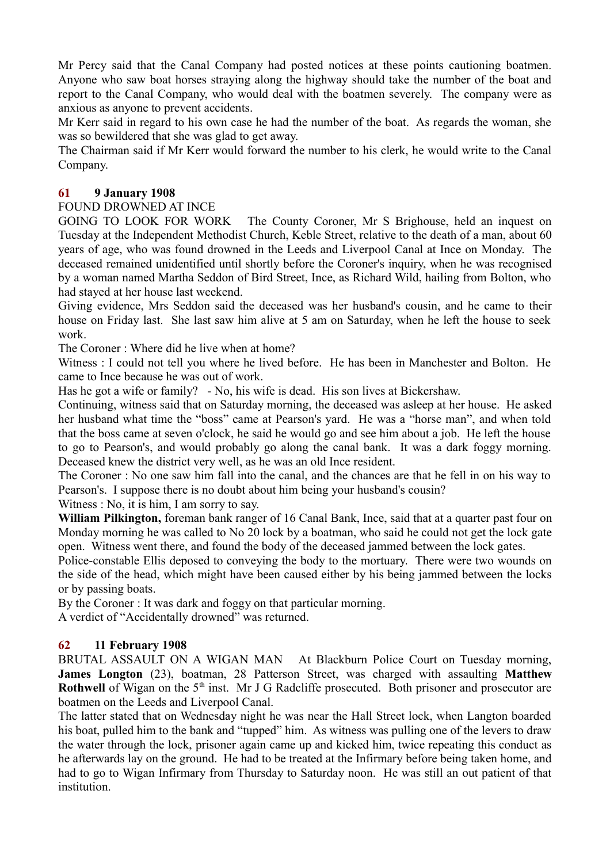Mr Percy said that the Canal Company had posted notices at these points cautioning boatmen. Anyone who saw boat horses straying along the highway should take the number of the boat and report to the Canal Company, who would deal with the boatmen severely. The company were as anxious as anyone to prevent accidents.

Mr Kerr said in regard to his own case he had the number of the boat. As regards the woman, she was so bewildered that she was glad to get away.

The Chairman said if Mr Kerr would forward the number to his clerk, he would write to the Canal Company.

## **61 9 January 1908**

## FOUND DROWNED AT INCE

GOING TO LOOK FOR WORK The County Coroner, Mr S Brighouse, held an inquest on Tuesday at the Independent Methodist Church, Keble Street, relative to the death of a man, about 60 years of age, who was found drowned in the Leeds and Liverpool Canal at Ince on Monday. The deceased remained unidentified until shortly before the Coroner's inquiry, when he was recognised by a woman named Martha Seddon of Bird Street, Ince, as Richard Wild, hailing from Bolton, who had stayed at her house last weekend.

Giving evidence, Mrs Seddon said the deceased was her husband's cousin, and he came to their house on Friday last. She last saw him alive at 5 am on Saturday, when he left the house to seek work.

The Coroner : Where did he live when at home?

Witness : I could not tell you where he lived before. He has been in Manchester and Bolton. He came to Ince because he was out of work.

Has he got a wife or family? - No, his wife is dead. His son lives at Bickershaw.

Continuing, witness said that on Saturday morning, the deceased was asleep at her house. He asked her husband what time the "boss" came at Pearson's yard. He was a "horse man", and when told that the boss came at seven o'clock, he said he would go and see him about a job. He left the house to go to Pearson's, and would probably go along the canal bank. It was a dark foggy morning. Deceased knew the district very well, as he was an old Ince resident.

The Coroner : No one saw him fall into the canal, and the chances are that he fell in on his way to Pearson's. I suppose there is no doubt about him being your husband's cousin?

Witness : No, it is him, I am sorry to say.

**William Pilkington,** foreman bank ranger of 16 Canal Bank, Ince, said that at a quarter past four on Monday morning he was called to No 20 lock by a boatman, who said he could not get the lock gate open. Witness went there, and found the body of the deceased jammed between the lock gates.

Police-constable Ellis deposed to conveying the body to the mortuary. There were two wounds on the side of the head, which might have been caused either by his being jammed between the locks or by passing boats.

By the Coroner : It was dark and foggy on that particular morning. A verdict of "Accidentally drowned" was returned.

## **62 11 February 1908**

BRUTAL ASSAULT ON A WIGAN MAN At Blackburn Police Court on Tuesday morning, **James Longton** (23), boatman, 28 Patterson Street, was charged with assaulting **Matthew Rothwell** of Wigan on the 5<sup>th</sup> inst. Mr J G Radcliffe prosecuted. Both prisoner and prosecutor are boatmen on the Leeds and Liverpool Canal.

The latter stated that on Wednesday night he was near the Hall Street lock, when Langton boarded his boat, pulled him to the bank and "tupped" him. As witness was pulling one of the levers to draw the water through the lock, prisoner again came up and kicked him, twice repeating this conduct as he afterwards lay on the ground. He had to be treated at the Infirmary before being taken home, and had to go to Wigan Infirmary from Thursday to Saturday noon. He was still an out patient of that institution.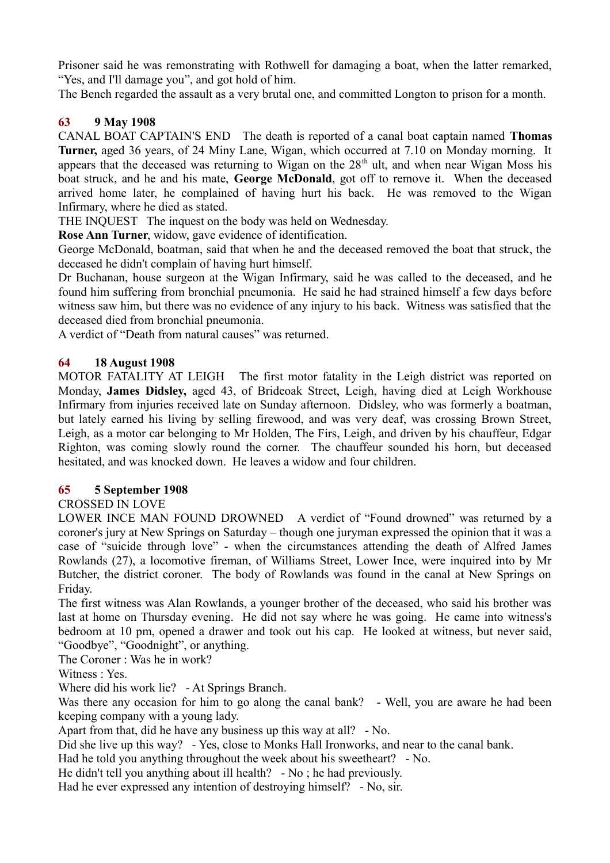Prisoner said he was remonstrating with Rothwell for damaging a boat, when the latter remarked, "Yes, and I'll damage you", and got hold of him.

The Bench regarded the assault as a very brutal one, and committed Longton to prison for a month.

# **63 9 May 1908**

CANAL BOAT CAPTAIN'S END The death is reported of a canal boat captain named **Thomas Turner,** aged 36 years, of 24 Miny Lane, Wigan, which occurred at 7.10 on Monday morning. It appears that the deceased was returning to Wigan on the  $28<sup>th</sup>$  ult, and when near Wigan Moss his boat struck, and he and his mate, **George McDonald**, got off to remove it. When the deceased arrived home later, he complained of having hurt his back. He was removed to the Wigan Infirmary, where he died as stated.

THE INQUEST The inquest on the body was held on Wednesday.

**Rose Ann Turner**, widow, gave evidence of identification.

George McDonald, boatman, said that when he and the deceased removed the boat that struck, the deceased he didn't complain of having hurt himself.

Dr Buchanan, house surgeon at the Wigan Infirmary, said he was called to the deceased, and he found him suffering from bronchial pneumonia. He said he had strained himself a few days before witness saw him, but there was no evidence of any injury to his back. Witness was satisfied that the deceased died from bronchial pneumonia.

A verdict of "Death from natural causes" was returned.

## **64 18 August 1908**

MOTOR FATALITY AT LEIGH The first motor fatality in the Leigh district was reported on Monday, **James Didsley,** aged 43, of Brideoak Street, Leigh, having died at Leigh Workhouse Infirmary from injuries received late on Sunday afternoon. Didsley, who was formerly a boatman, but lately earned his living by selling firewood, and was very deaf, was crossing Brown Street, Leigh, as a motor car belonging to Mr Holden, The Firs, Leigh, and driven by his chauffeur, Edgar Righton, was coming slowly round the corner. The chauffeur sounded his horn, but deceased hesitated, and was knocked down. He leaves a widow and four children.

## **65 5 September 1908**

## CROSSED IN LOVE

LOWER INCE MAN FOUND DROWNED A verdict of "Found drowned" was returned by a coroner's jury at New Springs on Saturday – though one juryman expressed the opinion that it was a case of "suicide through love" - when the circumstances attending the death of Alfred James Rowlands (27), a locomotive fireman, of Williams Street, Lower Ince, were inquired into by Mr Butcher, the district coroner. The body of Rowlands was found in the canal at New Springs on Friday.

The first witness was Alan Rowlands, a younger brother of the deceased, who said his brother was last at home on Thursday evening. He did not say where he was going. He came into witness's bedroom at 10 pm, opened a drawer and took out his cap. He looked at witness, but never said, "Goodbye", "Goodnight", or anything.

The Coroner : Was he in work?

Witness : Yes.

Where did his work lie? - At Springs Branch.

Was there any occasion for him to go along the canal bank? - Well, you are aware he had been keeping company with a young lady.

Apart from that, did he have any business up this way at all? - No.

Did she live up this way? - Yes, close to Monks Hall Ironworks, and near to the canal bank.

Had he told you anything throughout the week about his sweetheart? - No.

He didn't tell you anything about ill health? - No ; he had previously.

Had he ever expressed any intention of destroying himself? - No, sir.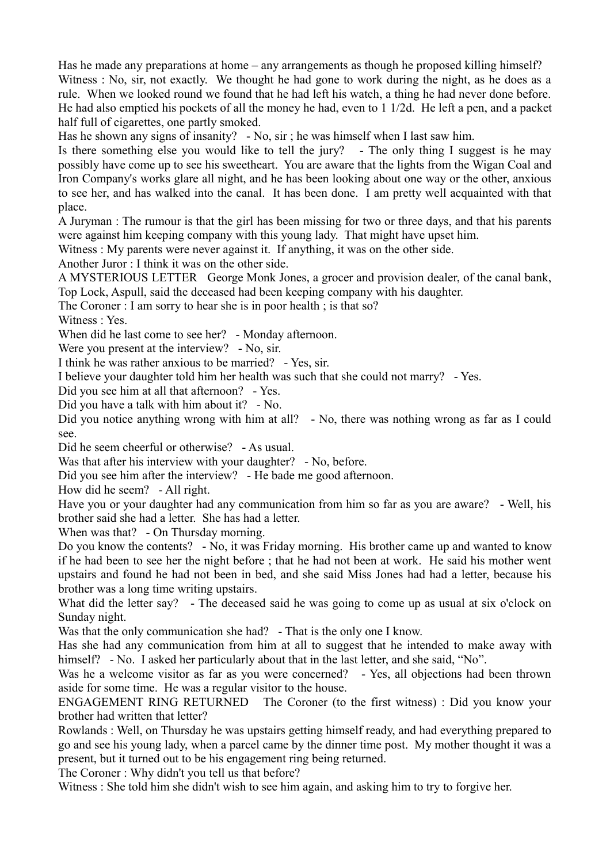Has he made any preparations at home – any arrangements as though he proposed killing himself? Witness : No, sir, not exactly. We thought he had gone to work during the night, as he does as a rule. When we looked round we found that he had left his watch, a thing he had never done before. He had also emptied his pockets of all the money he had, even to 1 1/2d. He left a pen, and a packet half full of cigarettes, one partly smoked.

Has he shown any signs of insanity? - No, sir; he was himself when I last saw him.

Is there something else you would like to tell the jury? - The only thing I suggest is he may possibly have come up to see his sweetheart. You are aware that the lights from the Wigan Coal and Iron Company's works glare all night, and he has been looking about one way or the other, anxious to see her, and has walked into the canal. It has been done. I am pretty well acquainted with that place.

A Juryman : The rumour is that the girl has been missing for two or three days, and that his parents were against him keeping company with this young lady. That might have upset him.

Witness : My parents were never against it. If anything, it was on the other side.

Another Juror : I think it was on the other side.

A MYSTERIOUS LETTER George Monk Jones, a grocer and provision dealer, of the canal bank, Top Lock, Aspull, said the deceased had been keeping company with his daughter.

The Coroner : I am sorry to hear she is in poor health ; is that so?

Witness : Yes.

When did he last come to see her? - Monday afternoon.

Were you present at the interview? - No, sir.

I think he was rather anxious to be married? - Yes, sir.

I believe your daughter told him her health was such that she could not marry? - Yes.

Did you see him at all that afternoon? - Yes.

Did you have a talk with him about it? - No.

Did you notice anything wrong with him at all? - No, there was nothing wrong as far as I could see.

Did he seem cheerful or otherwise? - As usual.

Was that after his interview with your daughter? - No, before.

Did you see him after the interview? - He bade me good afternoon.

How did he seem? - All right.

Have you or your daughter had any communication from him so far as you are aware? - Well, his brother said she had a letter. She has had a letter.

When was that? - On Thursday morning.

Do you know the contents? - No, it was Friday morning. His brother came up and wanted to know if he had been to see her the night before ; that he had not been at work. He said his mother went upstairs and found he had not been in bed, and she said Miss Jones had had a letter, because his brother was a long time writing upstairs.

What did the letter say? - The deceased said he was going to come up as usual at six o'clock on Sunday night.

Was that the only communication she had? - That is the only one I know.

Has she had any communication from him at all to suggest that he intended to make away with himself? - No. I asked her particularly about that in the last letter, and she said, "No".

Was he a welcome visitor as far as you were concerned? - Yes, all objections had been thrown aside for some time. He was a regular visitor to the house.

ENGAGEMENT RING RETURNED The Coroner (to the first witness) : Did you know your brother had written that letter?

Rowlands : Well, on Thursday he was upstairs getting himself ready, and had everything prepared to go and see his young lady, when a parcel came by the dinner time post. My mother thought it was a present, but it turned out to be his engagement ring being returned.

The Coroner : Why didn't you tell us that before?

Witness : She told him she didn't wish to see him again, and asking him to try to forgive her.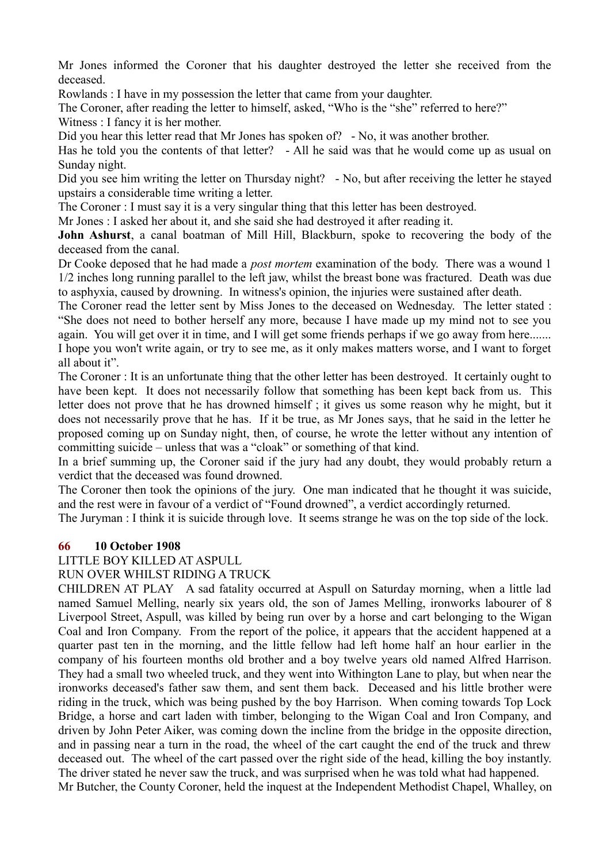Mr Jones informed the Coroner that his daughter destroyed the letter she received from the deceased.

Rowlands : I have in my possession the letter that came from your daughter.

The Coroner, after reading the letter to himself, asked, "Who is the "she" referred to here?" Witness : I fancy it is her mother.

Did you hear this letter read that Mr Jones has spoken of? - No, it was another brother.

Has he told you the contents of that letter? - All he said was that he would come up as usual on Sunday night.

Did you see him writing the letter on Thursday night? - No, but after receiving the letter he stayed upstairs a considerable time writing a letter.

The Coroner : I must say it is a very singular thing that this letter has been destroyed.

Mr Jones : I asked her about it, and she said she had destroyed it after reading it.

**John Ashurst**, a canal boatman of Mill Hill, Blackburn, spoke to recovering the body of the deceased from the canal.

Dr Cooke deposed that he had made a *post mortem* examination of the body. There was a wound 1 1/2 inches long running parallel to the left jaw, whilst the breast bone was fractured. Death was due to asphyxia, caused by drowning. In witness's opinion, the injuries were sustained after death.

The Coroner read the letter sent by Miss Jones to the deceased on Wednesday. The letter stated : "She does not need to bother herself any more, because I have made up my mind not to see you again. You will get over it in time, and I will get some friends perhaps if we go away from here....... I hope you won't write again, or try to see me, as it only makes matters worse, and I want to forget all about it".

The Coroner : It is an unfortunate thing that the other letter has been destroyed. It certainly ought to have been kept. It does not necessarily follow that something has been kept back from us. This letter does not prove that he has drowned himself ; it gives us some reason why he might, but it does not necessarily prove that he has. If it be true, as Mr Jones says, that he said in the letter he proposed coming up on Sunday night, then, of course, he wrote the letter without any intention of committing suicide – unless that was a "cloak" or something of that kind.

In a brief summing up, the Coroner said if the jury had any doubt, they would probably return a verdict that the deceased was found drowned.

The Coroner then took the opinions of the jury. One man indicated that he thought it was suicide, and the rest were in favour of a verdict of "Found drowned", a verdict accordingly returned.

The Juryman : I think it is suicide through love. It seems strange he was on the top side of the lock.

## **66 10 October 1908**

## LITTLE BOY KILLED AT ASPULL

RUN OVER WHILST RIDING A TRUCK

CHILDREN AT PLAY A sad fatality occurred at Aspull on Saturday morning, when a little lad named Samuel Melling, nearly six years old, the son of James Melling, ironworks labourer of 8 Liverpool Street, Aspull, was killed by being run over by a horse and cart belonging to the Wigan Coal and Iron Company. From the report of the police, it appears that the accident happened at a quarter past ten in the morning, and the little fellow had left home half an hour earlier in the company of his fourteen months old brother and a boy twelve years old named Alfred Harrison. They had a small two wheeled truck, and they went into Withington Lane to play, but when near the ironworks deceased's father saw them, and sent them back. Deceased and his little brother were riding in the truck, which was being pushed by the boy Harrison. When coming towards Top Lock Bridge, a horse and cart laden with timber, belonging to the Wigan Coal and Iron Company, and driven by John Peter Aiker, was coming down the incline from the bridge in the opposite direction, and in passing near a turn in the road, the wheel of the cart caught the end of the truck and threw deceased out. The wheel of the cart passed over the right side of the head, killing the boy instantly. The driver stated he never saw the truck, and was surprised when he was told what had happened. Mr Butcher, the County Coroner, held the inquest at the Independent Methodist Chapel, Whalley, on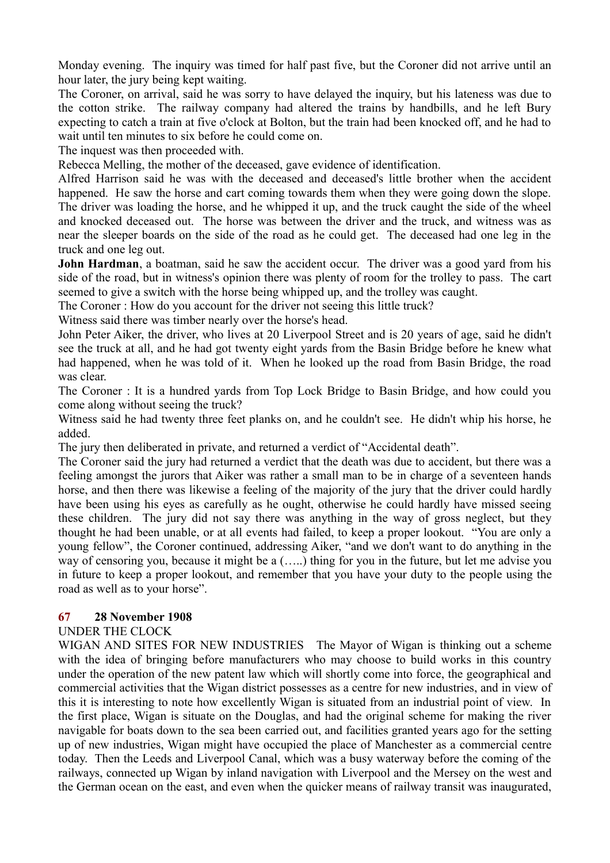Monday evening. The inquiry was timed for half past five, but the Coroner did not arrive until an hour later, the jury being kept waiting.

The Coroner, on arrival, said he was sorry to have delayed the inquiry, but his lateness was due to the cotton strike. The railway company had altered the trains by handbills, and he left Bury expecting to catch a train at five o'clock at Bolton, but the train had been knocked off, and he had to wait until ten minutes to six before he could come on.

The inquest was then proceeded with.

Rebecca Melling, the mother of the deceased, gave evidence of identification.

Alfred Harrison said he was with the deceased and deceased's little brother when the accident happened. He saw the horse and cart coming towards them when they were going down the slope. The driver was loading the horse, and he whipped it up, and the truck caught the side of the wheel and knocked deceased out. The horse was between the driver and the truck, and witness was as near the sleeper boards on the side of the road as he could get. The deceased had one leg in the truck and one leg out.

**John Hardman**, a boatman, said he saw the accident occur. The driver was a good yard from his side of the road, but in witness's opinion there was plenty of room for the trolley to pass. The cart seemed to give a switch with the horse being whipped up, and the trolley was caught.

The Coroner : How do you account for the driver not seeing this little truck?

Witness said there was timber nearly over the horse's head.

John Peter Aiker, the driver, who lives at 20 Liverpool Street and is 20 years of age, said he didn't see the truck at all, and he had got twenty eight yards from the Basin Bridge before he knew what had happened, when he was told of it. When he looked up the road from Basin Bridge, the road was clear.

The Coroner : It is a hundred yards from Top Lock Bridge to Basin Bridge, and how could you come along without seeing the truck?

Witness said he had twenty three feet planks on, and he couldn't see. He didn't whip his horse, he added.

The jury then deliberated in private, and returned a verdict of "Accidental death".

The Coroner said the jury had returned a verdict that the death was due to accident, but there was a feeling amongst the jurors that Aiker was rather a small man to be in charge of a seventeen hands horse, and then there was likewise a feeling of the majority of the jury that the driver could hardly have been using his eyes as carefully as he ought, otherwise he could hardly have missed seeing these children. The jury did not say there was anything in the way of gross neglect, but they thought he had been unable, or at all events had failed, to keep a proper lookout. "You are only a young fellow", the Coroner continued, addressing Aiker, "and we don't want to do anything in the way of censoring you, because it might be a (…..) thing for you in the future, but let me advise you in future to keep a proper lookout, and remember that you have your duty to the people using the road as well as to your horse".

## **67 28 November 1908**

## UNDER THE CLOCK

WIGAN AND SITES FOR NEW INDUSTRIES The Mayor of Wigan is thinking out a scheme with the idea of bringing before manufacturers who may choose to build works in this country under the operation of the new patent law which will shortly come into force, the geographical and commercial activities that the Wigan district possesses as a centre for new industries, and in view of this it is interesting to note how excellently Wigan is situated from an industrial point of view. In the first place, Wigan is situate on the Douglas, and had the original scheme for making the river navigable for boats down to the sea been carried out, and facilities granted years ago for the setting up of new industries, Wigan might have occupied the place of Manchester as a commercial centre today. Then the Leeds and Liverpool Canal, which was a busy waterway before the coming of the railways, connected up Wigan by inland navigation with Liverpool and the Mersey on the west and the German ocean on the east, and even when the quicker means of railway transit was inaugurated,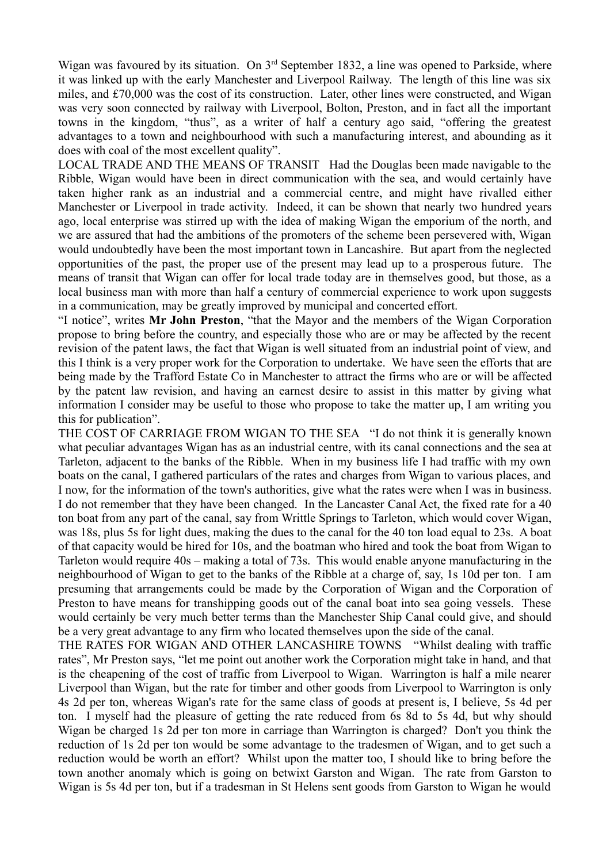Wigan was favoured by its situation. On 3<sup>rd</sup> September 1832, a line was opened to Parkside, where it was linked up with the early Manchester and Liverpool Railway. The length of this line was six miles, and £70,000 was the cost of its construction. Later, other lines were constructed, and Wigan was very soon connected by railway with Liverpool, Bolton, Preston, and in fact all the important towns in the kingdom, "thus", as a writer of half a century ago said, "offering the greatest advantages to a town and neighbourhood with such a manufacturing interest, and abounding as it does with coal of the most excellent quality".

LOCAL TRADE AND THE MEANS OF TRANSIT Had the Douglas been made navigable to the Ribble, Wigan would have been in direct communication with the sea, and would certainly have taken higher rank as an industrial and a commercial centre, and might have rivalled either Manchester or Liverpool in trade activity. Indeed, it can be shown that nearly two hundred years ago, local enterprise was stirred up with the idea of making Wigan the emporium of the north, and we are assured that had the ambitions of the promoters of the scheme been persevered with, Wigan would undoubtedly have been the most important town in Lancashire. But apart from the neglected opportunities of the past, the proper use of the present may lead up to a prosperous future. The means of transit that Wigan can offer for local trade today are in themselves good, but those, as a local business man with more than half a century of commercial experience to work upon suggests in a communication, may be greatly improved by municipal and concerted effort.

"I notice", writes **Mr John Preston**, "that the Mayor and the members of the Wigan Corporation propose to bring before the country, and especially those who are or may be affected by the recent revision of the patent laws, the fact that Wigan is well situated from an industrial point of view, and this I think is a very proper work for the Corporation to undertake. We have seen the efforts that are being made by the Trafford Estate Co in Manchester to attract the firms who are or will be affected by the patent law revision, and having an earnest desire to assist in this matter by giving what information I consider may be useful to those who propose to take the matter up, I am writing you this for publication".

THE COST OF CARRIAGE FROM WIGAN TO THE SEA "I do not think it is generally known what peculiar advantages Wigan has as an industrial centre, with its canal connections and the sea at Tarleton, adjacent to the banks of the Ribble. When in my business life I had traffic with my own boats on the canal, I gathered particulars of the rates and charges from Wigan to various places, and I now, for the information of the town's authorities, give what the rates were when I was in business. I do not remember that they have been changed. In the Lancaster Canal Act, the fixed rate for a 40 ton boat from any part of the canal, say from Writtle Springs to Tarleton, which would cover Wigan, was 18s, plus 5s for light dues, making the dues to the canal for the 40 ton load equal to 23s. A boat of that capacity would be hired for 10s, and the boatman who hired and took the boat from Wigan to Tarleton would require 40s – making a total of 73s. This would enable anyone manufacturing in the neighbourhood of Wigan to get to the banks of the Ribble at a charge of, say, 1s 10d per ton. I am presuming that arrangements could be made by the Corporation of Wigan and the Corporation of Preston to have means for transhipping goods out of the canal boat into sea going vessels. These would certainly be very much better terms than the Manchester Ship Canal could give, and should be a very great advantage to any firm who located themselves upon the side of the canal.

THE RATES FOR WIGAN AND OTHER LANCASHIRE TOWNS "Whilst dealing with traffic rates", Mr Preston says, "let me point out another work the Corporation might take in hand, and that is the cheapening of the cost of traffic from Liverpool to Wigan. Warrington is half a mile nearer Liverpool than Wigan, but the rate for timber and other goods from Liverpool to Warrington is only 4s 2d per ton, whereas Wigan's rate for the same class of goods at present is, I believe, 5s 4d per ton. I myself had the pleasure of getting the rate reduced from 6s 8d to 5s 4d, but why should Wigan be charged 1s 2d per ton more in carriage than Warrington is charged? Don't you think the reduction of 1s 2d per ton would be some advantage to the tradesmen of Wigan, and to get such a reduction would be worth an effort? Whilst upon the matter too, I should like to bring before the town another anomaly which is going on betwixt Garston and Wigan. The rate from Garston to Wigan is 5s 4d per ton, but if a tradesman in St Helens sent goods from Garston to Wigan he would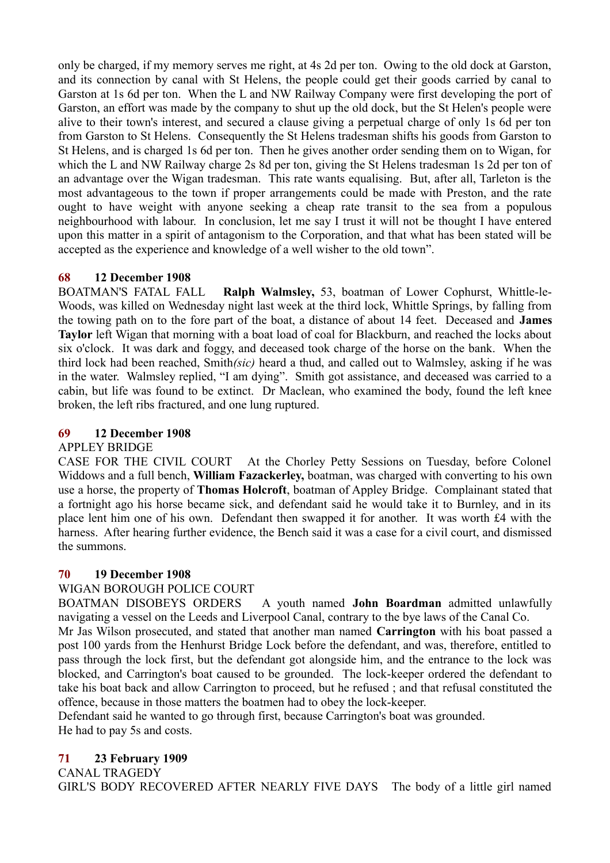only be charged, if my memory serves me right, at 4s 2d per ton. Owing to the old dock at Garston, and its connection by canal with St Helens, the people could get their goods carried by canal to Garston at 1s 6d per ton. When the L and NW Railway Company were first developing the port of Garston, an effort was made by the company to shut up the old dock, but the St Helen's people were alive to their town's interest, and secured a clause giving a perpetual charge of only 1s 6d per ton from Garston to St Helens. Consequently the St Helens tradesman shifts his goods from Garston to St Helens, and is charged 1s 6d per ton. Then he gives another order sending them on to Wigan, for which the L and NW Railway charge 2s 8d per ton, giving the St Helens tradesman 1s 2d per ton of an advantage over the Wigan tradesman. This rate wants equalising. But, after all, Tarleton is the most advantageous to the town if proper arrangements could be made with Preston, and the rate ought to have weight with anyone seeking a cheap rate transit to the sea from a populous neighbourhood with labour. In conclusion, let me say I trust it will not be thought I have entered upon this matter in a spirit of antagonism to the Corporation, and that what has been stated will be accepted as the experience and knowledge of a well wisher to the old town".

# **68 12 December 1908**

BOATMAN'S FATAL FALL **Ralph Walmsley,** 53, boatman of Lower Cophurst, Whittle-le-Woods, was killed on Wednesday night last week at the third lock, Whittle Springs, by falling from the towing path on to the fore part of the boat, a distance of about 14 feet. Deceased and **James Taylor** left Wigan that morning with a boat load of coal for Blackburn, and reached the locks about six o'clock. It was dark and foggy, and deceased took charge of the horse on the bank. When the third lock had been reached, Smith*(sic)* heard a thud, and called out to Walmsley, asking if he was in the water. Walmsley replied, "I am dying". Smith got assistance, and deceased was carried to a cabin, but life was found to be extinct. Dr Maclean, who examined the body, found the left knee broken, the left ribs fractured, and one lung ruptured.

## **69 12 December 1908**

## APPLEY BRIDGE

CASE FOR THE CIVIL COURT At the Chorley Petty Sessions on Tuesday, before Colonel Widdows and a full bench, **William Fazackerley,** boatman, was charged with converting to his own use a horse, the property of **Thomas Holcroft**, boatman of Appley Bridge. Complainant stated that a fortnight ago his horse became sick, and defendant said he would take it to Burnley, and in its place lent him one of his own. Defendant then swapped it for another. It was worth £4 with the harness. After hearing further evidence, the Bench said it was a case for a civil court, and dismissed the summons.

## **70 19 December 1908**

## WIGAN BOROUGH POLICE COURT

BOATMAN DISOBEYS ORDERS A youth named **John Boardman** admitted unlawfully navigating a vessel on the Leeds and Liverpool Canal, contrary to the bye laws of the Canal Co.

Mr Jas Wilson prosecuted, and stated that another man named **Carrington** with his boat passed a post 100 yards from the Henhurst Bridge Lock before the defendant, and was, therefore, entitled to pass through the lock first, but the defendant got alongside him, and the entrance to the lock was blocked, and Carrington's boat caused to be grounded. The lock-keeper ordered the defendant to take his boat back and allow Carrington to proceed, but he refused ; and that refusal constituted the offence, because in those matters the boatmen had to obey the lock-keeper.

Defendant said he wanted to go through first, because Carrington's boat was grounded. He had to pay 5s and costs.

# **71 23 February 1909**

# CANAL TRAGEDY

GIRL'S BODY RECOVERED AFTER NEARLY FIVE DAYS The body of a little girl named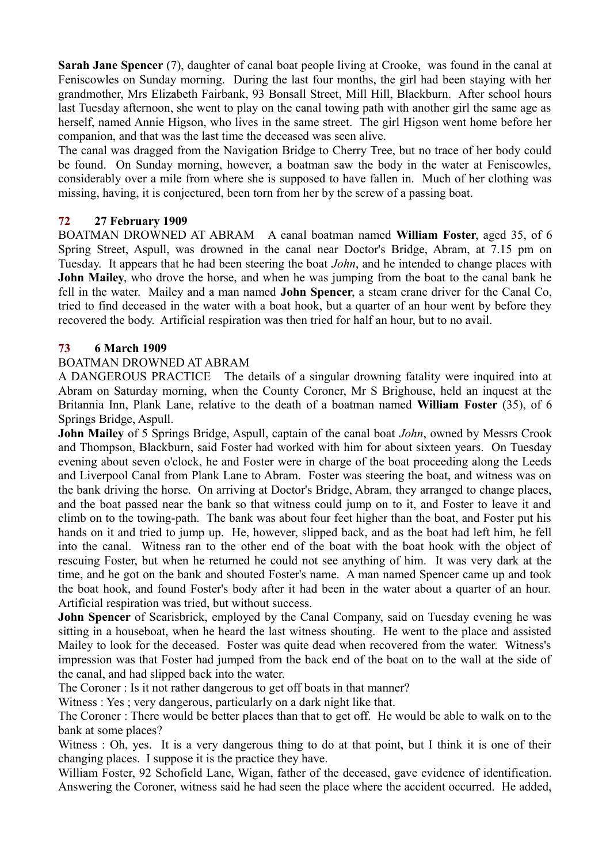**Sarah Jane Spencer** (7), daughter of canal boat people living at Crooke, was found in the canal at Feniscowles on Sunday morning. During the last four months, the girl had been staying with her grandmother, Mrs Elizabeth Fairbank, 93 Bonsall Street, Mill Hill, Blackburn. After school hours last Tuesday afternoon, she went to play on the canal towing path with another girl the same age as herself, named Annie Higson, who lives in the same street. The girl Higson went home before her companion, and that was the last time the deceased was seen alive.

The canal was dragged from the Navigation Bridge to Cherry Tree, but no trace of her body could be found. On Sunday morning, however, a boatman saw the body in the water at Feniscowles, considerably over a mile from where she is supposed to have fallen in. Much of her clothing was missing, having, it is conjectured, been torn from her by the screw of a passing boat.

## **72 27 February 1909**

BOATMAN DROWNED AT ABRAM A canal boatman named **William Foster**, aged 35, of 6 Spring Street, Aspull, was drowned in the canal near Doctor's Bridge, Abram, at 7.15 pm on Tuesday. It appears that he had been steering the boat *John*, and he intended to change places with **John Mailey**, who drove the horse, and when he was jumping from the boat to the canal bank he fell in the water. Mailey and a man named **John Spencer**, a steam crane driver for the Canal Co, tried to find deceased in the water with a boat hook, but a quarter of an hour went by before they recovered the body. Artificial respiration was then tried for half an hour, but to no avail.

## **73 6 March 1909**

# BOATMAN DROWNED AT ABRAM

A DANGEROUS PRACTICE The details of a singular drowning fatality were inquired into at Abram on Saturday morning, when the County Coroner, Mr S Brighouse, held an inquest at the Britannia Inn, Plank Lane, relative to the death of a boatman named **William Foster** (35), of 6 Springs Bridge, Aspull.

**John Mailey** of 5 Springs Bridge, Aspull, captain of the canal boat *John*, owned by Messrs Crook and Thompson, Blackburn, said Foster had worked with him for about sixteen years. On Tuesday evening about seven o'clock, he and Foster were in charge of the boat proceeding along the Leeds and Liverpool Canal from Plank Lane to Abram. Foster was steering the boat, and witness was on the bank driving the horse. On arriving at Doctor's Bridge, Abram, they arranged to change places, and the boat passed near the bank so that witness could jump on to it, and Foster to leave it and climb on to the towing-path. The bank was about four feet higher than the boat, and Foster put his hands on it and tried to jump up. He, however, slipped back, and as the boat had left him, he fell into the canal. Witness ran to the other end of the boat with the boat hook with the object of rescuing Foster, but when he returned he could not see anything of him. It was very dark at the time, and he got on the bank and shouted Foster's name. A man named Spencer came up and took the boat hook, and found Foster's body after it had been in the water about a quarter of an hour. Artificial respiration was tried, but without success.

**John Spencer** of Scarisbrick, employed by the Canal Company, said on Tuesday evening he was sitting in a houseboat, when he heard the last witness shouting. He went to the place and assisted Mailey to look for the deceased. Foster was quite dead when recovered from the water. Witness's impression was that Foster had jumped from the back end of the boat on to the wall at the side of the canal, and had slipped back into the water.

The Coroner : Is it not rather dangerous to get off boats in that manner?

Witness : Yes ; very dangerous, particularly on a dark night like that.

The Coroner : There would be better places than that to get off. He would be able to walk on to the bank at some places?

Witness : Oh, yes. It is a very dangerous thing to do at that point, but I think it is one of their changing places. I suppose it is the practice they have.

William Foster, 92 Schofield Lane, Wigan, father of the deceased, gave evidence of identification. Answering the Coroner, witness said he had seen the place where the accident occurred. He added,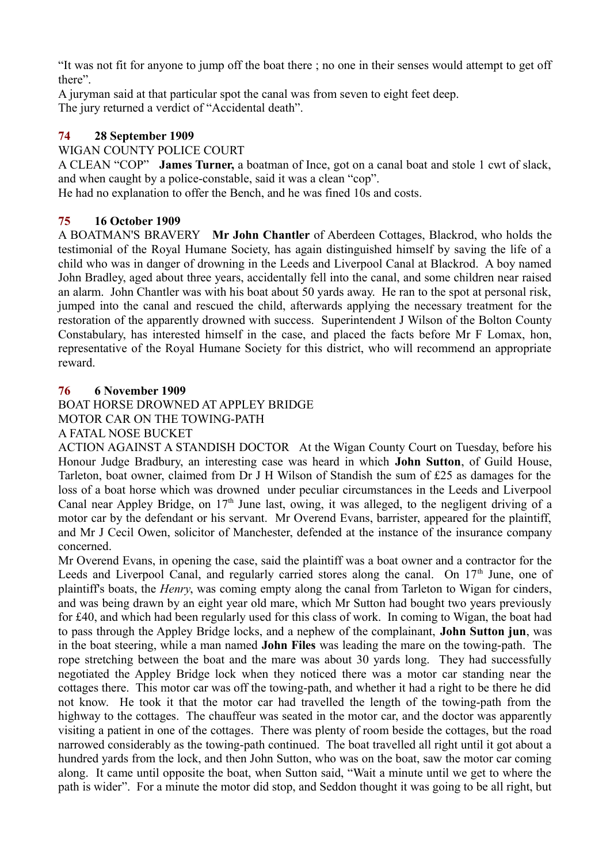"It was not fit for anyone to jump off the boat there ; no one in their senses would attempt to get off there".

A juryman said at that particular spot the canal was from seven to eight feet deep. The jury returned a verdict of "Accidental death".

# **74 28 September 1909**

WIGAN COUNTY POLICE COURT

A CLEAN "COP" **James Turner,** a boatman of Ince, got on a canal boat and stole 1 cwt of slack, and when caught by a police-constable, said it was a clean "cop".

He had no explanation to offer the Bench, and he was fined 10s and costs.

## **75 16 October 1909**

A BOATMAN'S BRAVERY **Mr John Chantler** of Aberdeen Cottages, Blackrod, who holds the testimonial of the Royal Humane Society, has again distinguished himself by saving the life of a child who was in danger of drowning in the Leeds and Liverpool Canal at Blackrod. A boy named John Bradley, aged about three years, accidentally fell into the canal, and some children near raised an alarm. John Chantler was with his boat about 50 yards away. He ran to the spot at personal risk, jumped into the canal and rescued the child, afterwards applying the necessary treatment for the restoration of the apparently drowned with success. Superintendent J Wilson of the Bolton County Constabulary, has interested himself in the case, and placed the facts before Mr F Lomax, hon, representative of the Royal Humane Society for this district, who will recommend an appropriate reward.

## **76 6 November 1909**

BOAT HORSE DROWNED AT APPLEY BRIDGE MOTOR CAR ON THE TOWING-PATH A FATAL NOSE BUCKET

ACTION AGAINST A STANDISH DOCTOR At the Wigan County Court on Tuesday, before his Honour Judge Bradbury, an interesting case was heard in which **John Sutton**, of Guild House, Tarleton, boat owner, claimed from Dr J H Wilson of Standish the sum of £25 as damages for the loss of a boat horse which was drowned under peculiar circumstances in the Leeds and Liverpool Canal near Appley Bridge, on  $17<sup>th</sup>$  June last, owing, it was alleged, to the negligent driving of a motor car by the defendant or his servant. Mr Overend Evans, barrister, appeared for the plaintiff, and Mr J Cecil Owen, solicitor of Manchester, defended at the instance of the insurance company concerned.

Mr Overend Evans, in opening the case, said the plaintiff was a boat owner and a contractor for the Leeds and Liverpool Canal, and regularly carried stores along the canal. On  $17<sup>th</sup>$  June, one of plaintiff's boats, the *Henry*, was coming empty along the canal from Tarleton to Wigan for cinders, and was being drawn by an eight year old mare, which Mr Sutton had bought two years previously for £40, and which had been regularly used for this class of work. In coming to Wigan, the boat had to pass through the Appley Bridge locks, and a nephew of the complainant, **John Sutton jun**, was in the boat steering, while a man named **John Files** was leading the mare on the towing-path. The rope stretching between the boat and the mare was about 30 yards long. They had successfully negotiated the Appley Bridge lock when they noticed there was a motor car standing near the cottages there. This motor car was off the towing-path, and whether it had a right to be there he did not know. He took it that the motor car had travelled the length of the towing-path from the highway to the cottages. The chauffeur was seated in the motor car, and the doctor was apparently visiting a patient in one of the cottages. There was plenty of room beside the cottages, but the road narrowed considerably as the towing-path continued. The boat travelled all right until it got about a hundred yards from the lock, and then John Sutton, who was on the boat, saw the motor car coming along. It came until opposite the boat, when Sutton said, "Wait a minute until we get to where the path is wider". For a minute the motor did stop, and Seddon thought it was going to be all right, but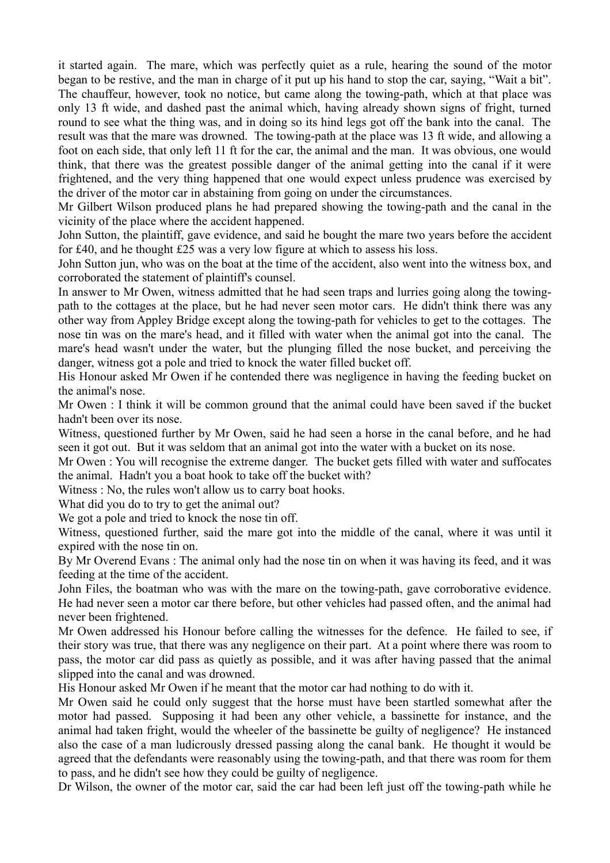it started again. The mare, which was perfectly quiet as a rule, hearing the sound of the motor began to be restive, and the man in charge of it put up his hand to stop the car, saying, "Wait a bit". The chauffeur, however, took no notice, but came along the towing-path, which at that place was only 13 ft wide, and dashed past the animal which, having already shown signs of fright, turned round to see what the thing was, and in doing so its hind legs got off the bank into the canal. The result was that the mare was drowned. The towing-path at the place was 13 ft wide, and allowing a foot on each side, that only left 11 ft for the car, the animal and the man. It was obvious, one would think, that there was the greatest possible danger of the animal getting into the canal if it were frightened, and the very thing happened that one would expect unless prudence was exercised by the driver of the motor car in abstaining from going on under the circumstances.

Mr Gilbert Wilson produced plans he had prepared showing the towing-path and the canal in the vicinity of the place where the accident happened.

John Sutton, the plaintiff, gave evidence, and said he bought the mare two years before the accident for £40, and he thought £25 was a very low figure at which to assess his loss.

John Sutton jun, who was on the boat at the time of the accident, also went into the witness box, and corroborated the statement of plaintiff's counsel.

In answer to Mr Owen, witness admitted that he had seen traps and lurries going along the towingpath to the cottages at the place, but he had never seen motor cars. He didn't think there was any other way from Appley Bridge except along the towing-path for vehicles to get to the cottages. The nose tin was on the mare's head, and it filled with water when the animal got into the canal. The mare's head wasn't under the water, but the plunging filled the nose bucket, and perceiving the danger, witness got a pole and tried to knock the water filled bucket off.

His Honour asked Mr Owen if he contended there was negligence in having the feeding bucket on the animal's nose.

Mr Owen : I think it will be common ground that the animal could have been saved if the bucket hadn't been over its nose.

Witness, questioned further by Mr Owen, said he had seen a horse in the canal before, and he had seen it got out. But it was seldom that an animal got into the water with a bucket on its nose.

Mr Owen : You will recognise the extreme danger. The bucket gets filled with water and suffocates the animal. Hadn't you a boat hook to take off the bucket with?

Witness : No, the rules won't allow us to carry boat hooks.

What did you do to try to get the animal out?

We got a pole and tried to knock the nose tin off.

Witness, questioned further, said the mare got into the middle of the canal, where it was until it expired with the nose tin on.

By Mr Overend Evans : The animal only had the nose tin on when it was having its feed, and it was feeding at the time of the accident.

John Files, the boatman who was with the mare on the towing-path, gave corroborative evidence. He had never seen a motor car there before, but other vehicles had passed often, and the animal had never been frightened.

Mr Owen addressed his Honour before calling the witnesses for the defence. He failed to see, if their story was true, that there was any negligence on their part. At a point where there was room to pass, the motor car did pass as quietly as possible, and it was after having passed that the animal slipped into the canal and was drowned.

His Honour asked Mr Owen if he meant that the motor car had nothing to do with it.

Mr Owen said he could only suggest that the horse must have been startled somewhat after the motor had passed. Supposing it had been any other vehicle, a bassinette for instance, and the animal had taken fright, would the wheeler of the bassinette be guilty of negligence? He instanced also the case of a man ludicrously dressed passing along the canal bank. He thought it would be agreed that the defendants were reasonably using the towing-path, and that there was room for them to pass, and he didn't see how they could be guilty of negligence.

Dr Wilson, the owner of the motor car, said the car had been left just off the towing-path while he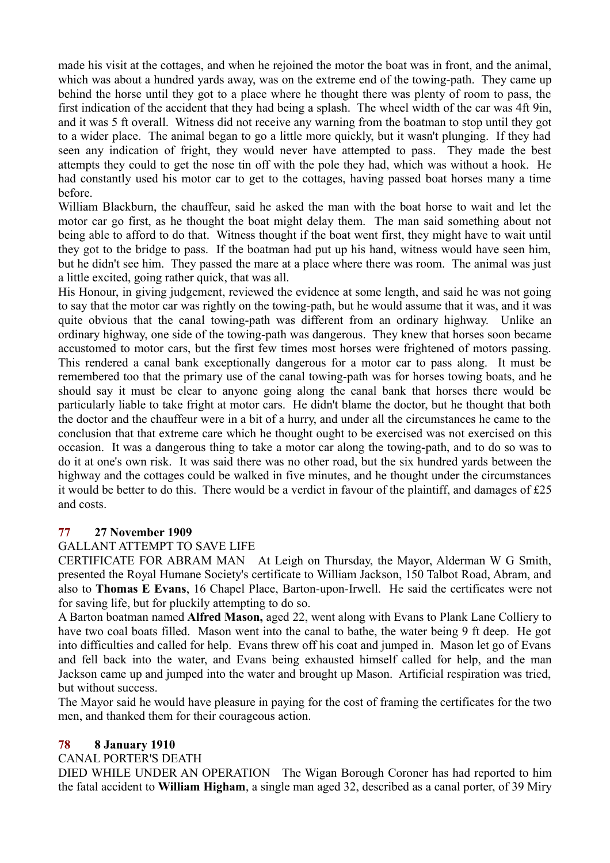made his visit at the cottages, and when he rejoined the motor the boat was in front, and the animal, which was about a hundred yards away, was on the extreme end of the towing-path. They came up behind the horse until they got to a place where he thought there was plenty of room to pass, the first indication of the accident that they had being a splash. The wheel width of the car was 4ft 9in, and it was 5 ft overall. Witness did not receive any warning from the boatman to stop until they got to a wider place. The animal began to go a little more quickly, but it wasn't plunging. If they had seen any indication of fright, they would never have attempted to pass. They made the best attempts they could to get the nose tin off with the pole they had, which was without a hook. He had constantly used his motor car to get to the cottages, having passed boat horses many a time before.

William Blackburn, the chauffeur, said he asked the man with the boat horse to wait and let the motor car go first, as he thought the boat might delay them. The man said something about not being able to afford to do that. Witness thought if the boat went first, they might have to wait until they got to the bridge to pass. If the boatman had put up his hand, witness would have seen him, but he didn't see him. They passed the mare at a place where there was room. The animal was just a little excited, going rather quick, that was all.

His Honour, in giving judgement, reviewed the evidence at some length, and said he was not going to say that the motor car was rightly on the towing-path, but he would assume that it was, and it was quite obvious that the canal towing-path was different from an ordinary highway. Unlike an ordinary highway, one side of the towing-path was dangerous. They knew that horses soon became accustomed to motor cars, but the first few times most horses were frightened of motors passing. This rendered a canal bank exceptionally dangerous for a motor car to pass along. It must be remembered too that the primary use of the canal towing-path was for horses towing boats, and he should say it must be clear to anyone going along the canal bank that horses there would be particularly liable to take fright at motor cars. He didn't blame the doctor, but he thought that both the doctor and the chauffeur were in a bit of a hurry, and under all the circumstances he came to the conclusion that that extreme care which he thought ought to be exercised was not exercised on this occasion. It was a dangerous thing to take a motor car along the towing-path, and to do so was to do it at one's own risk. It was said there was no other road, but the six hundred yards between the highway and the cottages could be walked in five minutes, and he thought under the circumstances it would be better to do this. There would be a verdict in favour of the plaintiff, and damages of £25 and costs.

## **77 27 November 1909**

## GALLANT ATTEMPT TO SAVE LIFE

CERTIFICATE FOR ABRAM MAN At Leigh on Thursday, the Mayor, Alderman W G Smith, presented the Royal Humane Society's certificate to William Jackson, 150 Talbot Road, Abram, and also to **Thomas E Evans**, 16 Chapel Place, Barton-upon-Irwell. He said the certificates were not for saving life, but for pluckily attempting to do so.

A Barton boatman named **Alfred Mason,** aged 22, went along with Evans to Plank Lane Colliery to have two coal boats filled. Mason went into the canal to bathe, the water being 9 ft deep. He got into difficulties and called for help. Evans threw off his coat and jumped in. Mason let go of Evans and fell back into the water, and Evans being exhausted himself called for help, and the man Jackson came up and jumped into the water and brought up Mason. Artificial respiration was tried, but without success.

The Mayor said he would have pleasure in paying for the cost of framing the certificates for the two men, and thanked them for their courageous action.

#### **78 8 January 1910**

#### CANAL PORTER'S DEATH

DIED WHILE UNDER AN OPERATION The Wigan Borough Coroner has had reported to him the fatal accident to **William Higham**, a single man aged 32, described as a canal porter, of 39 Miry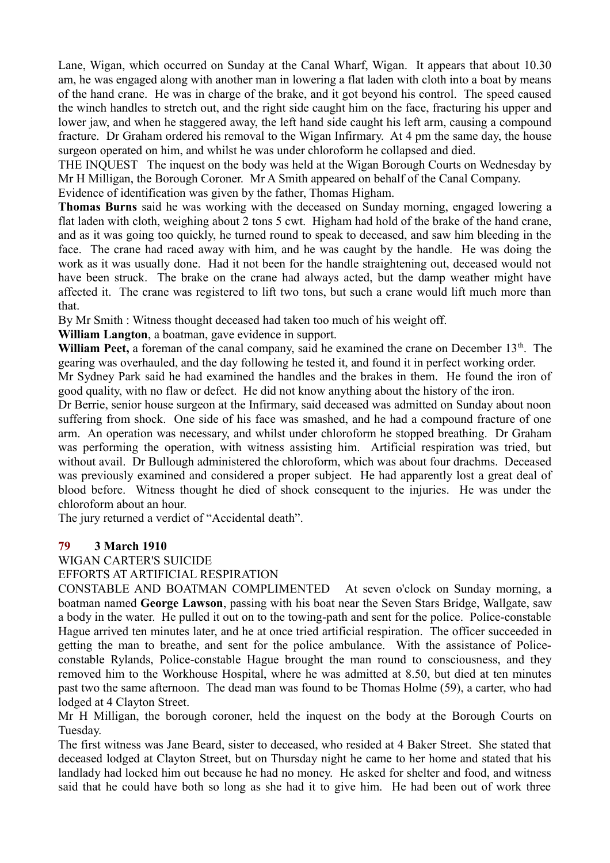Lane, Wigan, which occurred on Sunday at the Canal Wharf, Wigan. It appears that about 10.30 am, he was engaged along with another man in lowering a flat laden with cloth into a boat by means of the hand crane. He was in charge of the brake, and it got beyond his control. The speed caused the winch handles to stretch out, and the right side caught him on the face, fracturing his upper and lower jaw, and when he staggered away, the left hand side caught his left arm, causing a compound fracture. Dr Graham ordered his removal to the Wigan Infirmary. At 4 pm the same day, the house surgeon operated on him, and whilst he was under chloroform he collapsed and died.

THE INQUEST The inquest on the body was held at the Wigan Borough Courts on Wednesday by Mr H Milligan, the Borough Coroner. Mr A Smith appeared on behalf of the Canal Company.

Evidence of identification was given by the father, Thomas Higham.

**Thomas Burns** said he was working with the deceased on Sunday morning, engaged lowering a flat laden with cloth, weighing about 2 tons 5 cwt. Higham had hold of the brake of the hand crane, and as it was going too quickly, he turned round to speak to deceased, and saw him bleeding in the face. The crane had raced away with him, and he was caught by the handle. He was doing the work as it was usually done. Had it not been for the handle straightening out, deceased would not have been struck. The brake on the crane had always acted, but the damp weather might have affected it. The crane was registered to lift two tons, but such a crane would lift much more than that.

By Mr Smith : Witness thought deceased had taken too much of his weight off.

**William Langton**, a boatman, gave evidence in support.

**William Peet,** a foreman of the canal company, said he examined the crane on December  $13<sup>th</sup>$ . The gearing was overhauled, and the day following he tested it, and found it in perfect working order.

Mr Sydney Park said he had examined the handles and the brakes in them. He found the iron of good quality, with no flaw or defect. He did not know anything about the history of the iron.

Dr Berrie, senior house surgeon at the Infirmary, said deceased was admitted on Sunday about noon suffering from shock. One side of his face was smashed, and he had a compound fracture of one arm. An operation was necessary, and whilst under chloroform he stopped breathing. Dr Graham was performing the operation, with witness assisting him. Artificial respiration was tried, but without avail. Dr Bullough administered the chloroform, which was about four drachms. Deceased was previously examined and considered a proper subject. He had apparently lost a great deal of blood before. Witness thought he died of shock consequent to the injuries. He was under the chloroform about an hour.

The jury returned a verdict of "Accidental death".

# **79 3 March 1910**

## WIGAN CARTER'S SUICIDE

EFFORTS AT ARTIFICIAL RESPIRATION

CONSTABLE AND BOATMAN COMPLIMENTED At seven o'clock on Sunday morning, a boatman named **George Lawson**, passing with his boat near the Seven Stars Bridge, Wallgate, saw a body in the water. He pulled it out on to the towing-path and sent for the police. Police-constable Hague arrived ten minutes later, and he at once tried artificial respiration. The officer succeeded in getting the man to breathe, and sent for the police ambulance. With the assistance of Policeconstable Rylands, Police-constable Hague brought the man round to consciousness, and they removed him to the Workhouse Hospital, where he was admitted at 8.50, but died at ten minutes past two the same afternoon. The dead man was found to be Thomas Holme (59), a carter, who had lodged at 4 Clayton Street.

Mr H Milligan, the borough coroner, held the inquest on the body at the Borough Courts on Tuesday.

The first witness was Jane Beard, sister to deceased, who resided at 4 Baker Street. She stated that deceased lodged at Clayton Street, but on Thursday night he came to her home and stated that his landlady had locked him out because he had no money. He asked for shelter and food, and witness said that he could have both so long as she had it to give him. He had been out of work three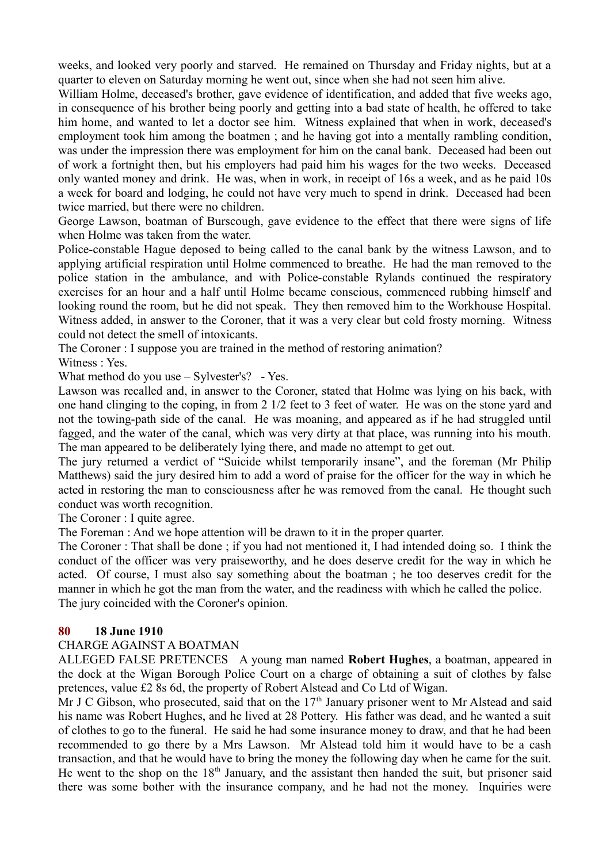weeks, and looked very poorly and starved. He remained on Thursday and Friday nights, but at a quarter to eleven on Saturday morning he went out, since when she had not seen him alive.

William Holme, deceased's brother, gave evidence of identification, and added that five weeks ago, in consequence of his brother being poorly and getting into a bad state of health, he offered to take him home, and wanted to let a doctor see him. Witness explained that when in work, deceased's employment took him among the boatmen ; and he having got into a mentally rambling condition, was under the impression there was employment for him on the canal bank. Deceased had been out of work a fortnight then, but his employers had paid him his wages for the two weeks. Deceased only wanted money and drink. He was, when in work, in receipt of 16s a week, and as he paid 10s a week for board and lodging, he could not have very much to spend in drink. Deceased had been twice married, but there were no children.

George Lawson, boatman of Burscough, gave evidence to the effect that there were signs of life when Holme was taken from the water.

Police-constable Hague deposed to being called to the canal bank by the witness Lawson, and to applying artificial respiration until Holme commenced to breathe. He had the man removed to the police station in the ambulance, and with Police-constable Rylands continued the respiratory exercises for an hour and a half until Holme became conscious, commenced rubbing himself and looking round the room, but he did not speak. They then removed him to the Workhouse Hospital. Witness added, in answer to the Coroner, that it was a very clear but cold frosty morning. Witness could not detect the smell of intoxicants.

The Coroner : I suppose you are trained in the method of restoring animation? Witness : Yes.

What method do you use – Sylvester's? - Yes.

Lawson was recalled and, in answer to the Coroner, stated that Holme was lying on his back, with one hand clinging to the coping, in from 2 1/2 feet to 3 feet of water. He was on the stone yard and not the towing-path side of the canal. He was moaning, and appeared as if he had struggled until fagged, and the water of the canal, which was very dirty at that place, was running into his mouth. The man appeared to be deliberately lying there, and made no attempt to get out.

The jury returned a verdict of "Suicide whilst temporarily insane", and the foreman (Mr Philip Matthews) said the jury desired him to add a word of praise for the officer for the way in which he acted in restoring the man to consciousness after he was removed from the canal. He thought such conduct was worth recognition.

The Coroner : I quite agree.

The Foreman : And we hope attention will be drawn to it in the proper quarter.

The Coroner : That shall be done ; if you had not mentioned it, I had intended doing so. I think the conduct of the officer was very praiseworthy, and he does deserve credit for the way in which he acted. Of course, I must also say something about the boatman ; he too deserves credit for the manner in which he got the man from the water, and the readiness with which he called the police. The jury coincided with the Coroner's opinion.

#### **80 18 June 1910**

#### CHARGE AGAINST A BOATMAN

ALLEGED FALSE PRETENCES A young man named **Robert Hughes**, a boatman, appeared in the dock at the Wigan Borough Police Court on a charge of obtaining a suit of clothes by false pretences, value £2 8s 6d, the property of Robert Alstead and Co Ltd of Wigan.

Mr J C Gibson, who prosecuted, said that on the  $17<sup>th</sup>$  January prisoner went to Mr Alstead and said his name was Robert Hughes, and he lived at 28 Pottery. His father was dead, and he wanted a suit of clothes to go to the funeral. He said he had some insurance money to draw, and that he had been recommended to go there by a Mrs Lawson. Mr Alstead told him it would have to be a cash transaction, and that he would have to bring the money the following day when he came for the suit. He went to the shop on the  $18<sup>th</sup>$  January, and the assistant then handed the suit, but prisoner said there was some bother with the insurance company, and he had not the money. Inquiries were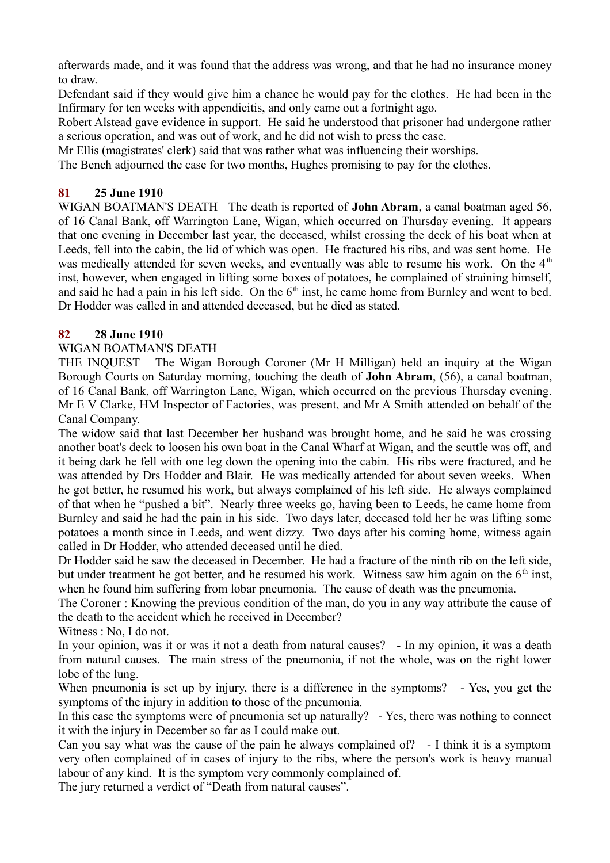afterwards made, and it was found that the address was wrong, and that he had no insurance money to draw.

Defendant said if they would give him a chance he would pay for the clothes. He had been in the Infirmary for ten weeks with appendicitis, and only came out a fortnight ago.

Robert Alstead gave evidence in support. He said he understood that prisoner had undergone rather a serious operation, and was out of work, and he did not wish to press the case.

Mr Ellis (magistrates' clerk) said that was rather what was influencing their worships.

The Bench adjourned the case for two months, Hughes promising to pay for the clothes.

# **81 25 June 1910**

WIGAN BOATMAN'S DEATH The death is reported of **John Abram**, a canal boatman aged 56, of 16 Canal Bank, off Warrington Lane, Wigan, which occurred on Thursday evening. It appears that one evening in December last year, the deceased, whilst crossing the deck of his boat when at Leeds, fell into the cabin, the lid of which was open. He fractured his ribs, and was sent home. He was medically attended for seven weeks, and eventually was able to resume his work. On the  $4<sup>th</sup>$ inst, however, when engaged in lifting some boxes of potatoes, he complained of straining himself, and said he had a pain in his left side. On the  $6<sup>th</sup>$  inst, he came home from Burnley and went to bed. Dr Hodder was called in and attended deceased, but he died as stated.

# **82 28 June 1910**

## WIGAN BOATMAN'S DEATH

THE INQUEST The Wigan Borough Coroner (Mr H Milligan) held an inquiry at the Wigan Borough Courts on Saturday morning, touching the death of **John Abram**, (56), a canal boatman, of 16 Canal Bank, off Warrington Lane, Wigan, which occurred on the previous Thursday evening. Mr E V Clarke, HM Inspector of Factories, was present, and Mr A Smith attended on behalf of the Canal Company.

The widow said that last December her husband was brought home, and he said he was crossing another boat's deck to loosen his own boat in the Canal Wharf at Wigan, and the scuttle was off, and it being dark he fell with one leg down the opening into the cabin. His ribs were fractured, and he was attended by Drs Hodder and Blair. He was medically attended for about seven weeks. When he got better, he resumed his work, but always complained of his left side. He always complained of that when he "pushed a bit". Nearly three weeks go, having been to Leeds, he came home from Burnley and said he had the pain in his side. Two days later, deceased told her he was lifting some potatoes a month since in Leeds, and went dizzy. Two days after his coming home, witness again called in Dr Hodder, who attended deceased until he died.

Dr Hodder said he saw the deceased in December. He had a fracture of the ninth rib on the left side, but under treatment he got better, and he resumed his work. Witness saw him again on the  $6<sup>th</sup>$  inst, when he found him suffering from lobar pneumonia. The cause of death was the pneumonia.

The Coroner : Knowing the previous condition of the man, do you in any way attribute the cause of the death to the accident which he received in December?

Witness : No, I do not.

In your opinion, was it or was it not a death from natural causes? - In my opinion, it was a death from natural causes. The main stress of the pneumonia, if not the whole, was on the right lower lobe of the lung.

When pneumonia is set up by injury, there is a difference in the symptoms? - Yes, you get the symptoms of the injury in addition to those of the pneumonia.

In this case the symptoms were of pneumonia set up naturally? - Yes, there was nothing to connect it with the injury in December so far as I could make out.

Can you say what was the cause of the pain he always complained of? - I think it is a symptom very often complained of in cases of injury to the ribs, where the person's work is heavy manual labour of any kind. It is the symptom very commonly complained of.

The jury returned a verdict of "Death from natural causes".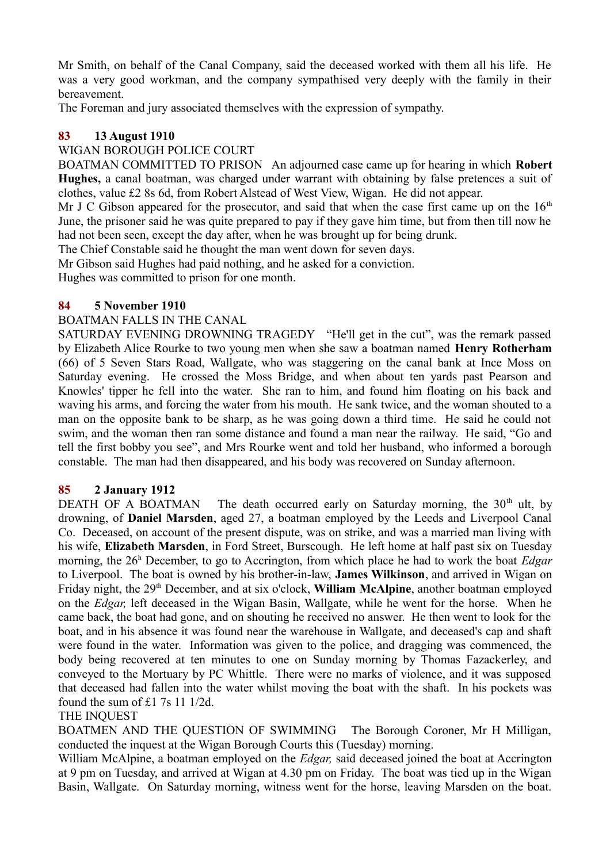Mr Smith, on behalf of the Canal Company, said the deceased worked with them all his life. He was a very good workman, and the company sympathised very deeply with the family in their bereavement.

The Foreman and jury associated themselves with the expression of sympathy.

## **83 13 August 1910**

#### WIGAN BOROUGH POLICE COURT

BOATMAN COMMITTED TO PRISON An adjourned case came up for hearing in which **Robert Hughes,** a canal boatman, was charged under warrant with obtaining by false pretences a suit of clothes, value £2 8s 6d, from Robert Alstead of West View, Wigan. He did not appear.

Mr J C Gibson appeared for the prosecutor, and said that when the case first came up on the  $16<sup>th</sup>$ June, the prisoner said he was quite prepared to pay if they gave him time, but from then till now he had not been seen, except the day after, when he was brought up for being drunk.

The Chief Constable said he thought the man went down for seven days.

Mr Gibson said Hughes had paid nothing, and he asked for a conviction.

Hughes was committed to prison for one month.

#### **84 5 November 1910**

#### BOATMAN FALLS IN THE CANAL

SATURDAY EVENING DROWNING TRAGEDY "He'll get in the cut", was the remark passed by Elizabeth Alice Rourke to two young men when she saw a boatman named **Henry Rotherham** (66) of 5 Seven Stars Road, Wallgate, who was staggering on the canal bank at Ince Moss on Saturday evening. He crossed the Moss Bridge, and when about ten vards past Pearson and Knowles' tipper he fell into the water. She ran to him, and found him floating on his back and waving his arms, and forcing the water from his mouth. He sank twice, and the woman shouted to a man on the opposite bank to be sharp, as he was going down a third time. He said he could not swim, and the woman then ran some distance and found a man near the railway. He said, "Go and tell the first bobby you see", and Mrs Rourke went and told her husband, who informed a borough constable. The man had then disappeared, and his body was recovered on Sunday afternoon.

## **85 2 January 1912**

DEATH OF A BOATMAN The death occurred early on Saturday morning, the  $30<sup>th</sup>$  ult, by drowning, of **Daniel Marsden**, aged 27, a boatman employed by the Leeds and Liverpool Canal Co. Deceased, on account of the present dispute, was on strike, and was a married man living with his wife, **Elizabeth Marsden**, in Ford Street, Burscough. He left home at half past six on Tuesday morning, the 26<sup>h</sup> December, to go to Accrington, from which place he had to work the boat *Edgar* to Liverpool. The boat is owned by his brother-in-law, **James Wilkinson**, and arrived in Wigan on Friday night, the 29th December, and at six o'clock, **William McAlpine**, another boatman employed on the *Edgar,* left deceased in the Wigan Basin, Wallgate, while he went for the horse. When he came back, the boat had gone, and on shouting he received no answer. He then went to look for the boat, and in his absence it was found near the warehouse in Wallgate, and deceased's cap and shaft were found in the water. Information was given to the police, and dragging was commenced, the body being recovered at ten minutes to one on Sunday morning by Thomas Fazackerley, and conveyed to the Mortuary by PC Whittle. There were no marks of violence, and it was supposed that deceased had fallen into the water whilst moving the boat with the shaft. In his pockets was found the sum of £1 7s 11 1/2d.

#### THE INQUEST

BOATMEN AND THE QUESTION OF SWIMMING The Borough Coroner, Mr H Milligan, conducted the inquest at the Wigan Borough Courts this (Tuesday) morning.

William McAlpine, a boatman employed on the *Edgar,* said deceased joined the boat at Accrington at 9 pm on Tuesday, and arrived at Wigan at 4.30 pm on Friday. The boat was tied up in the Wigan Basin, Wallgate. On Saturday morning, witness went for the horse, leaving Marsden on the boat.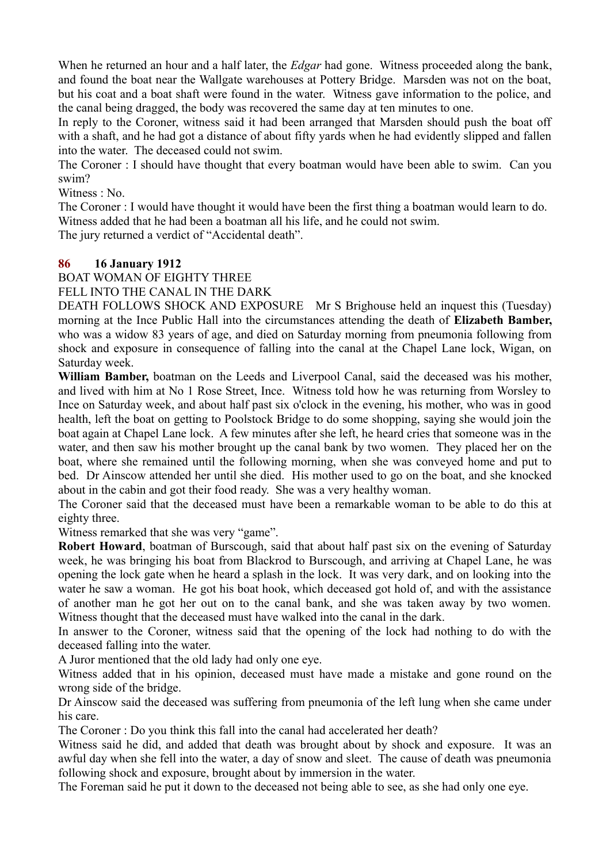When he returned an hour and a half later, the *Edgar* had gone. Witness proceeded along the bank, and found the boat near the Wallgate warehouses at Pottery Bridge. Marsden was not on the boat, but his coat and a boat shaft were found in the water. Witness gave information to the police, and the canal being dragged, the body was recovered the same day at ten minutes to one.

In reply to the Coroner, witness said it had been arranged that Marsden should push the boat off with a shaft, and he had got a distance of about fifty yards when he had evidently slipped and fallen into the water. The deceased could not swim.

The Coroner : I should have thought that every boatman would have been able to swim. Can you swim?

Witness : No.

The Coroner : I would have thought it would have been the first thing a boatman would learn to do. Witness added that he had been a boatman all his life, and he could not swim.

The jury returned a verdict of "Accidental death".

## **86 16 January 1912**

BOAT WOMAN OF EIGHTY THREE

FELL INTO THE CANAL IN THE DARK

DEATH FOLLOWS SHOCK AND EXPOSURE Mr S Brighouse held an inquest this (Tuesday) morning at the Ince Public Hall into the circumstances attending the death of **Elizabeth Bamber,** who was a widow 83 years of age, and died on Saturday morning from pneumonia following from shock and exposure in consequence of falling into the canal at the Chapel Lane lock, Wigan, on Saturday week.

**William Bamber,** boatman on the Leeds and Liverpool Canal, said the deceased was his mother, and lived with him at No 1 Rose Street, Ince. Witness told how he was returning from Worsley to Ince on Saturday week, and about half past six o'clock in the evening, his mother, who was in good health, left the boat on getting to Poolstock Bridge to do some shopping, saying she would join the boat again at Chapel Lane lock. A few minutes after she left, he heard cries that someone was in the water, and then saw his mother brought up the canal bank by two women. They placed her on the boat, where she remained until the following morning, when she was conveyed home and put to bed. Dr Ainscow attended her until she died. His mother used to go on the boat, and she knocked about in the cabin and got their food ready. She was a very healthy woman.

The Coroner said that the deceased must have been a remarkable woman to be able to do this at eighty three.

Witness remarked that she was very "game".

**Robert Howard**, boatman of Burscough, said that about half past six on the evening of Saturday week, he was bringing his boat from Blackrod to Burscough, and arriving at Chapel Lane, he was opening the lock gate when he heard a splash in the lock. It was very dark, and on looking into the water he saw a woman. He got his boat hook, which deceased got hold of, and with the assistance of another man he got her out on to the canal bank, and she was taken away by two women. Witness thought that the deceased must have walked into the canal in the dark.

In answer to the Coroner, witness said that the opening of the lock had nothing to do with the deceased falling into the water.

A Juror mentioned that the old lady had only one eye.

Witness added that in his opinion, deceased must have made a mistake and gone round on the wrong side of the bridge.

Dr Ainscow said the deceased was suffering from pneumonia of the left lung when she came under his care.

The Coroner : Do you think this fall into the canal had accelerated her death?

Witness said he did, and added that death was brought about by shock and exposure. It was an awful day when she fell into the water, a day of snow and sleet. The cause of death was pneumonia following shock and exposure, brought about by immersion in the water.

The Foreman said he put it down to the deceased not being able to see, as she had only one eye.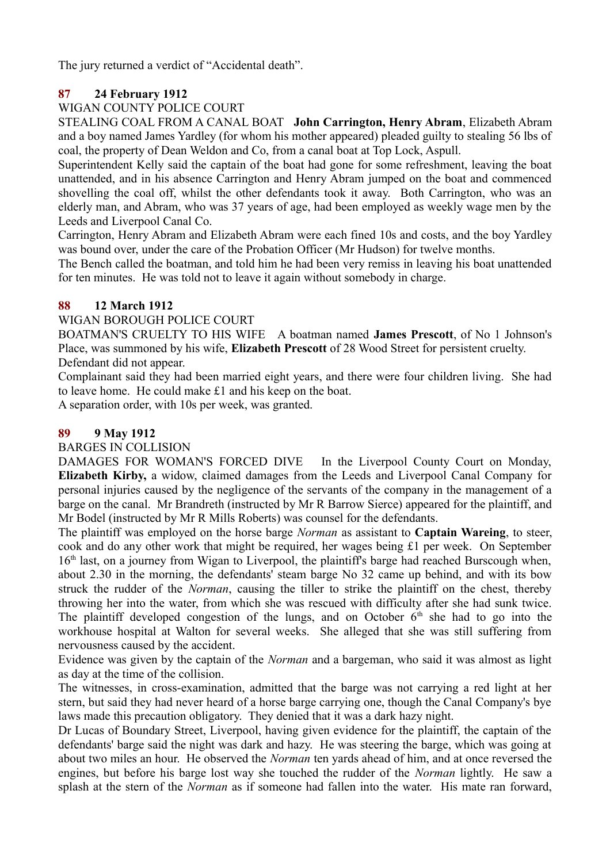The jury returned a verdict of "Accidental death".

# **87 24 February 1912**

# WIGAN COUNTY POLICE COURT

STEALING COAL FROM A CANAL BOAT **John Carrington, Henry Abram**, Elizabeth Abram and a boy named James Yardley (for whom his mother appeared) pleaded guilty to stealing 56 lbs of coal, the property of Dean Weldon and Co, from a canal boat at Top Lock, Aspull.

Superintendent Kelly said the captain of the boat had gone for some refreshment, leaving the boat unattended, and in his absence Carrington and Henry Abram jumped on the boat and commenced shovelling the coal off, whilst the other defendants took it away. Both Carrington, who was an elderly man, and Abram, who was 37 years of age, had been employed as weekly wage men by the Leeds and Liverpool Canal Co.

Carrington, Henry Abram and Elizabeth Abram were each fined 10s and costs, and the boy Yardley was bound over, under the care of the Probation Officer (Mr Hudson) for twelve months.

The Bench called the boatman, and told him he had been very remiss in leaving his boat unattended for ten minutes. He was told not to leave it again without somebody in charge.

# **88 12 March 1912**

## WIGAN BOROUGH POLICE COURT

BOATMAN'S CRUELTY TO HIS WIFE A boatman named **James Prescott**, of No 1 Johnson's Place, was summoned by his wife, **Elizabeth Prescott** of 28 Wood Street for persistent cruelty. Defendant did not appear.

Complainant said they had been married eight years, and there were four children living. She had to leave home. He could make £1 and his keep on the boat.

A separation order, with 10s per week, was granted.

# **89 9 May 1912**

## BARGES IN COLLISION

DAMAGES FOR WOMAN'S FORCED DIVE In the Liverpool County Court on Monday, **Elizabeth Kirby,** a widow, claimed damages from the Leeds and Liverpool Canal Company for personal injuries caused by the negligence of the servants of the company in the management of a barge on the canal. Mr Brandreth (instructed by Mr R Barrow Sierce) appeared for the plaintiff, and Mr Bodel (instructed by Mr R Mills Roberts) was counsel for the defendants.

The plaintiff was employed on the horse barge *Norman* as assistant to **Captain Wareing**, to steer, cook and do any other work that might be required, her wages being £1 per week. On September  $16<sup>th</sup>$  last, on a journey from Wigan to Liverpool, the plaintiff's barge had reached Burscough when, about 2.30 in the morning, the defendants' steam barge No 32 came up behind, and with its bow struck the rudder of the *Norman*, causing the tiller to strike the plaintiff on the chest, thereby throwing her into the water, from which she was rescued with difficulty after she had sunk twice. The plaintiff developed congestion of the lungs, and on October  $6<sup>th</sup>$  she had to go into the workhouse hospital at Walton for several weeks. She alleged that she was still suffering from nervousness caused by the accident.

Evidence was given by the captain of the *Norman* and a bargeman, who said it was almost as light as day at the time of the collision.

The witnesses, in cross-examination, admitted that the barge was not carrying a red light at her stern, but said they had never heard of a horse barge carrying one, though the Canal Company's bye laws made this precaution obligatory. They denied that it was a dark hazy night.

Dr Lucas of Boundary Street, Liverpool, having given evidence for the plaintiff, the captain of the defendants' barge said the night was dark and hazy. He was steering the barge, which was going at about two miles an hour. He observed the *Norman* ten yards ahead of him, and at once reversed the engines, but before his barge lost way she touched the rudder of the *Norman* lightly. He saw a splash at the stern of the *Norman* as if someone had fallen into the water. His mate ran forward,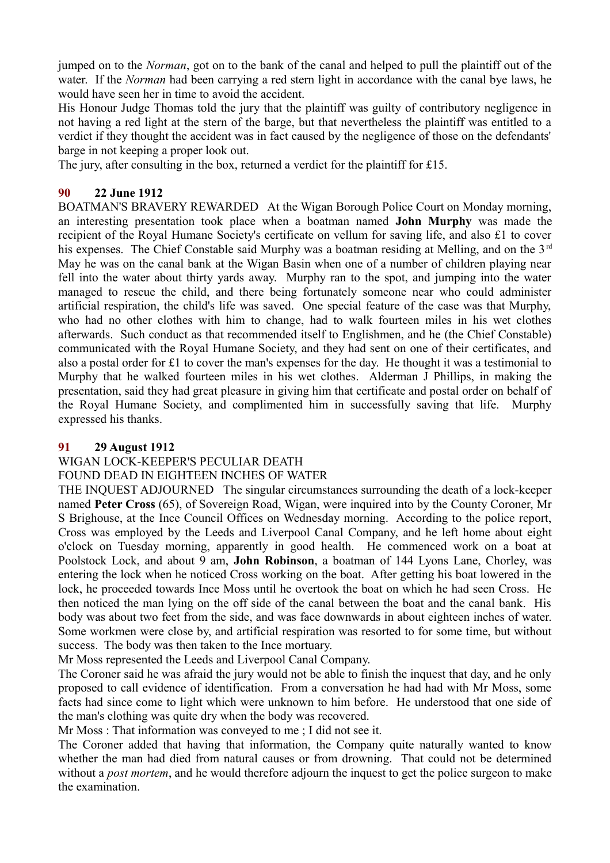jumped on to the *Norman*, got on to the bank of the canal and helped to pull the plaintiff out of the water. If the *Norman* had been carrying a red stern light in accordance with the canal bye laws, he would have seen her in time to avoid the accident.

His Honour Judge Thomas told the jury that the plaintiff was guilty of contributory negligence in not having a red light at the stern of the barge, but that nevertheless the plaintiff was entitled to a verdict if they thought the accident was in fact caused by the negligence of those on the defendants' barge in not keeping a proper look out.

The jury, after consulting in the box, returned a verdict for the plaintiff for £15.

## **90 22 June 1912**

BOATMAN'S BRAVERY REWARDED At the Wigan Borough Police Court on Monday morning, an interesting presentation took place when a boatman named **John Murphy** was made the recipient of the Royal Humane Society's certificate on vellum for saving life, and also £1 to cover his expenses. The Chief Constable said Murphy was a boatman residing at Melling, and on the 3<sup>rd</sup> May he was on the canal bank at the Wigan Basin when one of a number of children playing near fell into the water about thirty yards away. Murphy ran to the spot, and jumping into the water managed to rescue the child, and there being fortunately someone near who could administer artificial respiration, the child's life was saved. One special feature of the case was that Murphy, who had no other clothes with him to change, had to walk fourteen miles in his wet clothes afterwards. Such conduct as that recommended itself to Englishmen, and he (the Chief Constable) communicated with the Royal Humane Society, and they had sent on one of their certificates, and also a postal order for £1 to cover the man's expenses for the day. He thought it was a testimonial to Murphy that he walked fourteen miles in his wet clothes. Alderman J Phillips, in making the presentation, said they had great pleasure in giving him that certificate and postal order on behalf of the Royal Humane Society, and complimented him in successfully saving that life. Murphy expressed his thanks.

## **91 29 August 1912**

# WIGAN LOCK-KEEPER'S PECULIAR DEATH

## FOUND DEAD IN EIGHTEEN INCHES OF WATER

THE INQUEST ADJOURNED The singular circumstances surrounding the death of a lock-keeper named **Peter Cross** (65), of Sovereign Road, Wigan, were inquired into by the County Coroner, Mr S Brighouse, at the Ince Council Offices on Wednesday morning. According to the police report, Cross was employed by the Leeds and Liverpool Canal Company, and he left home about eight o'clock on Tuesday morning, apparently in good health. He commenced work on a boat at Poolstock Lock, and about 9 am, **John Robinson**, a boatman of 144 Lyons Lane, Chorley, was entering the lock when he noticed Cross working on the boat. After getting his boat lowered in the lock, he proceeded towards Ince Moss until he overtook the boat on which he had seen Cross. He then noticed the man lying on the off side of the canal between the boat and the canal bank. His body was about two feet from the side, and was face downwards in about eighteen inches of water. Some workmen were close by, and artificial respiration was resorted to for some time, but without success. The body was then taken to the Ince mortuary.

Mr Moss represented the Leeds and Liverpool Canal Company.

The Coroner said he was afraid the jury would not be able to finish the inquest that day, and he only proposed to call evidence of identification. From a conversation he had had with Mr Moss, some facts had since come to light which were unknown to him before. He understood that one side of the man's clothing was quite dry when the body was recovered.

Mr Moss : That information was conveyed to me ; I did not see it.

The Coroner added that having that information, the Company quite naturally wanted to know whether the man had died from natural causes or from drowning. That could not be determined without a *post mortem*, and he would therefore adjourn the inquest to get the police surgeon to make the examination.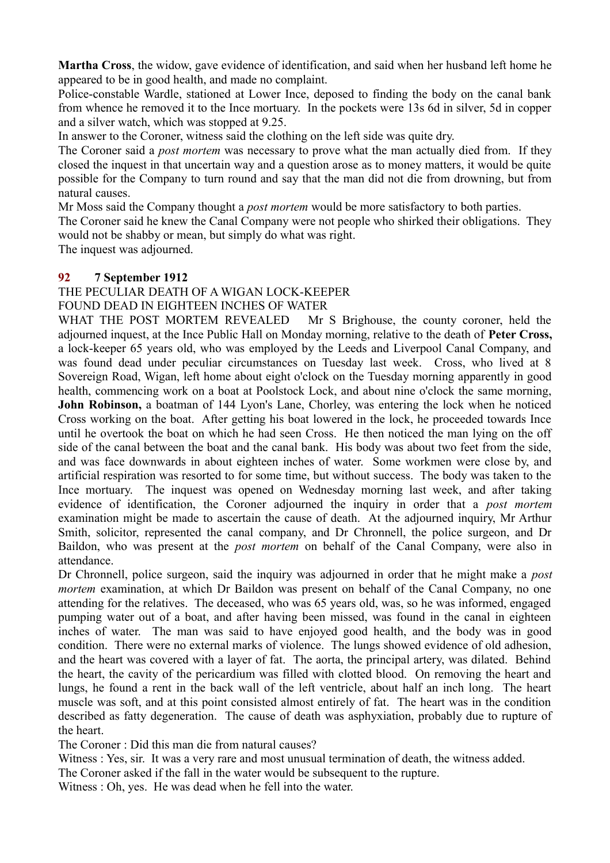**Martha Cross**, the widow, gave evidence of identification, and said when her husband left home he appeared to be in good health, and made no complaint.

Police-constable Wardle, stationed at Lower Ince, deposed to finding the body on the canal bank from whence he removed it to the Ince mortuary. In the pockets were 13s 6d in silver, 5d in copper and a silver watch, which was stopped at 9.25.

In answer to the Coroner, witness said the clothing on the left side was quite dry.

The Coroner said a *post mortem* was necessary to prove what the man actually died from. If they closed the inquest in that uncertain way and a question arose as to money matters, it would be quite possible for the Company to turn round and say that the man did not die from drowning, but from natural causes.

Mr Moss said the Company thought a *post mortem* would be more satisfactory to both parties.

The Coroner said he knew the Canal Company were not people who shirked their obligations. They would not be shabby or mean, but simply do what was right.

The inquest was adjourned.

#### **92 7 September 1912**

THE PECULIAR DEATH OF A WIGAN LOCK-KEEPER

FOUND DEAD IN EIGHTEEN INCHES OF WATER

WHAT THE POST MORTEM REVEALED Mr S Brighouse, the county coroner, held the adjourned inquest, at the Ince Public Hall on Monday morning, relative to the death of **Peter Cross,** a lock-keeper 65 years old, who was employed by the Leeds and Liverpool Canal Company, and was found dead under peculiar circumstances on Tuesday last week. Cross, who lived at 8 Sovereign Road, Wigan, left home about eight o'clock on the Tuesday morning apparently in good health, commencing work on a boat at Poolstock Lock, and about nine o'clock the same morning, **John Robinson,** a boatman of 144 Lyon's Lane, Chorley, was entering the lock when he noticed Cross working on the boat. After getting his boat lowered in the lock, he proceeded towards Ince until he overtook the boat on which he had seen Cross. He then noticed the man lying on the off side of the canal between the boat and the canal bank. His body was about two feet from the side, and was face downwards in about eighteen inches of water. Some workmen were close by, and artificial respiration was resorted to for some time, but without success. The body was taken to the Ince mortuary. The inquest was opened on Wednesday morning last week, and after taking evidence of identification, the Coroner adjourned the inquiry in order that a *post mortem* examination might be made to ascertain the cause of death. At the adjourned inquiry, Mr Arthur Smith, solicitor, represented the canal company, and Dr Chronnell, the police surgeon, and Dr Baildon, who was present at the *post mortem* on behalf of the Canal Company, were also in attendance.

Dr Chronnell, police surgeon, said the inquiry was adjourned in order that he might make a *post mortem* examination, at which Dr Baildon was present on behalf of the Canal Company, no one attending for the relatives. The deceased, who was 65 years old, was, so he was informed, engaged pumping water out of a boat, and after having been missed, was found in the canal in eighteen inches of water. The man was said to have enjoyed good health, and the body was in good condition. There were no external marks of violence. The lungs showed evidence of old adhesion, and the heart was covered with a layer of fat. The aorta, the principal artery, was dilated. Behind the heart, the cavity of the pericardium was filled with clotted blood. On removing the heart and lungs, he found a rent in the back wall of the left ventricle, about half an inch long. The heart muscle was soft, and at this point consisted almost entirely of fat. The heart was in the condition described as fatty degeneration. The cause of death was asphyxiation, probably due to rupture of the heart.

The Coroner : Did this man die from natural causes?

Witness : Yes, sir. It was a very rare and most unusual termination of death, the witness added.

The Coroner asked if the fall in the water would be subsequent to the rupture.

Witness : Oh, yes. He was dead when he fell into the water.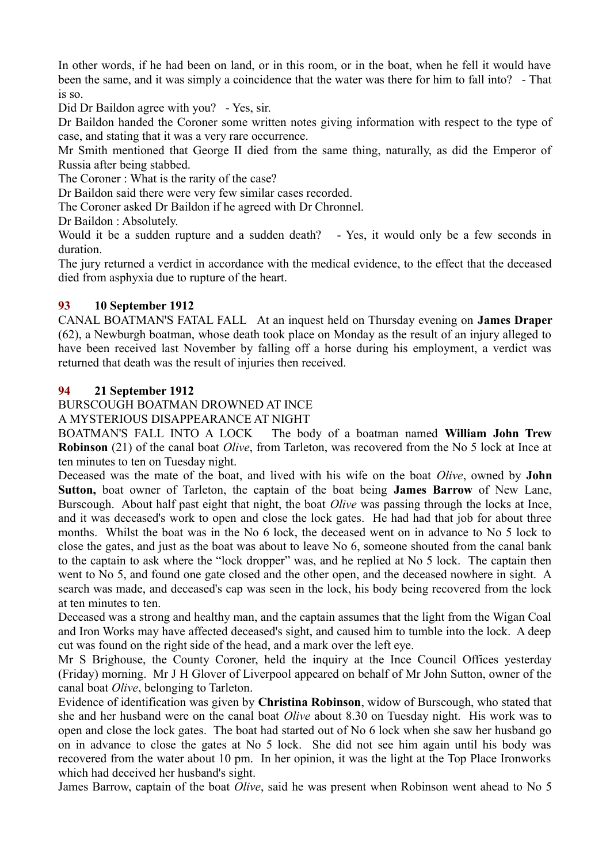In other words, if he had been on land, or in this room, or in the boat, when he fell it would have been the same, and it was simply a coincidence that the water was there for him to fall into? - That is so.

Did Dr Baildon agree with you? - Yes, sir.

Dr Baildon handed the Coroner some written notes giving information with respect to the type of case, and stating that it was a very rare occurrence.

Mr Smith mentioned that George II died from the same thing, naturally, as did the Emperor of Russia after being stabbed.

The Coroner : What is the rarity of the case?

Dr Baildon said there were very few similar cases recorded.

The Coroner asked Dr Baildon if he agreed with Dr Chronnel.

Dr Baildon : Absolutely.

Would it be a sudden rupture and a sudden death? - Yes, it would only be a few seconds in duration.

The jury returned a verdict in accordance with the medical evidence, to the effect that the deceased died from asphyxia due to rupture of the heart.

# **93 10 September 1912**

CANAL BOATMAN'S FATAL FALL At an inquest held on Thursday evening on **James Draper** (62), a Newburgh boatman, whose death took place on Monday as the result of an injury alleged to have been received last November by falling off a horse during his employment, a verdict was returned that death was the result of injuries then received.

## **94 21 September 1912**

BURSCOUGH BOATMAN DROWNED AT INCE

A MYSTERIOUS DISAPPEARANCE AT NIGHT

BOATMAN'S FALL INTO A LOCK The body of a boatman named **William John Trew Robinson** (21) of the canal boat *Olive*, from Tarleton, was recovered from the No 5 lock at Ince at ten minutes to ten on Tuesday night.

Deceased was the mate of the boat, and lived with his wife on the boat *Olive*, owned by **John Sutton,** boat owner of Tarleton, the captain of the boat being **James Barrow** of New Lane, Burscough. About half past eight that night, the boat *Olive* was passing through the locks at Ince, and it was deceased's work to open and close the lock gates. He had had that job for about three months. Whilst the boat was in the No 6 lock, the deceased went on in advance to No 5 lock to close the gates, and just as the boat was about to leave No 6, someone shouted from the canal bank to the captain to ask where the "lock dropper" was, and he replied at No 5 lock. The captain then went to No 5, and found one gate closed and the other open, and the deceased nowhere in sight. A search was made, and deceased's cap was seen in the lock, his body being recovered from the lock at ten minutes to ten.

Deceased was a strong and healthy man, and the captain assumes that the light from the Wigan Coal and Iron Works may have affected deceased's sight, and caused him to tumble into the lock. A deep cut was found on the right side of the head, and a mark over the left eye.

Mr S Brighouse, the County Coroner, held the inquiry at the Ince Council Offices yesterday (Friday) morning. Mr J H Glover of Liverpool appeared on behalf of Mr John Sutton, owner of the canal boat *Olive*, belonging to Tarleton.

Evidence of identification was given by **Christina Robinson**, widow of Burscough, who stated that she and her husband were on the canal boat *Olive* about 8.30 on Tuesday night. His work was to open and close the lock gates. The boat had started out of No 6 lock when she saw her husband go on in advance to close the gates at No 5 lock. She did not see him again until his body was recovered from the water about 10 pm. In her opinion, it was the light at the Top Place Ironworks which had deceived her husband's sight.

James Barrow, captain of the boat *Olive*, said he was present when Robinson went ahead to No 5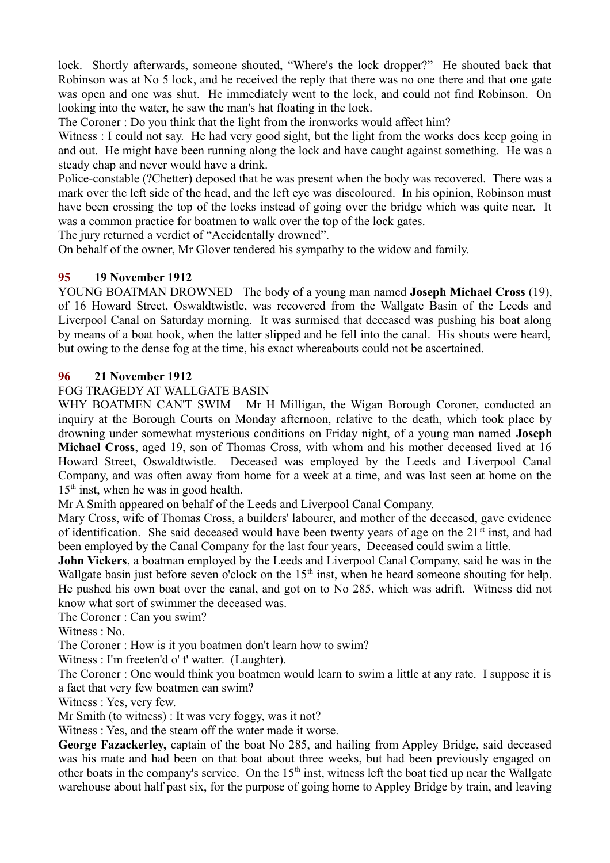lock. Shortly afterwards, someone shouted, "Where's the lock dropper?" He shouted back that Robinson was at No 5 lock, and he received the reply that there was no one there and that one gate was open and one was shut. He immediately went to the lock, and could not find Robinson. On looking into the water, he saw the man's hat floating in the lock.

The Coroner : Do you think that the light from the ironworks would affect him?

Witness : I could not say. He had very good sight, but the light from the works does keep going in and out. He might have been running along the lock and have caught against something. He was a steady chap and never would have a drink.

Police-constable (?Chetter) deposed that he was present when the body was recovered. There was a mark over the left side of the head, and the left eye was discoloured. In his opinion, Robinson must have been crossing the top of the locks instead of going over the bridge which was quite near. It was a common practice for boatmen to walk over the top of the lock gates.

The jury returned a verdict of "Accidentally drowned".

On behalf of the owner, Mr Glover tendered his sympathy to the widow and family.

#### **95 19 November 1912**

YOUNG BOATMAN DROWNED The body of a young man named **Joseph Michael Cross** (19), of 16 Howard Street, Oswaldtwistle, was recovered from the Wallgate Basin of the Leeds and Liverpool Canal on Saturday morning. It was surmised that deceased was pushing his boat along by means of a boat hook, when the latter slipped and he fell into the canal. His shouts were heard, but owing to the dense fog at the time, his exact whereabouts could not be ascertained.

#### **96 21 November 1912**

#### FOG TRAGEDY AT WALLGATE BASIN

WHY BOATMEN CAN'T SWIM Mr H Milligan, the Wigan Borough Coroner, conducted an inquiry at the Borough Courts on Monday afternoon, relative to the death, which took place by drowning under somewhat mysterious conditions on Friday night, of a young man named **Joseph Michael Cross**, aged 19, son of Thomas Cross, with whom and his mother deceased lived at 16 Howard Street, Oswaldtwistle. Deceased was employed by the Leeds and Liverpool Canal Company, and was often away from home for a week at a time, and was last seen at home on the 15<sup>th</sup> inst, when he was in good health.

Mr A Smith appeared on behalf of the Leeds and Liverpool Canal Company.

Mary Cross, wife of Thomas Cross, a builders' labourer, and mother of the deceased, gave evidence of identification. She said deceased would have been twenty years of age on the  $21<sup>st</sup>$  inst, and had been employed by the Canal Company for the last four years, Deceased could swim a little.

**John Vickers**, a boatman employed by the Leeds and Liverpool Canal Company, said he was in the Wallgate basin just before seven o'clock on the  $15<sup>th</sup>$  inst, when he heard someone shouting for help. He pushed his own boat over the canal, and got on to No 285, which was adrift. Witness did not know what sort of swimmer the deceased was.

The Coroner : Can you swim?

Witness : No.

The Coroner : How is it you boatmen don't learn how to swim?

Witness : I'm freeten'd o' t' watter. (Laughter).

The Coroner : One would think you boatmen would learn to swim a little at any rate. I suppose it is a fact that very few boatmen can swim?

Witness : Yes, very few.

Mr Smith (to witness) : It was very foggy, was it not?

Witness : Yes, and the steam off the water made it worse.

**George Fazackerley,** captain of the boat No 285, and hailing from Appley Bridge, said deceased was his mate and had been on that boat about three weeks, but had been previously engaged on other boats in the company's service. On the 15<sup>th</sup> inst, witness left the boat tied up near the Wallgate warehouse about half past six, for the purpose of going home to Appley Bridge by train, and leaving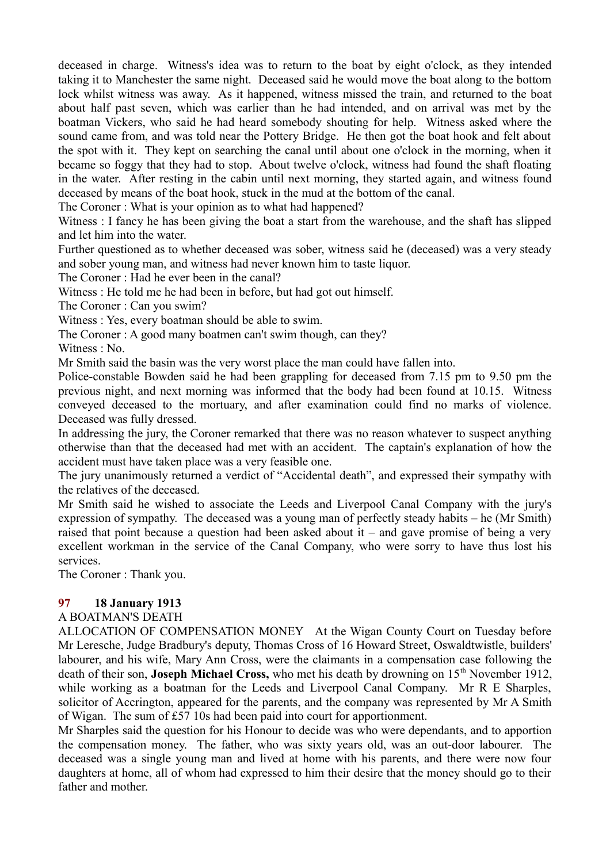deceased in charge. Witness's idea was to return to the boat by eight o'clock, as they intended taking it to Manchester the same night. Deceased said he would move the boat along to the bottom lock whilst witness was away. As it happened, witness missed the train, and returned to the boat about half past seven, which was earlier than he had intended, and on arrival was met by the boatman Vickers, who said he had heard somebody shouting for help. Witness asked where the sound came from, and was told near the Pottery Bridge. He then got the boat hook and felt about the spot with it. They kept on searching the canal until about one o'clock in the morning, when it became so foggy that they had to stop. About twelve o'clock, witness had found the shaft floating in the water. After resting in the cabin until next morning, they started again, and witness found deceased by means of the boat hook, stuck in the mud at the bottom of the canal.

The Coroner : What is your opinion as to what had happened?

Witness : I fancy he has been giving the boat a start from the warehouse, and the shaft has slipped and let him into the water.

Further questioned as to whether deceased was sober, witness said he (deceased) was a very steady and sober young man, and witness had never known him to taste liquor.

The Coroner : Had he ever been in the canal?

Witness : He told me he had been in before, but had got out himself.

The Coroner : Can you swim?

Witness : Yes, every boatman should be able to swim.

The Coroner : A good many boatmen can't swim though, can they?

Witness : No.

Mr Smith said the basin was the very worst place the man could have fallen into.

Police-constable Bowden said he had been grappling for deceased from 7.15 pm to 9.50 pm the previous night, and next morning was informed that the body had been found at 10.15. Witness conveyed deceased to the mortuary, and after examination could find no marks of violence. Deceased was fully dressed.

In addressing the jury, the Coroner remarked that there was no reason whatever to suspect anything otherwise than that the deceased had met with an accident. The captain's explanation of how the accident must have taken place was a very feasible one.

The jury unanimously returned a verdict of "Accidental death", and expressed their sympathy with the relatives of the deceased.

Mr Smith said he wished to associate the Leeds and Liverpool Canal Company with the jury's expression of sympathy. The deceased was a young man of perfectly steady habits – he (Mr Smith) raised that point because a question had been asked about it – and gave promise of being a very excellent workman in the service of the Canal Company, who were sorry to have thus lost his services.

The Coroner : Thank you.

## **97 18 January 1913**

## A BOATMAN'S DEATH

ALLOCATION OF COMPENSATION MONEY At the Wigan County Court on Tuesday before Mr Leresche, Judge Bradbury's deputy, Thomas Cross of 16 Howard Street, Oswaldtwistle, builders' labourer, and his wife, Mary Ann Cross, were the claimants in a compensation case following the death of their son, **Joseph Michael Cross**, who met his death by drowning on 15<sup>th</sup> November 1912, while working as a boatman for the Leeds and Liverpool Canal Company. Mr R E Sharples, solicitor of Accrington, appeared for the parents, and the company was represented by Mr A Smith of Wigan. The sum of £57 10s had been paid into court for apportionment.

Mr Sharples said the question for his Honour to decide was who were dependants, and to apportion the compensation money. The father, who was sixty years old, was an out-door labourer. The deceased was a single young man and lived at home with his parents, and there were now four daughters at home, all of whom had expressed to him their desire that the money should go to their father and mother.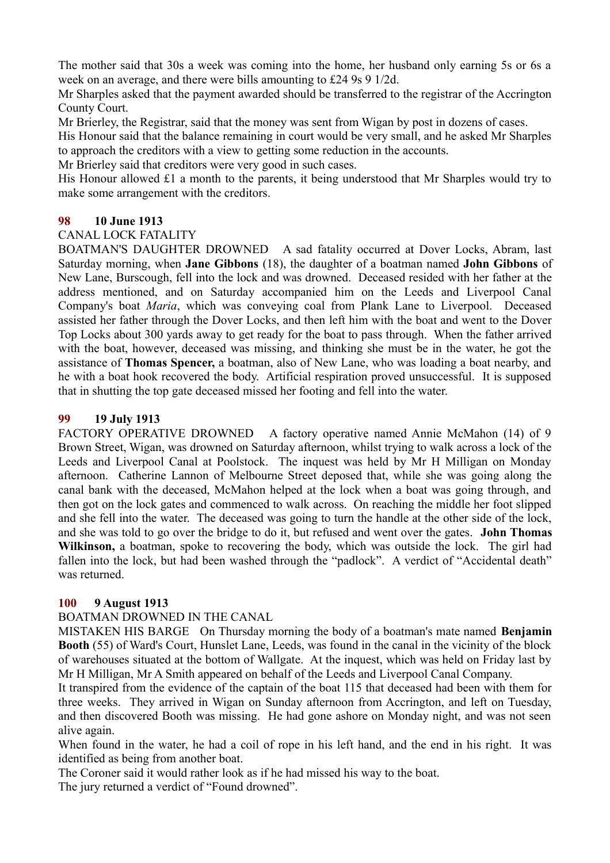The mother said that 30s a week was coming into the home, her husband only earning 5s or 6s a week on an average, and there were bills amounting to £24 9s 9 1/2d.

Mr Sharples asked that the payment awarded should be transferred to the registrar of the Accrington County Court.

Mr Brierley, the Registrar, said that the money was sent from Wigan by post in dozens of cases.

His Honour said that the balance remaining in court would be very small, and he asked Mr Sharples to approach the creditors with a view to getting some reduction in the accounts.

Mr Brierley said that creditors were very good in such cases.

His Honour allowed £1 a month to the parents, it being understood that Mr Sharples would try to make some arrangement with the creditors.

## **98 10 June 1913**

#### CANAL LOCK FATALITY

BOATMAN'S DAUGHTER DROWNED A sad fatality occurred at Dover Locks, Abram, last Saturday morning, when **Jane Gibbons** (18), the daughter of a boatman named **John Gibbons** of New Lane, Burscough, fell into the lock and was drowned. Deceased resided with her father at the address mentioned, and on Saturday accompanied him on the Leeds and Liverpool Canal Company's boat *Maria*, which was conveying coal from Plank Lane to Liverpool. Deceased assisted her father through the Dover Locks, and then left him with the boat and went to the Dover Top Locks about 300 yards away to get ready for the boat to pass through. When the father arrived with the boat, however, deceased was missing, and thinking she must be in the water, he got the assistance of **Thomas Spencer,** a boatman, also of New Lane, who was loading a boat nearby, and he with a boat hook recovered the body. Artificial respiration proved unsuccessful. It is supposed that in shutting the top gate deceased missed her footing and fell into the water.

#### **99 19 July 1913**

FACTORY OPERATIVE DROWNED A factory operative named Annie McMahon (14) of 9 Brown Street, Wigan, was drowned on Saturday afternoon, whilst trying to walk across a lock of the Leeds and Liverpool Canal at Poolstock. The inquest was held by Mr H Milligan on Monday afternoon. Catherine Lannon of Melbourne Street deposed that, while she was going along the canal bank with the deceased, McMahon helped at the lock when a boat was going through, and then got on the lock gates and commenced to walk across. On reaching the middle her foot slipped and she fell into the water. The deceased was going to turn the handle at the other side of the lock, and she was told to go over the bridge to do it, but refused and went over the gates. **John Thomas Wilkinson,** a boatman, spoke to recovering the body, which was outside the lock. The girl had fallen into the lock, but had been washed through the "padlock". A verdict of "Accidental death" was returned.

#### **100 9 August 1913**

## BOATMAN DROWNED IN THE CANAL

MISTAKEN HIS BARGE On Thursday morning the body of a boatman's mate named **Benjamin Booth** (55) of Ward's Court, Hunslet Lane, Leeds, was found in the canal in the vicinity of the block of warehouses situated at the bottom of Wallgate. At the inquest, which was held on Friday last by Mr H Milligan, Mr A Smith appeared on behalf of the Leeds and Liverpool Canal Company.

It transpired from the evidence of the captain of the boat 115 that deceased had been with them for three weeks. They arrived in Wigan on Sunday afternoon from Accrington, and left on Tuesday, and then discovered Booth was missing. He had gone ashore on Monday night, and was not seen alive again.

When found in the water, he had a coil of rope in his left hand, and the end in his right. It was identified as being from another boat.

The Coroner said it would rather look as if he had missed his way to the boat. The jury returned a verdict of "Found drowned".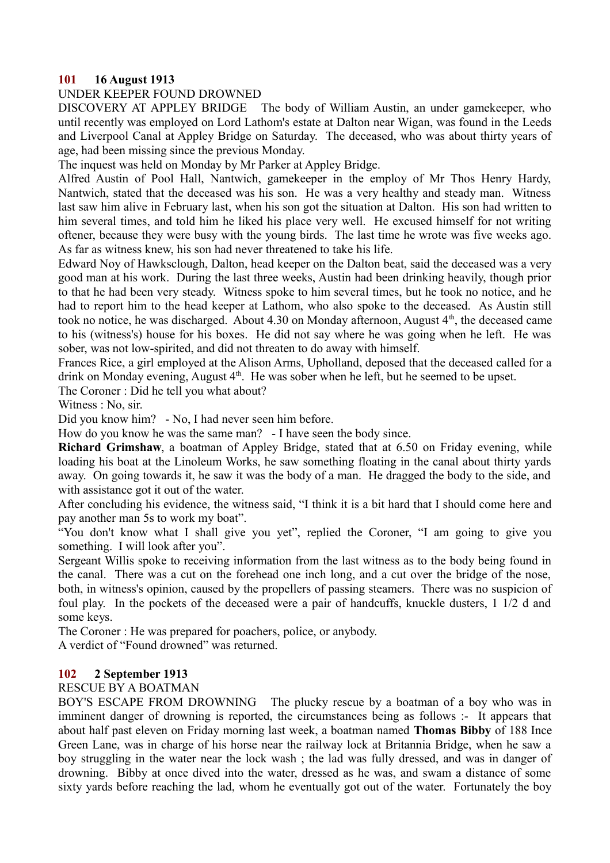#### **101 16 August 1913**

#### UNDER KEEPER FOUND DROWNED

DISCOVERY AT APPLEY BRIDGE The body of William Austin, an under gamekeeper, who until recently was employed on Lord Lathom's estate at Dalton near Wigan, was found in the Leeds and Liverpool Canal at Appley Bridge on Saturday. The deceased, who was about thirty years of age, had been missing since the previous Monday.

The inquest was held on Monday by Mr Parker at Appley Bridge.

Alfred Austin of Pool Hall, Nantwich, gamekeeper in the employ of Mr Thos Henry Hardy, Nantwich, stated that the deceased was his son. He was a very healthy and steady man. Witness last saw him alive in February last, when his son got the situation at Dalton. His son had written to him several times, and told him he liked his place very well. He excused himself for not writing oftener, because they were busy with the young birds. The last time he wrote was five weeks ago. As far as witness knew, his son had never threatened to take his life.

Edward Noy of Hawksclough, Dalton, head keeper on the Dalton beat, said the deceased was a very good man at his work. During the last three weeks, Austin had been drinking heavily, though prior to that he had been very steady. Witness spoke to him several times, but he took no notice, and he had to report him to the head keeper at Lathom, who also spoke to the deceased. As Austin still took no notice, he was discharged. About 4.30 on Monday afternoon, August  $4<sup>th</sup>$ , the deceased came to his (witness's) house for his boxes. He did not say where he was going when he left. He was sober, was not low-spirited, and did not threaten to do away with himself.

Frances Rice, a girl employed at the Alison Arms, Upholland, deposed that the deceased called for a drink on Monday evening, August  $4<sup>th</sup>$ . He was sober when he left, but he seemed to be upset.

The Coroner : Did he tell you what about?

Witness : No, sir.

Did you know him? - No, I had never seen him before.

How do you know he was the same man? - I have seen the body since.

**Richard Grimshaw**, a boatman of Appley Bridge, stated that at 6.50 on Friday evening, while loading his boat at the Linoleum Works, he saw something floating in the canal about thirty yards away. On going towards it, he saw it was the body of a man. He dragged the body to the side, and with assistance got it out of the water.

After concluding his evidence, the witness said, "I think it is a bit hard that I should come here and pay another man 5s to work my boat".

"You don't know what I shall give you yet", replied the Coroner, "I am going to give you something. I will look after you".

Sergeant Willis spoke to receiving information from the last witness as to the body being found in the canal. There was a cut on the forehead one inch long, and a cut over the bridge of the nose, both, in witness's opinion, caused by the propellers of passing steamers. There was no suspicion of foul play. In the pockets of the deceased were a pair of handcuffs, knuckle dusters, 1 1/2 d and some keys.

The Coroner : He was prepared for poachers, police, or anybody.

A verdict of "Found drowned" was returned.

#### **102 2 September 1913**

## RESCUE BY A BOATMAN

BOY'S ESCAPE FROM DROWNING The plucky rescue by a boatman of a boy who was in imminent danger of drowning is reported, the circumstances being as follows :- It appears that about half past eleven on Friday morning last week, a boatman named **Thomas Bibby** of 188 Ince Green Lane, was in charge of his horse near the railway lock at Britannia Bridge, when he saw a boy struggling in the water near the lock wash ; the lad was fully dressed, and was in danger of drowning. Bibby at once dived into the water, dressed as he was, and swam a distance of some sixty yards before reaching the lad, whom he eventually got out of the water. Fortunately the boy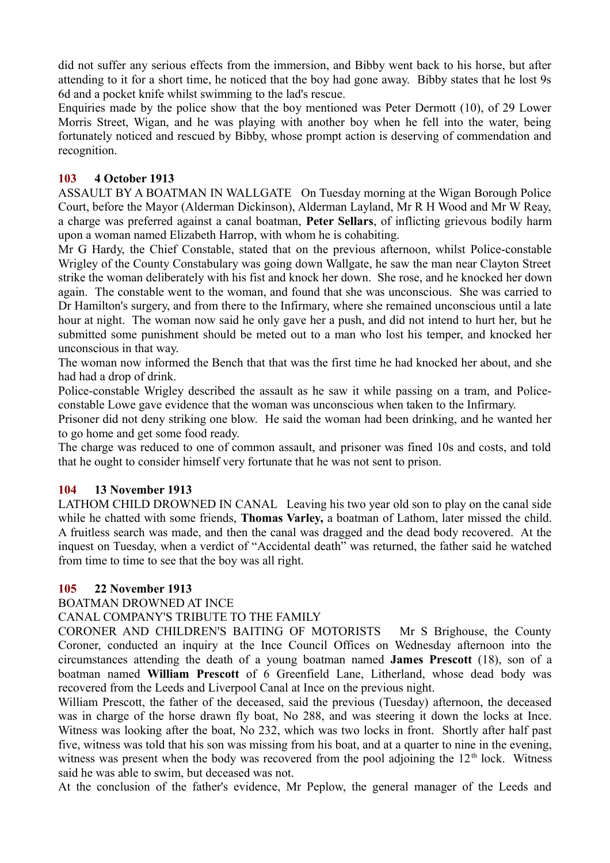did not suffer any serious effects from the immersion, and Bibby went back to his horse, but after attending to it for a short time, he noticed that the boy had gone away. Bibby states that he lost 9s 6d and a pocket knife whilst swimming to the lad's rescue.

Enquiries made by the police show that the boy mentioned was Peter Dermott (10), of 29 Lower Morris Street, Wigan, and he was playing with another boy when he fell into the water, being fortunately noticed and rescued by Bibby, whose prompt action is deserving of commendation and recognition.

#### **103 4 October 1913**

ASSAULT BY A BOATMAN IN WALLGATE On Tuesday morning at the Wigan Borough Police Court, before the Mayor (Alderman Dickinson), Alderman Layland, Mr R H Wood and Mr W Reay, a charge was preferred against a canal boatman, **Peter Sellars**, of inflicting grievous bodily harm upon a woman named Elizabeth Harrop, with whom he is cohabiting.

Mr G Hardy, the Chief Constable, stated that on the previous afternoon, whilst Police-constable Wrigley of the County Constabulary was going down Wallgate, he saw the man near Clayton Street strike the woman deliberately with his fist and knock her down. She rose, and he knocked her down again. The constable went to the woman, and found that she was unconscious. She was carried to Dr Hamilton's surgery, and from there to the Infirmary, where she remained unconscious until a late hour at night. The woman now said he only gave her a push, and did not intend to hurt her, but he submitted some punishment should be meted out to a man who lost his temper, and knocked her unconscious in that way.

The woman now informed the Bench that that was the first time he had knocked her about, and she had had a drop of drink

Police-constable Wrigley described the assault as he saw it while passing on a tram, and Policeconstable Lowe gave evidence that the woman was unconscious when taken to the Infirmary.

Prisoner did not deny striking one blow. He said the woman had been drinking, and he wanted her to go home and get some food ready.

The charge was reduced to one of common assault, and prisoner was fined 10s and costs, and told that he ought to consider himself very fortunate that he was not sent to prison.

#### **104 13 November 1913**

LATHOM CHILD DROWNED IN CANAL Leaving his two year old son to play on the canal side while he chatted with some friends, **Thomas Varley,** a boatman of Lathom, later missed the child. A fruitless search was made, and then the canal was dragged and the dead body recovered. At the inquest on Tuesday, when a verdict of "Accidental death" was returned, the father said he watched from time to time to see that the boy was all right.

#### **105 22 November 1913**

BOATMAN DROWNED AT INCE

CANAL COMPANY'S TRIBUTE TO THE FAMILY

CORONER AND CHILDREN'S BAITING OF MOTORISTS Mr S Brighouse, the County Coroner, conducted an inquiry at the Ince Council Offices on Wednesday afternoon into the circumstances attending the death of a young boatman named **James Prescott** (18), son of a boatman named **William Prescott** of 6 Greenfield Lane, Litherland, whose dead body was recovered from the Leeds and Liverpool Canal at Ince on the previous night.

William Prescott, the father of the deceased, said the previous (Tuesday) afternoon, the deceased was in charge of the horse drawn fly boat, No 288, and was steering it down the locks at Ince. Witness was looking after the boat, No 232, which was two locks in front. Shortly after half past five, witness was told that his son was missing from his boat, and at a quarter to nine in the evening, witness was present when the body was recovered from the pool adjoining the  $12<sup>th</sup>$  lock. Witness said he was able to swim, but deceased was not.

At the conclusion of the father's evidence, Mr Peplow, the general manager of the Leeds and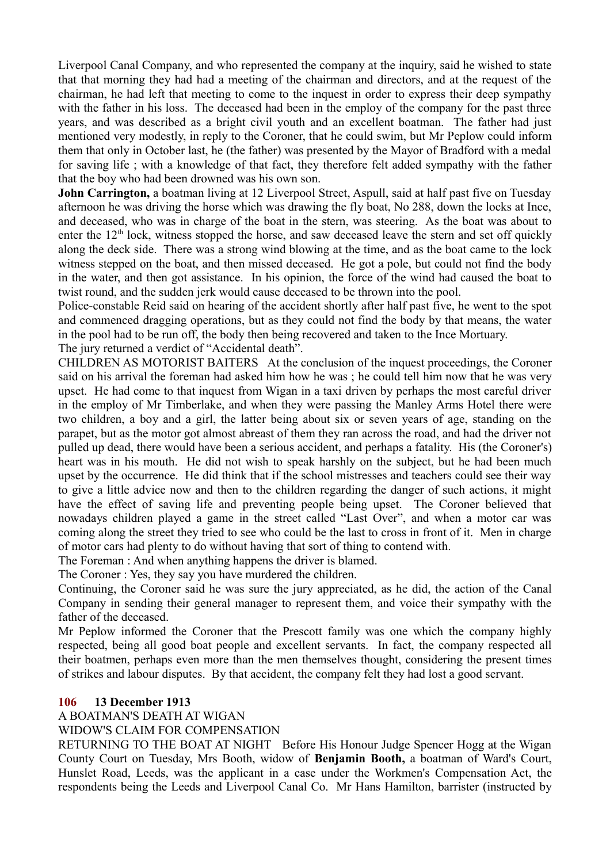Liverpool Canal Company, and who represented the company at the inquiry, said he wished to state that that morning they had had a meeting of the chairman and directors, and at the request of the chairman, he had left that meeting to come to the inquest in order to express their deep sympathy with the father in his loss. The deceased had been in the employ of the company for the past three years, and was described as a bright civil youth and an excellent boatman. The father had just mentioned very modestly, in reply to the Coroner, that he could swim, but Mr Peplow could inform them that only in October last, he (the father) was presented by the Mayor of Bradford with a medal for saving life ; with a knowledge of that fact, they therefore felt added sympathy with the father that the boy who had been drowned was his own son.

**John Carrington,** a boatman living at 12 Liverpool Street, Aspull, said at half past five on Tuesday afternoon he was driving the horse which was drawing the fly boat, No 288, down the locks at Ince, and deceased, who was in charge of the boat in the stern, was steering. As the boat was about to enter the  $12<sup>th</sup>$  lock, witness stopped the horse, and saw deceased leave the stern and set off quickly along the deck side. There was a strong wind blowing at the time, and as the boat came to the lock witness stepped on the boat, and then missed deceased. He got a pole, but could not find the body in the water, and then got assistance. In his opinion, the force of the wind had caused the boat to twist round, and the sudden jerk would cause deceased to be thrown into the pool.

Police-constable Reid said on hearing of the accident shortly after half past five, he went to the spot and commenced dragging operations, but as they could not find the body by that means, the water in the pool had to be run off, the body then being recovered and taken to the Ince Mortuary.

The jury returned a verdict of "Accidental death".

CHILDREN AS MOTORIST BAITERS At the conclusion of the inquest proceedings, the Coroner said on his arrival the foreman had asked him how he was ; he could tell him now that he was very upset. He had come to that inquest from Wigan in a taxi driven by perhaps the most careful driver in the employ of Mr Timberlake, and when they were passing the Manley Arms Hotel there were two children, a boy and a girl, the latter being about six or seven years of age, standing on the parapet, but as the motor got almost abreast of them they ran across the road, and had the driver not pulled up dead, there would have been a serious accident, and perhaps a fatality. His (the Coroner's) heart was in his mouth. He did not wish to speak harshly on the subject, but he had been much upset by the occurrence. He did think that if the school mistresses and teachers could see their way to give a little advice now and then to the children regarding the danger of such actions, it might have the effect of saving life and preventing people being upset. The Coroner believed that nowadays children played a game in the street called "Last Over", and when a motor car was coming along the street they tried to see who could be the last to cross in front of it. Men in charge of motor cars had plenty to do without having that sort of thing to contend with.

The Foreman : And when anything happens the driver is blamed.

The Coroner : Yes, they say you have murdered the children.

Continuing, the Coroner said he was sure the jury appreciated, as he did, the action of the Canal Company in sending their general manager to represent them, and voice their sympathy with the father of the deceased.

Mr Peplow informed the Coroner that the Prescott family was one which the company highly respected, being all good boat people and excellent servants. In fact, the company respected all their boatmen, perhaps even more than the men themselves thought, considering the present times of strikes and labour disputes. By that accident, the company felt they had lost a good servant.

#### **106 13 December 1913**

A BOATMAN'S DEATH AT WIGAN

WIDOW'S CLAIM FOR COMPENSATION

RETURNING TO THE BOAT AT NIGHT Before His Honour Judge Spencer Hogg at the Wigan County Court on Tuesday, Mrs Booth, widow of **Benjamin Booth,** a boatman of Ward's Court, Hunslet Road, Leeds, was the applicant in a case under the Workmen's Compensation Act, the respondents being the Leeds and Liverpool Canal Co. Mr Hans Hamilton, barrister (instructed by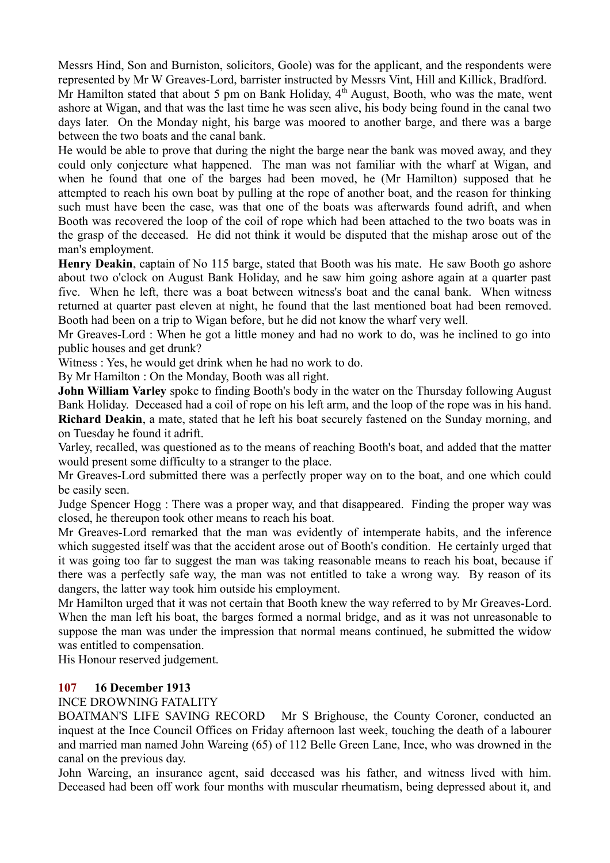Messrs Hind, Son and Burniston, solicitors, Goole) was for the applicant, and the respondents were represented by Mr W Greaves-Lord, barrister instructed by Messrs Vint, Hill and Killick, Bradford.

Mr Hamilton stated that about 5 pm on Bank Holiday,  $4<sup>th</sup>$  August, Booth, who was the mate, went ashore at Wigan, and that was the last time he was seen alive, his body being found in the canal two days later. On the Monday night, his barge was moored to another barge, and there was a barge between the two boats and the canal bank.

He would be able to prove that during the night the barge near the bank was moved away, and they could only conjecture what happened. The man was not familiar with the wharf at Wigan, and when he found that one of the barges had been moved, he (Mr Hamilton) supposed that he attempted to reach his own boat by pulling at the rope of another boat, and the reason for thinking such must have been the case, was that one of the boats was afterwards found adrift, and when Booth was recovered the loop of the coil of rope which had been attached to the two boats was in the grasp of the deceased. He did not think it would be disputed that the mishap arose out of the man's employment.

**Henry Deakin**, captain of No 115 barge, stated that Booth was his mate. He saw Booth go ashore about two o'clock on August Bank Holiday, and he saw him going ashore again at a quarter past five. When he left, there was a boat between witness's boat and the canal bank. When witness returned at quarter past eleven at night, he found that the last mentioned boat had been removed. Booth had been on a trip to Wigan before, but he did not know the wharf very well.

Mr Greaves-Lord : When he got a little money and had no work to do, was he inclined to go into public houses and get drunk?

Witness : Yes, he would get drink when he had no work to do.

By Mr Hamilton : On the Monday, Booth was all right.

**John William Varley** spoke to finding Booth's body in the water on the Thursday following August Bank Holiday. Deceased had a coil of rope on his left arm, and the loop of the rope was in his hand.

**Richard Deakin**, a mate, stated that he left his boat securely fastened on the Sunday morning, and on Tuesday he found it adrift.

Varley, recalled, was questioned as to the means of reaching Booth's boat, and added that the matter would present some difficulty to a stranger to the place.

Mr Greaves-Lord submitted there was a perfectly proper way on to the boat, and one which could be easily seen.

Judge Spencer Hogg : There was a proper way, and that disappeared. Finding the proper way was closed, he thereupon took other means to reach his boat.

Mr Greaves-Lord remarked that the man was evidently of intemperate habits, and the inference which suggested itself was that the accident arose out of Booth's condition. He certainly urged that it was going too far to suggest the man was taking reasonable means to reach his boat, because if there was a perfectly safe way, the man was not entitled to take a wrong way. By reason of its dangers, the latter way took him outside his employment.

Mr Hamilton urged that it was not certain that Booth knew the way referred to by Mr Greaves-Lord. When the man left his boat, the barges formed a normal bridge, and as it was not unreasonable to suppose the man was under the impression that normal means continued, he submitted the widow was entitled to compensation.

His Honour reserved judgement.

## **107 16 December 1913**

INCE DROWNING FATALITY

BOATMAN'S LIFE SAVING RECORD Mr S Brighouse, the County Coroner, conducted an inquest at the Ince Council Offices on Friday afternoon last week, touching the death of a labourer and married man named John Wareing (65) of 112 Belle Green Lane, Ince, who was drowned in the canal on the previous day.

John Wareing, an insurance agent, said deceased was his father, and witness lived with him. Deceased had been off work four months with muscular rheumatism, being depressed about it, and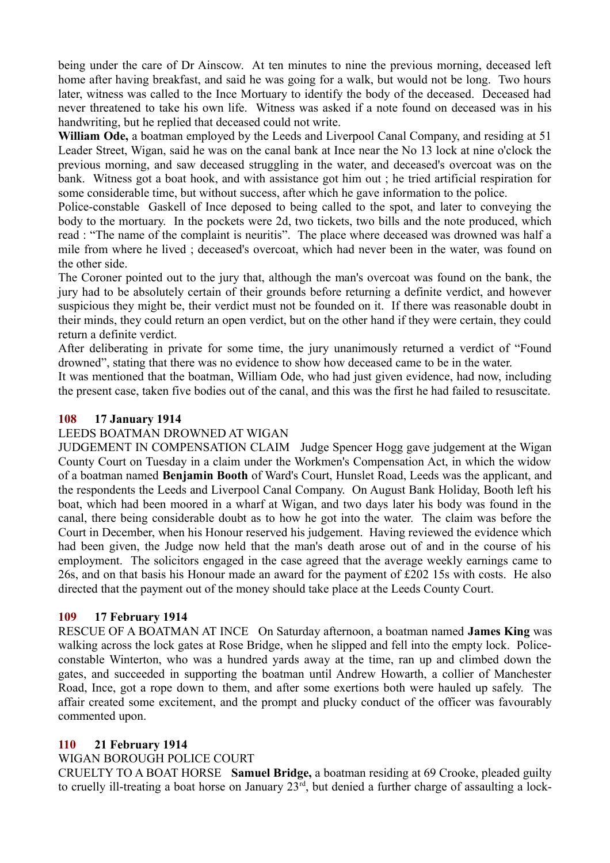being under the care of Dr Ainscow. At ten minutes to nine the previous morning, deceased left home after having breakfast, and said he was going for a walk, but would not be long. Two hours later, witness was called to the Ince Mortuary to identify the body of the deceased. Deceased had never threatened to take his own life. Witness was asked if a note found on deceased was in his handwriting, but he replied that deceased could not write.

**William Ode,** a boatman employed by the Leeds and Liverpool Canal Company, and residing at 51 Leader Street, Wigan, said he was on the canal bank at Ince near the No 13 lock at nine o'clock the previous morning, and saw deceased struggling in the water, and deceased's overcoat was on the bank. Witness got a boat hook, and with assistance got him out ; he tried artificial respiration for some considerable time, but without success, after which he gave information to the police.

Police-constable Gaskell of Ince deposed to being called to the spot, and later to conveying the body to the mortuary. In the pockets were 2d, two tickets, two bills and the note produced, which read : "The name of the complaint is neuritis". The place where deceased was drowned was half a mile from where he lived ; deceased's overcoat, which had never been in the water, was found on the other side.

The Coroner pointed out to the jury that, although the man's overcoat was found on the bank, the jury had to be absolutely certain of their grounds before returning a definite verdict, and however suspicious they might be, their verdict must not be founded on it. If there was reasonable doubt in their minds, they could return an open verdict, but on the other hand if they were certain, they could return a definite verdict.

After deliberating in private for some time, the jury unanimously returned a verdict of "Found drowned", stating that there was no evidence to show how deceased came to be in the water.

It was mentioned that the boatman, William Ode, who had just given evidence, had now, including the present case, taken five bodies out of the canal, and this was the first he had failed to resuscitate.

#### **108 17 January 1914**

#### LEEDS BOATMAN DROWNED AT WIGAN

JUDGEMENT IN COMPENSATION CLAIM Judge Spencer Hogg gave judgement at the Wigan County Court on Tuesday in a claim under the Workmen's Compensation Act, in which the widow of a boatman named **Benjamin Booth** of Ward's Court, Hunslet Road, Leeds was the applicant, and the respondents the Leeds and Liverpool Canal Company. On August Bank Holiday, Booth left his boat, which had been moored in a wharf at Wigan, and two days later his body was found in the canal, there being considerable doubt as to how he got into the water. The claim was before the Court in December, when his Honour reserved his judgement. Having reviewed the evidence which had been given, the Judge now held that the man's death arose out of and in the course of his employment. The solicitors engaged in the case agreed that the average weekly earnings came to 26s, and on that basis his Honour made an award for the payment of £202 15s with costs. He also directed that the payment out of the money should take place at the Leeds County Court.

## **109 17 February 1914**

RESCUE OF A BOATMAN AT INCE On Saturday afternoon, a boatman named **James King** was walking across the lock gates at Rose Bridge, when he slipped and fell into the empty lock. Policeconstable Winterton, who was a hundred yards away at the time, ran up and climbed down the gates, and succeeded in supporting the boatman until Andrew Howarth, a collier of Manchester Road, Ince, got a rope down to them, and after some exertions both were hauled up safely. The affair created some excitement, and the prompt and plucky conduct of the officer was favourably commented upon.

#### **110 21 February 1914**

#### WIGAN BOROUGH POLICE COURT

CRUELTY TO A BOAT HORSE **Samuel Bridge,** a boatman residing at 69 Crooke, pleaded guilty to cruelly ill-treating a boat horse on January 23<sup>rd</sup>, but denied a further charge of assaulting a lock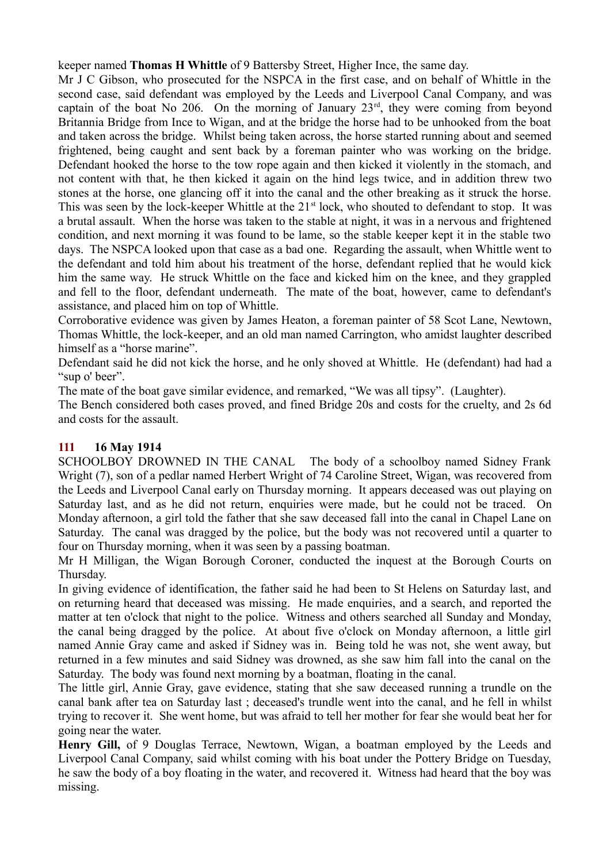keeper named **Thomas H Whittle** of 9 Battersby Street, Higher Ince, the same day.

Mr J C Gibson, who prosecuted for the NSPCA in the first case, and on behalf of Whittle in the second case, said defendant was employed by the Leeds and Liverpool Canal Company, and was captain of the boat No 206. On the morning of January  $23<sup>rd</sup>$ , they were coming from beyond Britannia Bridge from Ince to Wigan, and at the bridge the horse had to be unhooked from the boat and taken across the bridge. Whilst being taken across, the horse started running about and seemed frightened, being caught and sent back by a foreman painter who was working on the bridge. Defendant hooked the horse to the tow rope again and then kicked it violently in the stomach, and not content with that, he then kicked it again on the hind legs twice, and in addition threw two stones at the horse, one glancing off it into the canal and the other breaking as it struck the horse. This was seen by the lock-keeper Whittle at the 21<sup>st</sup> lock, who shouted to defendant to stop. It was a brutal assault. When the horse was taken to the stable at night, it was in a nervous and frightened condition, and next morning it was found to be lame, so the stable keeper kept it in the stable two days. The NSPCA looked upon that case as a bad one. Regarding the assault, when Whittle went to the defendant and told him about his treatment of the horse, defendant replied that he would kick him the same way. He struck Whittle on the face and kicked him on the knee, and they grappled and fell to the floor, defendant underneath. The mate of the boat, however, came to defendant's assistance, and placed him on top of Whittle.

Corroborative evidence was given by James Heaton, a foreman painter of 58 Scot Lane, Newtown, Thomas Whittle, the lock-keeper, and an old man named Carrington, who amidst laughter described himself as a "horse marine".

Defendant said he did not kick the horse, and he only shoved at Whittle. He (defendant) had had a "sup o' beer".

The mate of the boat gave similar evidence, and remarked, "We was all tipsy". (Laughter).

The Bench considered both cases proved, and fined Bridge 20s and costs for the cruelty, and 2s 6d and costs for the assault.

# **111 16 May 1914**

SCHOOLBOY DROWNED IN THE CANAL The body of a schoolboy named Sidney Frank Wright (7), son of a pedlar named Herbert Wright of 74 Caroline Street, Wigan, was recovered from the Leeds and Liverpool Canal early on Thursday morning. It appears deceased was out playing on Saturday last, and as he did not return, enquiries were made, but he could not be traced. On Monday afternoon, a girl told the father that she saw deceased fall into the canal in Chapel Lane on Saturday. The canal was dragged by the police, but the body was not recovered until a quarter to four on Thursday morning, when it was seen by a passing boatman.

Mr H Milligan, the Wigan Borough Coroner, conducted the inquest at the Borough Courts on Thursday.

In giving evidence of identification, the father said he had been to St Helens on Saturday last, and on returning heard that deceased was missing. He made enquiries, and a search, and reported the matter at ten o'clock that night to the police. Witness and others searched all Sunday and Monday, the canal being dragged by the police. At about five o'clock on Monday afternoon, a little girl named Annie Gray came and asked if Sidney was in. Being told he was not, she went away, but returned in a few minutes and said Sidney was drowned, as she saw him fall into the canal on the Saturday. The body was found next morning by a boatman, floating in the canal.

The little girl, Annie Gray, gave evidence, stating that she saw deceased running a trundle on the canal bank after tea on Saturday last ; deceased's trundle went into the canal, and he fell in whilst trying to recover it. She went home, but was afraid to tell her mother for fear she would beat her for going near the water.

**Henry Gill,** of 9 Douglas Terrace, Newtown, Wigan, a boatman employed by the Leeds and Liverpool Canal Company, said whilst coming with his boat under the Pottery Bridge on Tuesday, he saw the body of a boy floating in the water, and recovered it. Witness had heard that the boy was missing.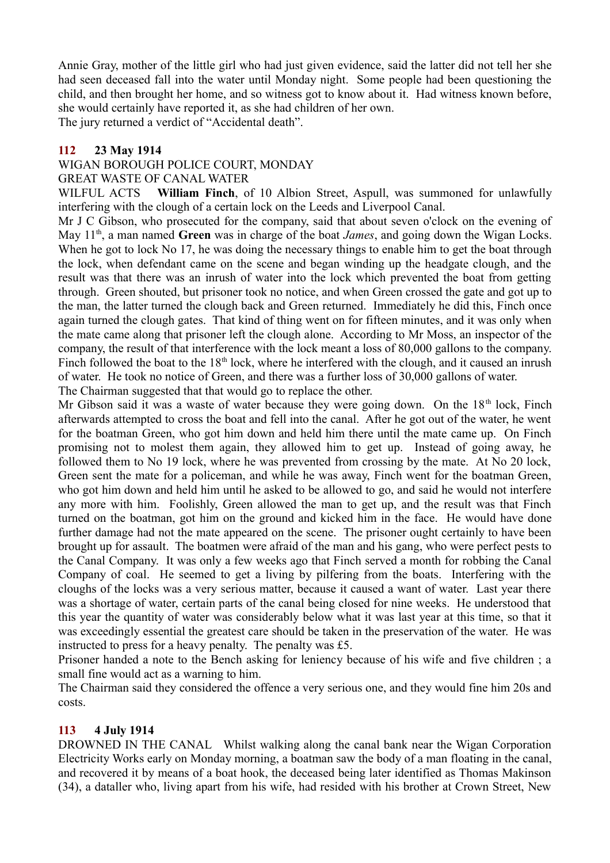Annie Gray, mother of the little girl who had just given evidence, said the latter did not tell her she had seen deceased fall into the water until Monday night. Some people had been questioning the child, and then brought her home, and so witness got to know about it. Had witness known before, she would certainly have reported it, as she had children of her own.

The jury returned a verdict of "Accidental death".

## **112 23 May 1914**

#### WIGAN BOROUGH POLICE COURT, MONDAY

#### GREAT WASTE OF CANAL WATER

WILFUL ACTS **William Finch**, of 10 Albion Street, Aspull, was summoned for unlawfully interfering with the clough of a certain lock on the Leeds and Liverpool Canal.

Mr J C Gibson, who prosecuted for the company, said that about seven o'clock on the evening of May 11<sup>th</sup>, a man named Green was in charge of the boat *James*, and going down the Wigan Locks. When he got to lock No 17, he was doing the necessary things to enable him to get the boat through the lock, when defendant came on the scene and began winding up the headgate clough, and the result was that there was an inrush of water into the lock which prevented the boat from getting through. Green shouted, but prisoner took no notice, and when Green crossed the gate and got up to the man, the latter turned the clough back and Green returned. Immediately he did this, Finch once again turned the clough gates. That kind of thing went on for fifteen minutes, and it was only when the mate came along that prisoner left the clough alone. According to Mr Moss, an inspector of the company, the result of that interference with the lock meant a loss of 80,000 gallons to the company. Finch followed the boat to the  $18<sup>th</sup>$  lock, where he interfered with the clough, and it caused an inrush of water. He took no notice of Green, and there was a further loss of 30,000 gallons of water. The Chairman suggested that that would go to replace the other.

Mr Gibson said it was a waste of water because they were going down. On the  $18<sup>th</sup>$  lock, Finch afterwards attempted to cross the boat and fell into the canal. After he got out of the water, he went for the boatman Green, who got him down and held him there until the mate came up. On Finch promising not to molest them again, they allowed him to get up. Instead of going away, he followed them to No 19 lock, where he was prevented from crossing by the mate. At No 20 lock, Green sent the mate for a policeman, and while he was away, Finch went for the boatman Green, who got him down and held him until he asked to be allowed to go, and said he would not interfere any more with him. Foolishly, Green allowed the man to get up, and the result was that Finch turned on the boatman, got him on the ground and kicked him in the face. He would have done further damage had not the mate appeared on the scene. The prisoner ought certainly to have been brought up for assault. The boatmen were afraid of the man and his gang, who were perfect pests to the Canal Company. It was only a few weeks ago that Finch served a month for robbing the Canal Company of coal. He seemed to get a living by pilfering from the boats. Interfering with the cloughs of the locks was a very serious matter, because it caused a want of water. Last year there was a shortage of water, certain parts of the canal being closed for nine weeks. He understood that this year the quantity of water was considerably below what it was last year at this time, so that it was exceedingly essential the greatest care should be taken in the preservation of the water. He was instructed to press for a heavy penalty. The penalty was £5.

Prisoner handed a note to the Bench asking for leniency because of his wife and five children ; a small fine would act as a warning to him.

The Chairman said they considered the offence a very serious one, and they would fine him 20s and costs.

## **113 4 July 1914**

DROWNED IN THE CANAL Whilst walking along the canal bank near the Wigan Corporation Electricity Works early on Monday morning, a boatman saw the body of a man floating in the canal, and recovered it by means of a boat hook, the deceased being later identified as Thomas Makinson (34), a dataller who, living apart from his wife, had resided with his brother at Crown Street, New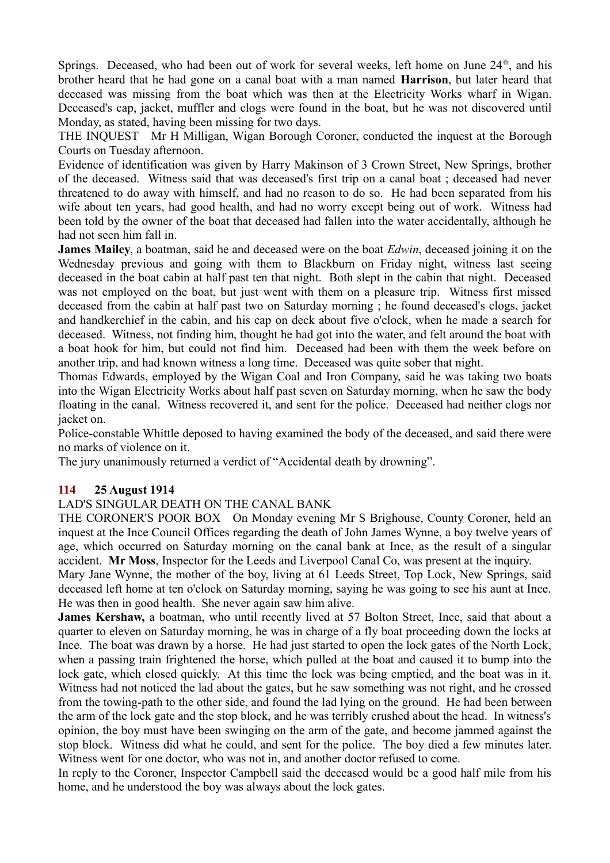Springs. Deceased, who had been out of work for several weeks, left home on June  $24<sup>th</sup>$ , and his brother heard that he had gone on a canal boat with a man named **Harrison**, but later heard that deceased was missing from the boat which was then at the Electricity Works wharf in Wigan. Deceased's cap, jacket, muffler and clogs were found in the boat, but he was not discovered until Monday, as stated, having been missing for two days.

THE INQUEST Mr H Milligan, Wigan Borough Coroner, conducted the inquest at the Borough Courts on Tuesday afternoon.

Evidence of identification was given by Harry Makinson of 3 Crown Street, New Springs, brother of the deceased. Witness said that was deceased's first trip on a canal boat ; deceased had never threatened to do away with himself, and had no reason to do so. He had been separated from his wife about ten years, had good health, and had no worry except being out of work. Witness had been told by the owner of the boat that deceased had fallen into the water accidentally, although he had not seen him fall in.

**James Mailey**, a boatman, said he and deceased were on the boat *Edwin*, deceased joining it on the Wednesday previous and going with them to Blackburn on Friday night, witness last seeing deceased in the boat cabin at half past ten that night. Both slept in the cabin that night. Deceased was not employed on the boat, but just went with them on a pleasure trip. Witness first missed deceased from the cabin at half past two on Saturday morning ; he found deceased's clogs, jacket and handkerchief in the cabin, and his cap on deck about five o'clock, when he made a search for deceased. Witness, not finding him, thought he had got into the water, and felt around the boat with a boat hook for him, but could not find him. Deceased had been with them the week before on another trip, and had known witness a long time. Deceased was quite sober that night.

Thomas Edwards, employed by the Wigan Coal and Iron Company, said he was taking two boats into the Wigan Electricity Works about half past seven on Saturday morning, when he saw the body floating in the canal. Witness recovered it, and sent for the police. Deceased had neither clogs nor jacket on.

Police-constable Whittle deposed to having examined the body of the deceased, and said there were no marks of violence on it.

The jury unanimously returned a verdict of "Accidental death by drowning".

## **114 25 August 1914**

## LAD'S SINGULAR DEATH ON THE CANAL BANK

THE CORONER'S POOR BOX On Monday evening Mr S Brighouse, County Coroner, held an inquest at the Ince Council Offices regarding the death of John James Wynne, a boy twelve years of age, which occurred on Saturday morning on the canal bank at Ince, as the result of a singular accident. **Mr Moss**, Inspector for the Leeds and Liverpool Canal Co, was present at the inquiry.

Mary Jane Wynne, the mother of the boy, living at 61 Leeds Street, Top Lock, New Springs, said deceased left home at ten o'clock on Saturday morning, saying he was going to see his aunt at Ince. He was then in good health. She never again saw him alive.

James Kershaw, a boatman, who until recently lived at 57 Bolton Street, Ince, said that about a quarter to eleven on Saturday morning, he was in charge of a fly boat proceeding down the locks at Ince. The boat was drawn by a horse. He had just started to open the lock gates of the North Lock, when a passing train frightened the horse, which pulled at the boat and caused it to bump into the lock gate, which closed quickly. At this time the lock was being emptied, and the boat was in it. Witness had not noticed the lad about the gates, but he saw something was not right, and he crossed from the towing-path to the other side, and found the lad lying on the ground. He had been between the arm of the lock gate and the stop block, and he was terribly crushed about the head. In witness's opinion, the boy must have been swinging on the arm of the gate, and become jammed against the stop block. Witness did what he could, and sent for the police. The boy died a few minutes later. Witness went for one doctor, who was not in, and another doctor refused to come.

In reply to the Coroner, Inspector Campbell said the deceased would be a good half mile from his home, and he understood the boy was always about the lock gates.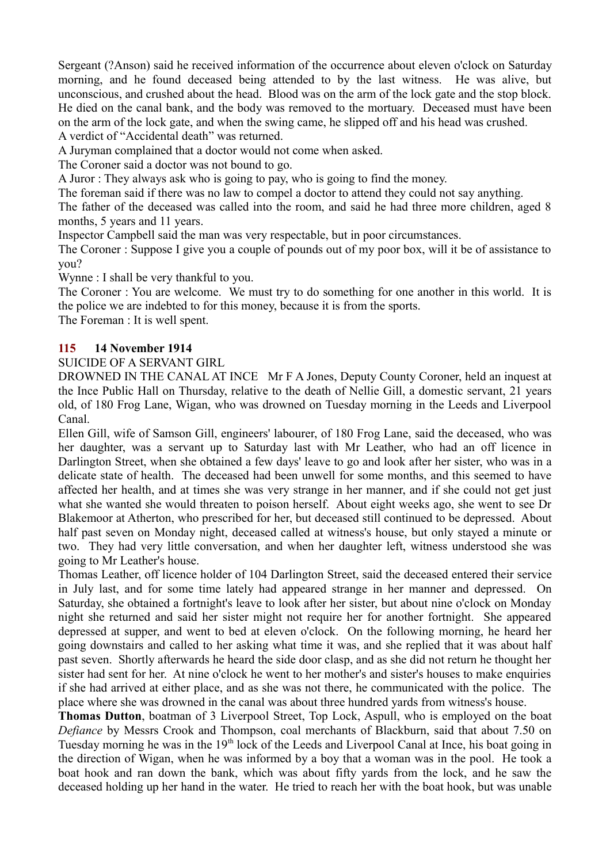Sergeant (?Anson) said he received information of the occurrence about eleven o'clock on Saturday morning, and he found deceased being attended to by the last witness. He was alive, but unconscious, and crushed about the head. Blood was on the arm of the lock gate and the stop block. He died on the canal bank, and the body was removed to the mortuary. Deceased must have been on the arm of the lock gate, and when the swing came, he slipped off and his head was crushed. A verdict of "Accidental death" was returned.

A Juryman complained that a doctor would not come when asked.

The Coroner said a doctor was not bound to go.

A Juror : They always ask who is going to pay, who is going to find the money.

The foreman said if there was no law to compel a doctor to attend they could not say anything.

The father of the deceased was called into the room, and said he had three more children, aged 8 months, 5 years and 11 years.

Inspector Campbell said the man was very respectable, but in poor circumstances.

The Coroner : Suppose I give you a couple of pounds out of my poor box, will it be of assistance to you?

Wynne : I shall be very thankful to you.

The Coroner : You are welcome. We must try to do something for one another in this world. It is the police we are indebted to for this money, because it is from the sports.

The Foreman : It is well spent.

#### **115 14 November 1914**

#### SUICIDE OF A SERVANT GIRL

DROWNED IN THE CANAL AT INCE Mr F A Jones, Deputy County Coroner, held an inquest at the Ince Public Hall on Thursday, relative to the death of Nellie Gill, a domestic servant, 21 years old, of 180 Frog Lane, Wigan, who was drowned on Tuesday morning in the Leeds and Liverpool Canal.

Ellen Gill, wife of Samson Gill, engineers' labourer, of 180 Frog Lane, said the deceased, who was her daughter, was a servant up to Saturday last with Mr Leather, who had an off licence in Darlington Street, when she obtained a few days' leave to go and look after her sister, who was in a delicate state of health. The deceased had been unwell for some months, and this seemed to have affected her health, and at times she was very strange in her manner, and if she could not get just what she wanted she would threaten to poison herself. About eight weeks ago, she went to see Dr Blakemoor at Atherton, who prescribed for her, but deceased still continued to be depressed. About half past seven on Monday night, deceased called at witness's house, but only stayed a minute or two. They had very little conversation, and when her daughter left, witness understood she was going to Mr Leather's house.

Thomas Leather, off licence holder of 104 Darlington Street, said the deceased entered their service in July last, and for some time lately had appeared strange in her manner and depressed. On Saturday, she obtained a fortnight's leave to look after her sister, but about nine o'clock on Monday night she returned and said her sister might not require her for another fortnight. She appeared depressed at supper, and went to bed at eleven o'clock. On the following morning, he heard her going downstairs and called to her asking what time it was, and she replied that it was about half past seven. Shortly afterwards he heard the side door clasp, and as she did not return he thought her sister had sent for her. At nine o'clock he went to her mother's and sister's houses to make enquiries if she had arrived at either place, and as she was not there, he communicated with the police. The place where she was drowned in the canal was about three hundred yards from witness's house.

**Thomas Dutton**, boatman of 3 Liverpool Street, Top Lock, Aspull, who is employed on the boat *Defiance* by Messrs Crook and Thompson, coal merchants of Blackburn, said that about 7.50 on Tuesday morning he was in the 19<sup>th</sup> lock of the Leeds and Liverpool Canal at Ince, his boat going in the direction of Wigan, when he was informed by a boy that a woman was in the pool. He took a boat hook and ran down the bank, which was about fifty yards from the lock, and he saw the deceased holding up her hand in the water. He tried to reach her with the boat hook, but was unable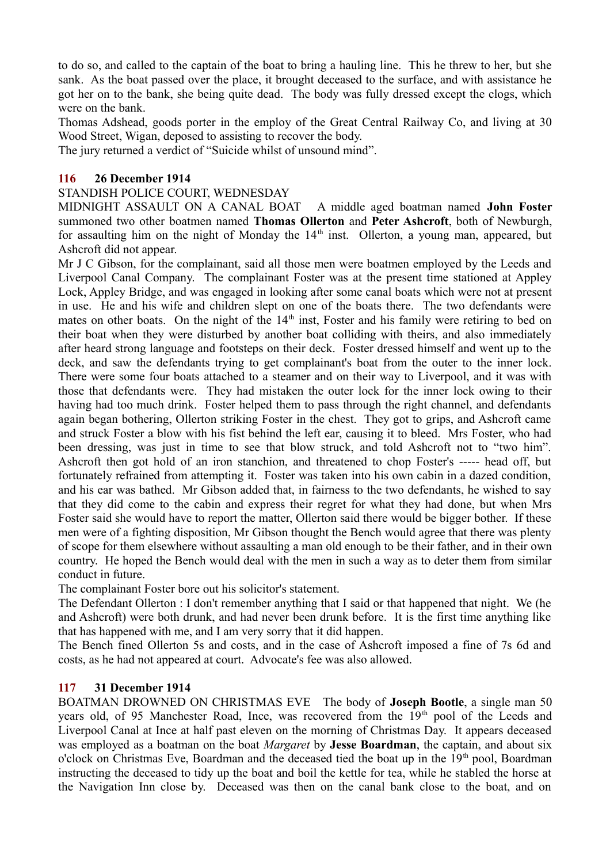to do so, and called to the captain of the boat to bring a hauling line. This he threw to her, but she sank. As the boat passed over the place, it brought deceased to the surface, and with assistance he got her on to the bank, she being quite dead. The body was fully dressed except the clogs, which were on the bank.

Thomas Adshead, goods porter in the employ of the Great Central Railway Co, and living at 30 Wood Street, Wigan, deposed to assisting to recover the body.

The jury returned a verdict of "Suicide whilst of unsound mind".

## **116 26 December 1914**

#### STANDISH POLICE COURT, WEDNESDAY

MIDNIGHT ASSAULT ON A CANAL BOAT A middle aged boatman named **John Foster** summoned two other boatmen named **Thomas Ollerton** and **Peter Ashcroft**, both of Newburgh, for assaulting him on the night of Monday the  $14<sup>th</sup>$  inst. Ollerton, a young man, appeared, but Ashcroft did not appear.

Mr J C Gibson, for the complainant, said all those men were boatmen employed by the Leeds and Liverpool Canal Company. The complainant Foster was at the present time stationed at Appley Lock, Appley Bridge, and was engaged in looking after some canal boats which were not at present in use. He and his wife and children slept on one of the boats there. The two defendants were mates on other boats. On the night of the  $14<sup>th</sup>$  inst, Foster and his family were retiring to bed on their boat when they were disturbed by another boat colliding with theirs, and also immediately after heard strong language and footsteps on their deck. Foster dressed himself and went up to the deck, and saw the defendants trying to get complainant's boat from the outer to the inner lock. There were some four boats attached to a steamer and on their way to Liverpool, and it was with those that defendants were. They had mistaken the outer lock for the inner lock owing to their having had too much drink. Foster helped them to pass through the right channel, and defendants again began bothering, Ollerton striking Foster in the chest. They got to grips, and Ashcroft came and struck Foster a blow with his fist behind the left ear, causing it to bleed. Mrs Foster, who had been dressing, was just in time to see that blow struck, and told Ashcroft not to "two him". Ashcroft then got hold of an iron stanchion, and threatened to chop Foster's ----- head off, but fortunately refrained from attempting it. Foster was taken into his own cabin in a dazed condition, and his ear was bathed. Mr Gibson added that, in fairness to the two defendants, he wished to say that they did come to the cabin and express their regret for what they had done, but when Mrs Foster said she would have to report the matter, Ollerton said there would be bigger bother. If these men were of a fighting disposition, Mr Gibson thought the Bench would agree that there was plenty of scope for them elsewhere without assaulting a man old enough to be their father, and in their own country. He hoped the Bench would deal with the men in such a way as to deter them from similar conduct in future.

The complainant Foster bore out his solicitor's statement.

The Defendant Ollerton : I don't remember anything that I said or that happened that night. We (he and Ashcroft) were both drunk, and had never been drunk before. It is the first time anything like that has happened with me, and I am very sorry that it did happen.

The Bench fined Ollerton 5s and costs, and in the case of Ashcroft imposed a fine of 7s 6d and costs, as he had not appeared at court. Advocate's fee was also allowed.

## **117 31 December 1914**

BOATMAN DROWNED ON CHRISTMAS EVE The body of **Joseph Bootle**, a single man 50 years old, of 95 Manchester Road, Ince, was recovered from the 19<sup>th</sup> pool of the Leeds and Liverpool Canal at Ince at half past eleven on the morning of Christmas Day. It appears deceased was employed as a boatman on the boat *Margaret* by **Jesse Boardman**, the captain, and about six o'clock on Christmas Eve, Boardman and the deceased tied the boat up in the  $19<sup>th</sup>$  pool, Boardman instructing the deceased to tidy up the boat and boil the kettle for tea, while he stabled the horse at the Navigation Inn close by. Deceased was then on the canal bank close to the boat, and on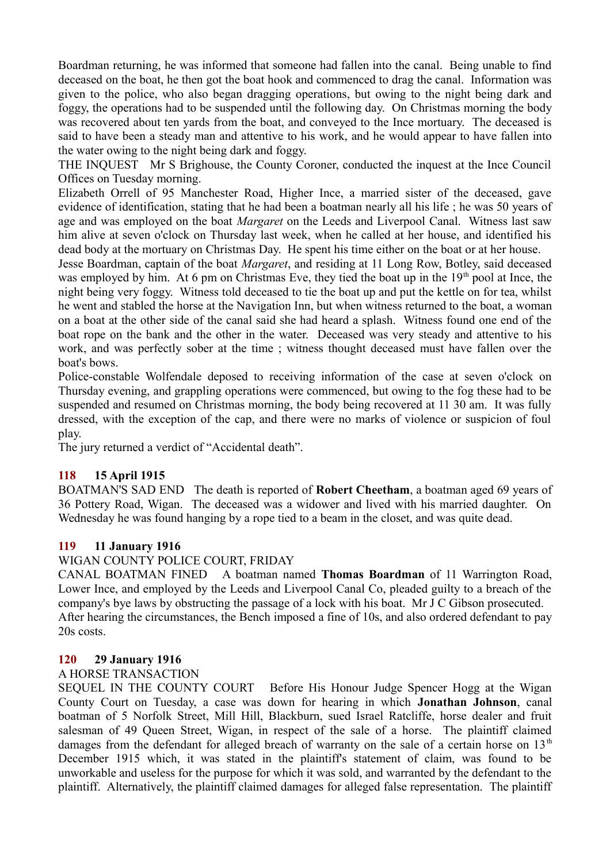Boardman returning, he was informed that someone had fallen into the canal. Being unable to find deceased on the boat, he then got the boat hook and commenced to drag the canal. Information was given to the police, who also began dragging operations, but owing to the night being dark and foggy, the operations had to be suspended until the following day. On Christmas morning the body was recovered about ten yards from the boat, and conveyed to the Ince mortuary. The deceased is said to have been a steady man and attentive to his work, and he would appear to have fallen into the water owing to the night being dark and foggy.

THE INQUEST Mr S Brighouse, the County Coroner, conducted the inquest at the Ince Council Offices on Tuesday morning.

Elizabeth Orrell of 95 Manchester Road, Higher Ince, a married sister of the deceased, gave evidence of identification, stating that he had been a boatman nearly all his life ; he was 50 years of age and was employed on the boat *Margaret* on the Leeds and Liverpool Canal. Witness last saw him alive at seven o'clock on Thursday last week, when he called at her house, and identified his dead body at the mortuary on Christmas Day. He spent his time either on the boat or at her house.

Jesse Boardman, captain of the boat *Margaret*, and residing at 11 Long Row, Botley, said deceased was employed by him. At 6 pm on Christmas Eve, they tied the boat up in the  $19<sup>th</sup>$  pool at Ince, the night being very foggy. Witness told deceased to tie the boat up and put the kettle on for tea, whilst he went and stabled the horse at the Navigation Inn, but when witness returned to the boat, a woman on a boat at the other side of the canal said she had heard a splash. Witness found one end of the boat rope on the bank and the other in the water. Deceased was very steady and attentive to his work, and was perfectly sober at the time ; witness thought deceased must have fallen over the boat's bows.

Police-constable Wolfendale deposed to receiving information of the case at seven o'clock on Thursday evening, and grappling operations were commenced, but owing to the fog these had to be suspended and resumed on Christmas morning, the body being recovered at 11 30 am. It was fully dressed, with the exception of the cap, and there were no marks of violence or suspicion of foul play.

The jury returned a verdict of "Accidental death".

## **118 15 April 1915**

BOATMAN'S SAD END The death is reported of **Robert Cheetham**, a boatman aged 69 years of 36 Pottery Road, Wigan. The deceased was a widower and lived with his married daughter. On Wednesday he was found hanging by a rope tied to a beam in the closet, and was quite dead.

## **119 11 January 1916**

# WIGAN COUNTY POLICE COURT, FRIDAY

CANAL BOATMAN FINED A boatman named **Thomas Boardman** of 11 Warrington Road, Lower Ince, and employed by the Leeds and Liverpool Canal Co, pleaded guilty to a breach of the company's bye laws by obstructing the passage of a lock with his boat. Mr J C Gibson prosecuted. After hearing the circumstances, the Bench imposed a fine of 10s, and also ordered defendant to pay 20s costs.

## **120 29 January 1916**

## A HORSE TRANSACTION

SEQUEL IN THE COUNTY COURT Before His Honour Judge Spencer Hogg at the Wigan County Court on Tuesday, a case was down for hearing in which **Jonathan Johnson**, canal boatman of 5 Norfolk Street, Mill Hill, Blackburn, sued Israel Ratcliffe, horse dealer and fruit salesman of 49 Queen Street, Wigan, in respect of the sale of a horse. The plaintiff claimed damages from the defendant for alleged breach of warranty on the sale of a certain horse on  $13<sup>th</sup>$ December 1915 which, it was stated in the plaintiff's statement of claim, was found to be unworkable and useless for the purpose for which it was sold, and warranted by the defendant to the plaintiff. Alternatively, the plaintiff claimed damages for alleged false representation. The plaintiff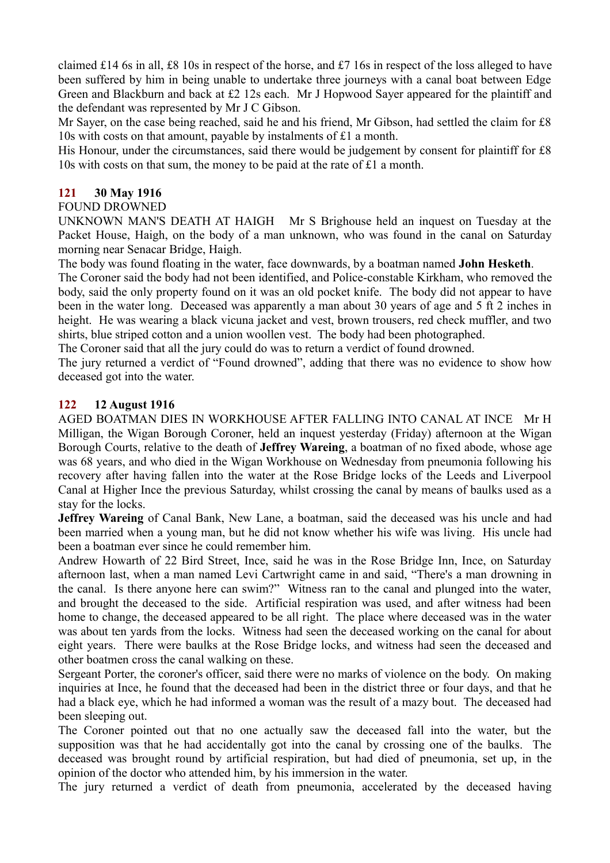claimed £14 6s in all, £8 10s in respect of the horse, and £7 16s in respect of the loss alleged to have been suffered by him in being unable to undertake three journeys with a canal boat between Edge Green and Blackburn and back at £2 12s each. Mr J Hopwood Sayer appeared for the plaintiff and the defendant was represented by Mr J C Gibson.

Mr Sayer, on the case being reached, said he and his friend, Mr Gibson, had settled the claim for £8 10s with costs on that amount, payable by instalments of £1 a month.

His Honour, under the circumstances, said there would be judgement by consent for plaintiff for £8 10s with costs on that sum, the money to be paid at the rate of £1 a month.

## **121 30 May 1916**

## FOUND DROWNED

UNKNOWN MAN'S DEATH AT HAIGH Mr S Brighouse held an inquest on Tuesday at the Packet House, Haigh, on the body of a man unknown, who was found in the canal on Saturday morning near Senacar Bridge, Haigh.

The body was found floating in the water, face downwards, by a boatman named **John Hesketh**.

The Coroner said the body had not been identified, and Police-constable Kirkham, who removed the body, said the only property found on it was an old pocket knife. The body did not appear to have been in the water long. Deceased was apparently a man about 30 years of age and 5 ft 2 inches in height. He was wearing a black vicuna jacket and vest, brown trousers, red check muffler, and two shirts, blue striped cotton and a union woollen vest. The body had been photographed.

The Coroner said that all the jury could do was to return a verdict of found drowned.

The jury returned a verdict of "Found drowned", adding that there was no evidence to show how deceased got into the water.

## **122 12 August 1916**

AGED BOATMAN DIES IN WORKHOUSE AFTER FALLING INTO CANAL AT INCE Mr H Milligan, the Wigan Borough Coroner, held an inquest yesterday (Friday) afternoon at the Wigan Borough Courts, relative to the death of **Jeffrey Wareing**, a boatman of no fixed abode, whose age was 68 years, and who died in the Wigan Workhouse on Wednesday from pneumonia following his recovery after having fallen into the water at the Rose Bridge locks of the Leeds and Liverpool Canal at Higher Ince the previous Saturday, whilst crossing the canal by means of baulks used as a stay for the locks.

**Jeffrey Wareing** of Canal Bank, New Lane, a boatman, said the deceased was his uncle and had been married when a young man, but he did not know whether his wife was living. His uncle had been a boatman ever since he could remember him.

Andrew Howarth of 22 Bird Street, Ince, said he was in the Rose Bridge Inn, Ince, on Saturday afternoon last, when a man named Levi Cartwright came in and said, "There's a man drowning in the canal. Is there anyone here can swim?" Witness ran to the canal and plunged into the water, and brought the deceased to the side. Artificial respiration was used, and after witness had been home to change, the deceased appeared to be all right. The place where deceased was in the water was about ten yards from the locks. Witness had seen the deceased working on the canal for about eight years. There were baulks at the Rose Bridge locks, and witness had seen the deceased and other boatmen cross the canal walking on these.

Sergeant Porter, the coroner's officer, said there were no marks of violence on the body. On making inquiries at Ince, he found that the deceased had been in the district three or four days, and that he had a black eye, which he had informed a woman was the result of a mazy bout. The deceased had been sleeping out.

The Coroner pointed out that no one actually saw the deceased fall into the water, but the supposition was that he had accidentally got into the canal by crossing one of the baulks. The deceased was brought round by artificial respiration, but had died of pneumonia, set up, in the opinion of the doctor who attended him, by his immersion in the water.

The jury returned a verdict of death from pneumonia, accelerated by the deceased having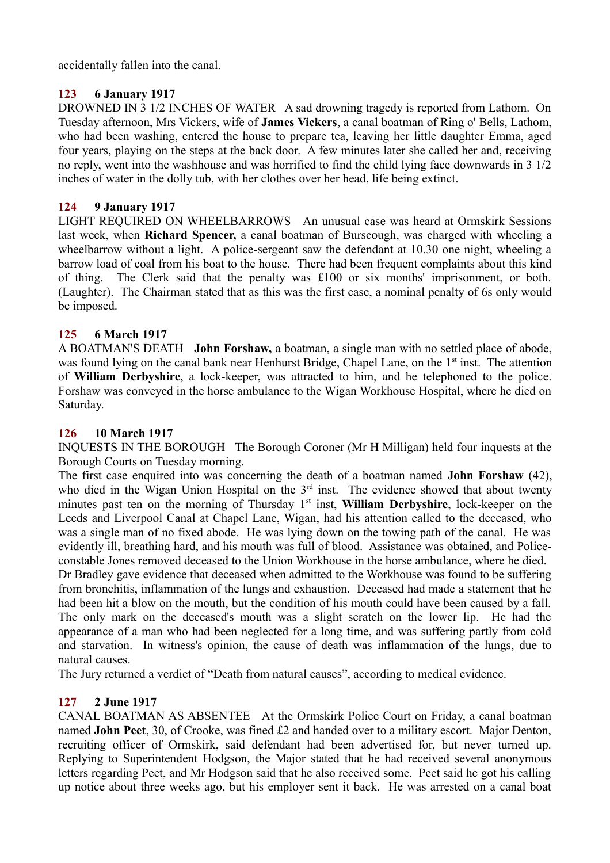accidentally fallen into the canal.

## **123 6 January 1917**

DROWNED IN 3 1/2 INCHES OF WATER A sad drowning tragedy is reported from Lathom. On Tuesday afternoon, Mrs Vickers, wife of **James Vickers**, a canal boatman of Ring o' Bells, Lathom, who had been washing, entered the house to prepare tea, leaving her little daughter Emma, aged four years, playing on the steps at the back door. A few minutes later she called her and, receiving no reply, went into the washhouse and was horrified to find the child lying face downwards in 3 1/2 inches of water in the dolly tub, with her clothes over her head, life being extinct.

## **124 9 January 1917**

LIGHT REQUIRED ON WHEELBARROWS An unusual case was heard at Ormskirk Sessions last week, when **Richard Spencer,** a canal boatman of Burscough, was charged with wheeling a wheelbarrow without a light. A police-sergeant saw the defendant at 10.30 one night, wheeling a barrow load of coal from his boat to the house. There had been frequent complaints about this kind of thing. The Clerk said that the penalty was £100 or six months' imprisonment, or both. (Laughter). The Chairman stated that as this was the first case, a nominal penalty of 6s only would be imposed.

# **125 6 March 1917**

A BOATMAN'S DEATH **John Forshaw,** a boatman, a single man with no settled place of abode, was found lying on the canal bank near Henhurst Bridge, Chapel Lane, on the 1<sup>st</sup> inst. The attention of **William Derbyshire**, a lock-keeper, was attracted to him, and he telephoned to the police. Forshaw was conveyed in the horse ambulance to the Wigan Workhouse Hospital, where he died on Saturday.

## **126 10 March 1917**

INQUESTS IN THE BOROUGH The Borough Coroner (Mr H Milligan) held four inquests at the Borough Courts on Tuesday morning.

The first case enquired into was concerning the death of a boatman named **John Forshaw** (42), who died in the Wigan Union Hospital on the 3<sup>rd</sup> inst. The evidence showed that about twenty minutes past ten on the morning of Thursday 1<sup>st</sup> inst. **William Derbyshire**, lock-keeper on the Leeds and Liverpool Canal at Chapel Lane, Wigan, had his attention called to the deceased, who was a single man of no fixed abode. He was lying down on the towing path of the canal. He was evidently ill, breathing hard, and his mouth was full of blood. Assistance was obtained, and Policeconstable Jones removed deceased to the Union Workhouse in the horse ambulance, where he died.

Dr Bradley gave evidence that deceased when admitted to the Workhouse was found to be suffering from bronchitis, inflammation of the lungs and exhaustion. Deceased had made a statement that he had been hit a blow on the mouth, but the condition of his mouth could have been caused by a fall. The only mark on the deceased's mouth was a slight scratch on the lower lip. He had the appearance of a man who had been neglected for a long time, and was suffering partly from cold and starvation. In witness's opinion, the cause of death was inflammation of the lungs, due to natural causes.

The Jury returned a verdict of "Death from natural causes", according to medical evidence.

## **127 2 June 1917**

CANAL BOATMAN AS ABSENTEE At the Ormskirk Police Court on Friday, a canal boatman named **John Peet**, 30, of Crooke, was fined £2 and handed over to a military escort. Major Denton, recruiting officer of Ormskirk, said defendant had been advertised for, but never turned up. Replying to Superintendent Hodgson, the Major stated that he had received several anonymous letters regarding Peet, and Mr Hodgson said that he also received some. Peet said he got his calling up notice about three weeks ago, but his employer sent it back. He was arrested on a canal boat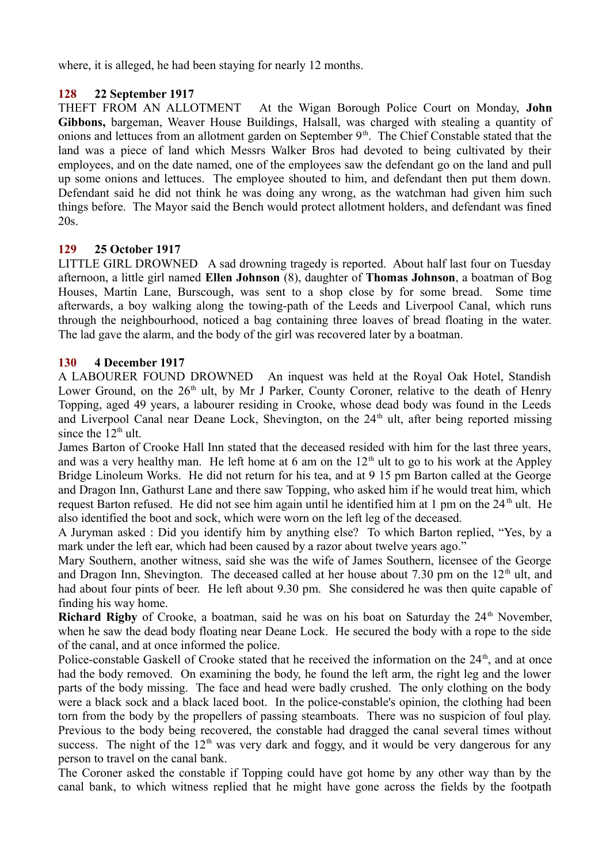where, it is alleged, he had been staying for nearly 12 months.

# **128 22 September 1917**

THEFT FROM AN ALLOTMENT At the Wigan Borough Police Court on Monday, **John Gibbons,** bargeman, Weaver House Buildings, Halsall, was charged with stealing a quantity of onions and lettuces from an allotment garden on September  $9<sup>th</sup>$ . The Chief Constable stated that the land was a piece of land which Messrs Walker Bros had devoted to being cultivated by their employees, and on the date named, one of the employees saw the defendant go on the land and pull up some onions and lettuces. The employee shouted to him, and defendant then put them down. Defendant said he did not think he was doing any wrong, as the watchman had given him such things before. The Mayor said the Bench would protect allotment holders, and defendant was fined 20s.

# **129 25 October 1917**

LITTLE GIRL DROWNED A sad drowning tragedy is reported. About half last four on Tuesday afternoon, a little girl named **Ellen Johnson** (8), daughter of **Thomas Johnson**, a boatman of Bog Houses, Martin Lane, Burscough, was sent to a shop close by for some bread. Some time afterwards, a boy walking along the towing-path of the Leeds and Liverpool Canal, which runs through the neighbourhood, noticed a bag containing three loaves of bread floating in the water. The lad gave the alarm, and the body of the girl was recovered later by a boatman.

## **130 4 December 1917**

A LABOURER FOUND DROWNED An inquest was held at the Royal Oak Hotel, Standish Lower Ground, on the  $26<sup>th</sup>$  ult, by Mr J Parker, County Coroner, relative to the death of Henry Topping, aged 49 years, a labourer residing in Crooke, whose dead body was found in the Leeds and Liverpool Canal near Deane Lock, Shevington, on the  $24<sup>th</sup>$  ult, after being reported missing since the  $12<sup>th</sup>$  ult.

James Barton of Crooke Hall Inn stated that the deceased resided with him for the last three years, and was a very healthy man. He left home at 6 am on the  $12<sup>th</sup>$  ult to go to his work at the Appley Bridge Linoleum Works. He did not return for his tea, and at 9 15 pm Barton called at the George and Dragon Inn, Gathurst Lane and there saw Topping, who asked him if he would treat him, which request Barton refused. He did not see him again until he identified him at 1 pm on the  $24<sup>th</sup>$  ult. He also identified the boot and sock, which were worn on the left leg of the deceased.

A Juryman asked : Did you identify him by anything else? To which Barton replied, "Yes, by a mark under the left ear, which had been caused by a razor about twelve years ago."

Mary Southern, another witness, said she was the wife of James Southern, licensee of the George and Dragon Inn, Shevington. The deceased called at her house about 7.30 pm on the  $12<sup>th</sup>$  ult, and had about four pints of beer. He left about 9.30 pm. She considered he was then quite capable of finding his way home.

**Richard Rigby** of Crooke, a boatman, said he was on his boat on Saturday the  $24<sup>th</sup>$  November, when he saw the dead body floating near Deane Lock. He secured the body with a rope to the side of the canal, and at once informed the police.

Police-constable Gaskell of Crooke stated that he received the information on the 24<sup>th</sup>, and at once had the body removed. On examining the body, he found the left arm, the right leg and the lower parts of the body missing. The face and head were badly crushed. The only clothing on the body were a black sock and a black laced boot. In the police-constable's opinion, the clothing had been torn from the body by the propellers of passing steamboats. There was no suspicion of foul play. Previous to the body being recovered, the constable had dragged the canal several times without success. The night of the  $12<sup>th</sup>$  was very dark and foggy, and it would be very dangerous for any person to travel on the canal bank.

The Coroner asked the constable if Topping could have got home by any other way than by the canal bank, to which witness replied that he might have gone across the fields by the footpath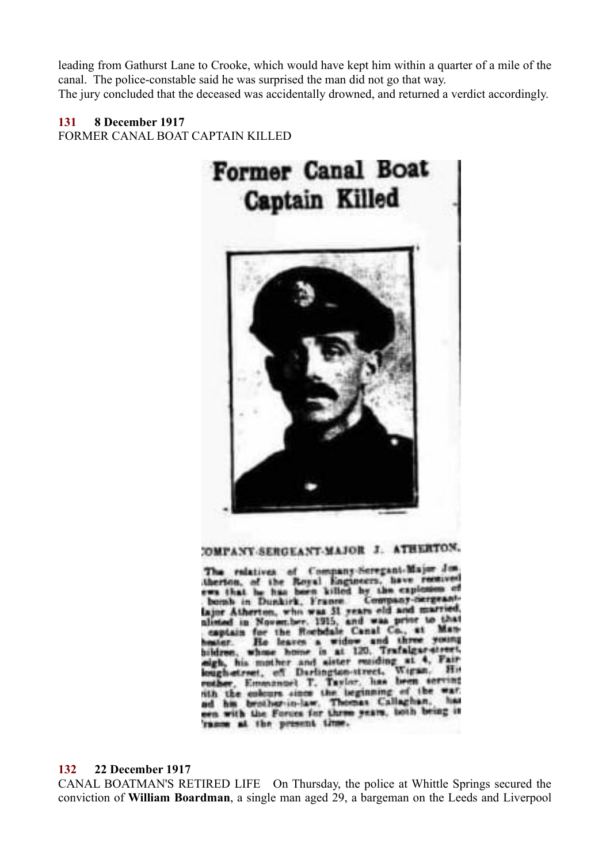leading from Gathurst Lane to Crooke, which would have kept him within a quarter of a mile of the canal. The police-constable said he was surprised the man did not go that way. The jury concluded that the deceased was accidentally drowned, and returned a verdict accordingly.

# **131 8 December 1917**

FORMER CANAL BOAT CAPTAIN KILLED



# COMPANY-SERGEANT-MAJOR J. ATHERTON.

The relatives of Company-Seregant-Major Jos., therefore, of the Royal Engineers, have received Company-nergeant bomb in Dunkirk, France. or Atherton, who was 31 years old and married ted in November, 1915, and was price to the the Rochdale Cenal Co., at Man captain for **VOURSE** and three He leaves a widow **ALC: Trafalgar-stru** is at 120. bildirən. whose bonne eigh, his mother and eister maiding at 4. Papina. Wiesn. uch-street, of Darlington-street, enther, Emmanuel T. Taylor, has been so enerated mar. his brother-in-law. Thomas Callaghan. **Bind** n with the Forces for three years, both being it rame at the present time.

#### **132 22 December 1917**

CANAL BOATMAN'S RETIRED LIFE On Thursday, the police at Whittle Springs secured the conviction of **William Boardman**, a single man aged 29, a bargeman on the Leeds and Liverpool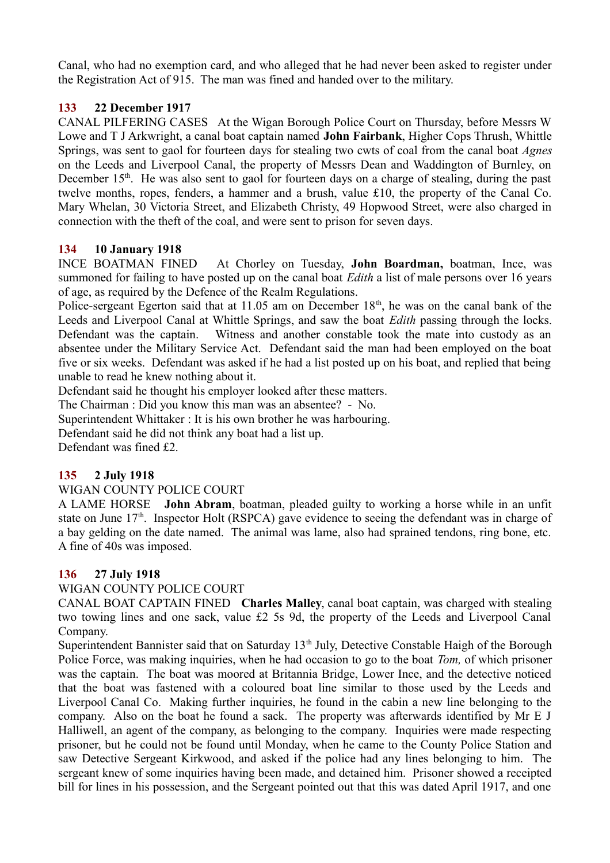Canal, who had no exemption card, and who alleged that he had never been asked to register under the Registration Act of 915. The man was fined and handed over to the military.

# **133 22 December 1917**

CANAL PILFERING CASES At the Wigan Borough Police Court on Thursday, before Messrs W Lowe and T J Arkwright, a canal boat captain named **John Fairbank**, Higher Cops Thrush, Whittle Springs, was sent to gaol for fourteen days for stealing two cwts of coal from the canal boat *Agnes* on the Leeds and Liverpool Canal, the property of Messrs Dean and Waddington of Burnley, on December  $15<sup>th</sup>$ . He was also sent to gaol for fourteen days on a charge of stealing, during the past twelve months, ropes, fenders, a hammer and a brush, value £10, the property of the Canal Co. Mary Whelan, 30 Victoria Street, and Elizabeth Christy, 49 Hopwood Street, were also charged in connection with the theft of the coal, and were sent to prison for seven days.

## **134 10 January 1918**

INCE BOATMAN FINED At Chorley on Tuesday, **John Boardman,** boatman, Ince, was summoned for failing to have posted up on the canal boat *Edith* a list of male persons over 16 years of age, as required by the Defence of the Realm Regulations.

Police-sergeant Egerton said that at 11.05 am on December  $18<sup>th</sup>$ , he was on the canal bank of the Leeds and Liverpool Canal at Whittle Springs, and saw the boat *Edith* passing through the locks. Defendant was the captain. Witness and another constable took the mate into custody as an absentee under the Military Service Act. Defendant said the man had been employed on the boat five or six weeks. Defendant was asked if he had a list posted up on his boat, and replied that being unable to read he knew nothing about it.

Defendant said he thought his employer looked after these matters.

The Chairman : Did you know this man was an absentee? - No.

Superintendent Whittaker : It is his own brother he was harbouring.

Defendant said he did not think any boat had a list up.

Defendant was fined £2.

## **135 2 July 1918**

WIGAN COUNTY POLICE COURT

A LAME HORSE **John Abram**, boatman, pleaded guilty to working a horse while in an unfit state on June 17<sup>th</sup>. Inspector Holt (RSPCA) gave evidence to seeing the defendant was in charge of a bay gelding on the date named. The animal was lame, also had sprained tendons, ring bone, etc. A fine of 40s was imposed.

## **136 27 July 1918**

#### WIGAN COUNTY POLICE COURT

CANAL BOAT CAPTAIN FINED **Charles Malley**, canal boat captain, was charged with stealing two towing lines and one sack, value £2 5s 9d, the property of the Leeds and Liverpool Canal Company.

Superintendent Bannister said that on Saturday 13<sup>th</sup> July, Detective Constable Haigh of the Borough Police Force, was making inquiries, when he had occasion to go to the boat *Tom,* of which prisoner was the captain. The boat was moored at Britannia Bridge, Lower Ince, and the detective noticed that the boat was fastened with a coloured boat line similar to those used by the Leeds and Liverpool Canal Co. Making further inquiries, he found in the cabin a new line belonging to the company. Also on the boat he found a sack. The property was afterwards identified by Mr E J Halliwell, an agent of the company, as belonging to the company. Inquiries were made respecting prisoner, but he could not be found until Monday, when he came to the County Police Station and saw Detective Sergeant Kirkwood, and asked if the police had any lines belonging to him. The sergeant knew of some inquiries having been made, and detained him. Prisoner showed a receipted bill for lines in his possession, and the Sergeant pointed out that this was dated April 1917, and one